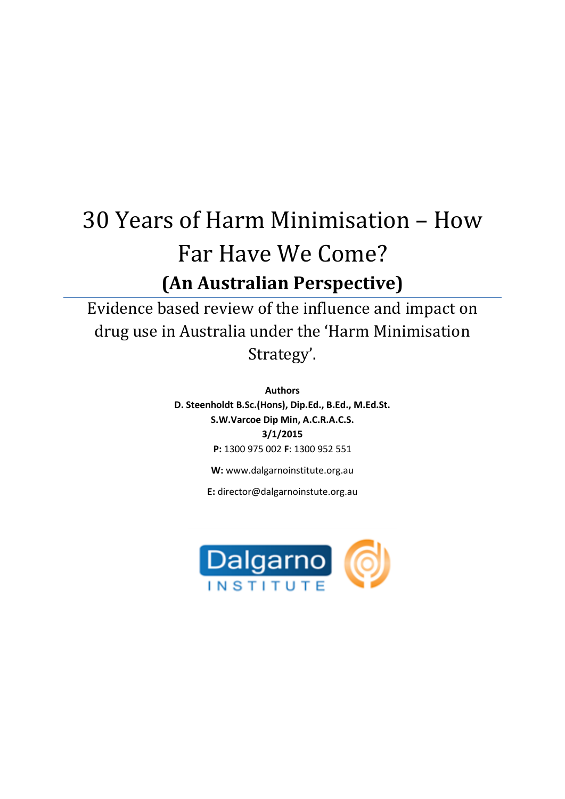# 30 Years of Harm Minimisation – How Far Have We Come? **(An Australian Perspective)**

Evidence based review of the influence and impact on drug use in Australia under the 'Harm Minimisation Strategy'.

> **Authors D. Steenholdt B.Sc.(Hons), Dip.Ed., B.Ed., M.Ed.St. S.W.Varcoe Dip Min, A.C.R.A.C.S. 3/1/2015 P:** 1300 975 002 **F**: 1300 952 551

> > **W:** www.dalgarnoinstitute.org.au

**E:** director@dalgarnoinstute.org.au

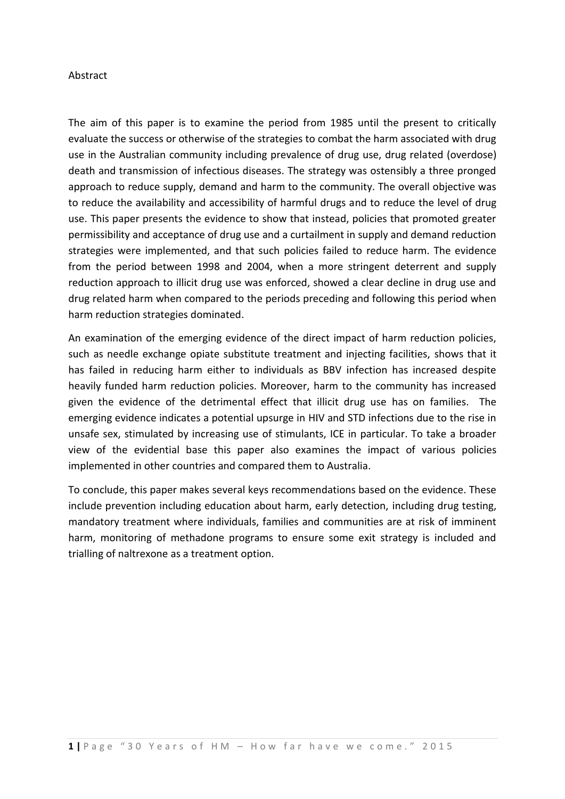#### Abstract

The aim of this paper is to examine the period from 1985 until the present to critically evaluate the success or otherwise of the strategies to combat the harm associated with drug use in the Australian community including prevalence of drug use, drug related (overdose) death and transmission of infectious diseases. The strategy was ostensibly a three pronged approach to reduce supply, demand and harm to the community. The overall objective was to reduce the availability and accessibility of harmful drugs and to reduce the level of drug use. This paper presents the evidence to show that instead, policies that promoted greater permissibility and acceptance of drug use and a curtailment in supply and demand reduction strategies were implemented, and that such policies failed to reduce harm. The evidence from the period between 1998 and 2004, when a more stringent deterrent and supply reduction approach to illicit drug use was enforced, showed a clear decline in drug use and drug related harm when compared to the periods preceding and following this period when harm reduction strategies dominated.

An examination of the emerging evidence of the direct impact of harm reduction policies, such as needle exchange opiate substitute treatment and injecting facilities, shows that it has failed in reducing harm either to individuals as BBV infection has increased despite heavily funded harm reduction policies. Moreover, harm to the community has increased given the evidence of the detrimental effect that illicit drug use has on families. The emerging evidence indicates a potential upsurge in HIV and STD infections due to the rise in unsafe sex, stimulated by increasing use of stimulants, ICE in particular. To take a broader view of the evidential base this paper also examines the impact of various policies implemented in other countries and compared them to Australia.

To conclude, this paper makes several keys recommendations based on the evidence. These include prevention including education about harm, early detection, including drug testing, mandatory treatment where individuals, families and communities are at risk of imminent harm, monitoring of methadone programs to ensure some exit strategy is included and trialling of naltrexone as a treatment option.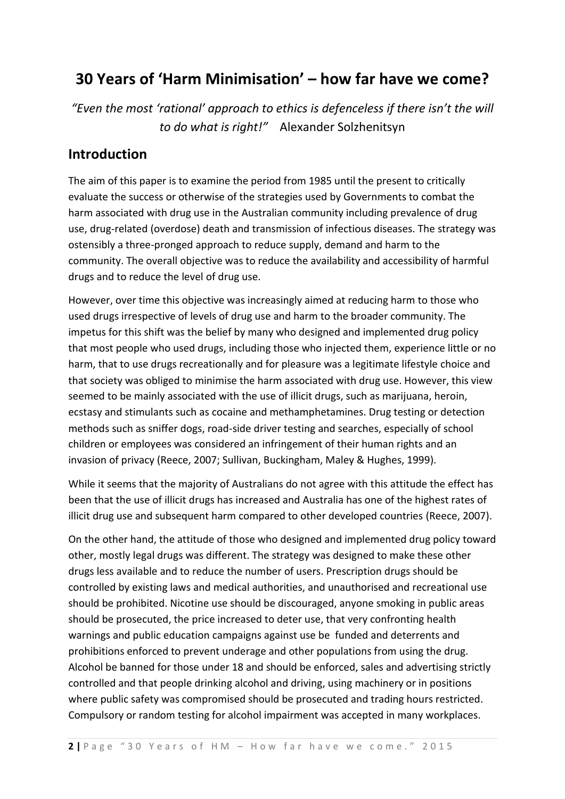# **30 Years of 'Harm Minimisation' – how far have we come?**

*"Even the most 'rational' approach to ethics is defenceless if there isn't the will to do what is right!"* Alexander Solzhenitsyn

## **Introduction**

The aim of this paper is to examine the period from 1985 until the present to critically evaluate the success or otherwise of the strategies used by Governments to combat the harm associated with drug use in the Australian community including prevalence of drug use, drug-related (overdose) death and transmission of infectious diseases. The strategy was ostensibly a three-pronged approach to reduce supply, demand and harm to the community. The overall objective was to reduce the availability and accessibility of harmful drugs and to reduce the level of drug use.

However, over time this objective was increasingly aimed at reducing harm to those who used drugs irrespective of levels of drug use and harm to the broader community. The impetus for this shift was the belief by many who designed and implemented drug policy that most people who used drugs, including those who injected them, experience little or no harm, that to use drugs recreationally and for pleasure was a legitimate lifestyle choice and that society was obliged to minimise the harm associated with drug use. However, this view seemed to be mainly associated with the use of illicit drugs, such as marijuana, heroin, ecstasy and stimulants such as cocaine and methamphetamines. Drug testing or detection methods such as sniffer dogs, road-side driver testing and searches, especially of school children or employees was considered an infringement of their human rights and an invasion of privacy (Reece, 2007; Sullivan, Buckingham, Maley & Hughes, 1999).

While it seems that the majority of Australians do not agree with this attitude the effect has been that the use of illicit drugs has increased and Australia has one of the highest rates of illicit drug use and subsequent harm compared to other developed countries (Reece, 2007).

On the other hand, the attitude of those who designed and implemented drug policy toward other, mostly legal drugs was different. The strategy was designed to make these other drugs less available and to reduce the number of users. Prescription drugs should be controlled by existing laws and medical authorities, and unauthorised and recreational use should be prohibited. Nicotine use should be discouraged, anyone smoking in public areas should be prosecuted, the price increased to deter use, that very confronting health warnings and public education campaigns against use be funded and deterrents and prohibitions enforced to prevent underage and other populations from using the drug. Alcohol be banned for those under 18 and should be enforced, sales and advertising strictly controlled and that people drinking alcohol and driving, using machinery or in positions where public safety was compromised should be prosecuted and trading hours restricted. Compulsory or random testing for alcohol impairment was accepted in many workplaces.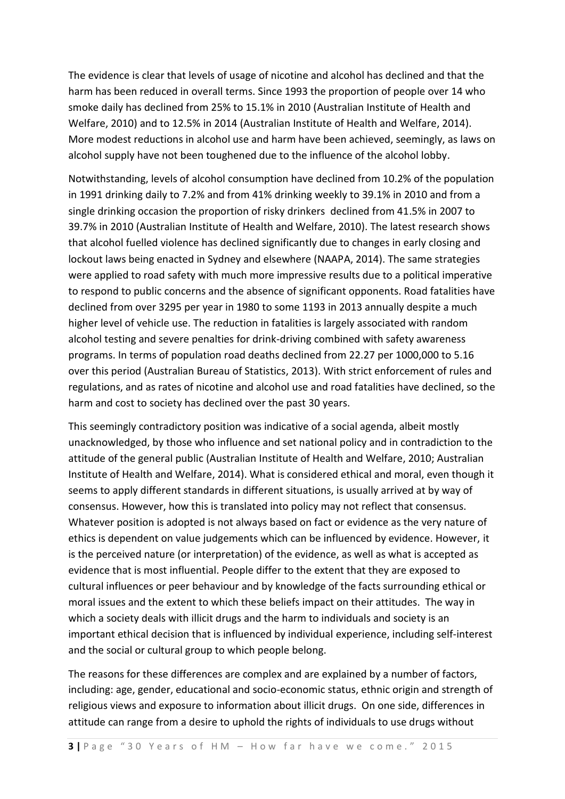The evidence is clear that levels of usage of nicotine and alcohol has declined and that the harm has been reduced in overall terms. Since 1993 the proportion of people over 14 who smoke daily has declined from 25% to 15.1% in 2010 (Australian Institute of Health and Welfare, 2010) and to 12.5% in 2014 (Australian Institute of Health and Welfare, 2014). More modest reductions in alcohol use and harm have been achieved, seemingly, as laws on alcohol supply have not been toughened due to the influence of the alcohol lobby.

Notwithstanding, levels of alcohol consumption have declined from 10.2% of the population in 1991 drinking daily to 7.2% and from 41% drinking weekly to 39.1% in 2010 and from a single drinking occasion the proportion of risky drinkers declined from 41.5% in 2007 to 39.7% in 2010 (Australian Institute of Health and Welfare, 2010). The latest research shows that alcohol fuelled violence has declined significantly due to changes in early closing and lockout laws being enacted in Sydney and elsewhere (NAAPA, 2014). The same strategies were applied to road safety with much more impressive results due to a political imperative to respond to public concerns and the absence of significant opponents. Road fatalities have declined from over 3295 per year in 1980 to some 1193 in 2013 annually despite a much higher level of vehicle use. The reduction in fatalities is largely associated with random alcohol testing and severe penalties for drink-driving combined with safety awareness programs. In terms of population road deaths declined from 22.27 per 1000,000 to 5.16 over this period (Australian Bureau of Statistics, 2013). With strict enforcement of rules and regulations, and as rates of nicotine and alcohol use and road fatalities have declined, so the harm and cost to society has declined over the past 30 years.

This seemingly contradictory position was indicative of a social agenda, albeit mostly unacknowledged, by those who influence and set national policy and in contradiction to the attitude of the general public (Australian Institute of Health and Welfare, 2010; Australian Institute of Health and Welfare, 2014). What is considered ethical and moral, even though it seems to apply different standards in different situations, is usually arrived at by way of consensus. However, how this is translated into policy may not reflect that consensus. Whatever position is adopted is not always based on fact or evidence as the very nature of ethics is dependent on value judgements which can be influenced by evidence. However, it is the perceived nature (or interpretation) of the evidence, as well as what is accepted as evidence that is most influential. People differ to the extent that they are exposed to cultural influences or peer behaviour and by knowledge of the facts surrounding ethical or moral issues and the extent to which these beliefs impact on their attitudes. The way in which a society deals with illicit drugs and the harm to individuals and society is an important ethical decision that is influenced by individual experience, including self-interest and the social or cultural group to which people belong.

The reasons for these differences are complex and are explained by a number of factors, including: age, gender, educational and socio-economic status, ethnic origin and strength of religious views and exposure to information about illicit drugs. On one side, differences in attitude can range from a desire to uphold the rights of individuals to use drugs without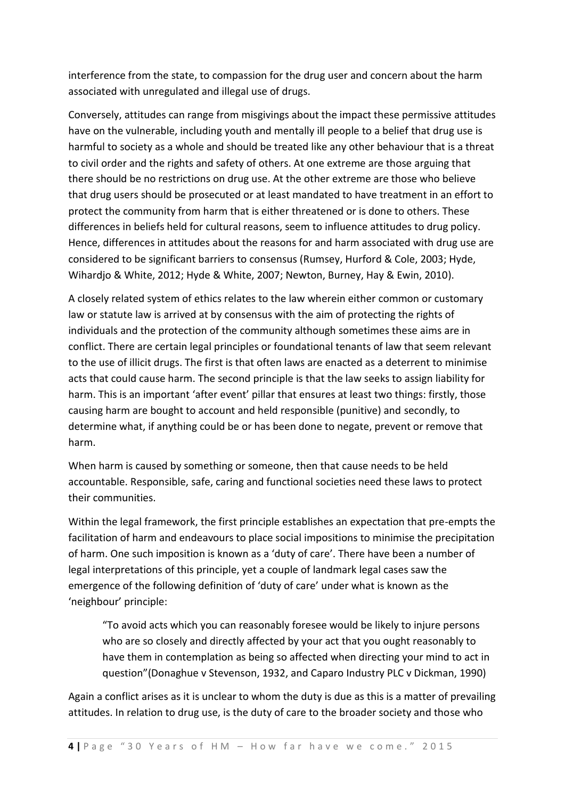interference from the state, to compassion for the drug user and concern about the harm associated with unregulated and illegal use of drugs.

Conversely, attitudes can range from misgivings about the impact these permissive attitudes have on the vulnerable, including youth and mentally ill people to a belief that drug use is harmful to society as a whole and should be treated like any other behaviour that is a threat to civil order and the rights and safety of others. At one extreme are those arguing that there should be no restrictions on drug use. At the other extreme are those who believe that drug users should be prosecuted or at least mandated to have treatment in an effort to protect the community from harm that is either threatened or is done to others. These differences in beliefs held for cultural reasons, seem to influence attitudes to drug policy. Hence, differences in attitudes about the reasons for and harm associated with drug use are considered to be significant barriers to consensus (Rumsey, Hurford & Cole, 2003; Hyde, Wihardjo & White, 2012; Hyde & White, 2007; Newton, Burney, Hay & Ewin, 2010).

A closely related system of ethics relates to the law wherein either common or customary law or statute law is arrived at by consensus with the aim of protecting the rights of individuals and the protection of the community although sometimes these aims are in conflict. There are certain legal principles or foundational tenants of law that seem relevant to the use of illicit drugs. The first is that often laws are enacted as a deterrent to minimise acts that could cause harm. The second principle is that the law seeks to assign liability for harm. This is an important 'after event' pillar that ensures at least two things: firstly, those causing harm are bought to account and held responsible (punitive) and secondly, to determine what, if anything could be or has been done to negate, prevent or remove that harm.

When harm is caused by something or someone, then that cause needs to be held accountable. Responsible, safe, caring and functional societies need these laws to protect their communities.

Within the legal framework, the first principle establishes an expectation that pre-empts the facilitation of harm and endeavours to place social impositions to minimise the precipitation of harm. One such imposition is known as a 'duty of care'. There have been a number of legal interpretations of this principle, yet a couple of landmark legal cases saw the emergence of the following definition of 'duty of care' under what is known as the 'neighbour' principle:

"To avoid acts which you can reasonably foresee would be likely to injure persons who are so closely and directly affected by your act that you ought reasonably to have them in contemplation as being so affected when directing your mind to act in question"(Donaghue v Stevenson, 1932, and Caparo Industry PLC v Dickman, 1990)

Again a conflict arises as it is unclear to whom the duty is due as this is a matter of prevailing attitudes. In relation to drug use, is the duty of care to the broader society and those who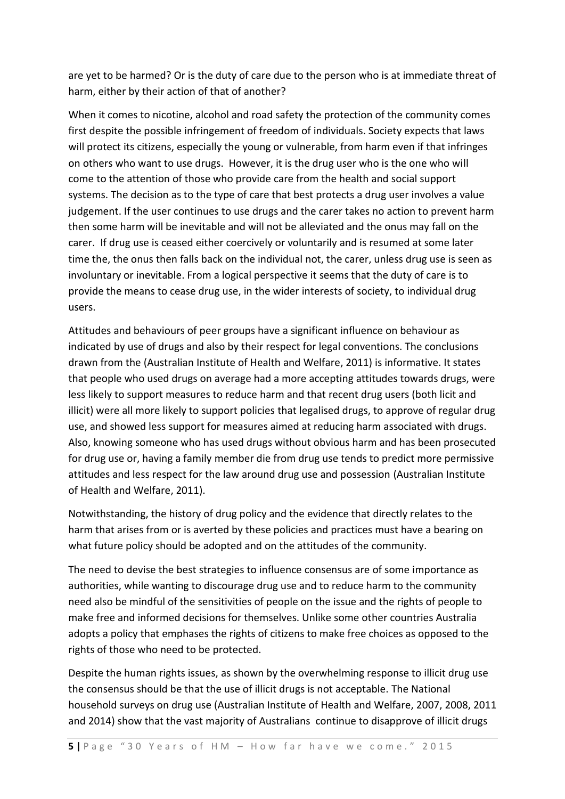are yet to be harmed? Or is the duty of care due to the person who is at immediate threat of harm, either by their action of that of another?

When it comes to nicotine, alcohol and road safety the protection of the community comes first despite the possible infringement of freedom of individuals. Society expects that laws will protect its citizens, especially the young or vulnerable, from harm even if that infringes on others who want to use drugs. However, it is the drug user who is the one who will come to the attention of those who provide care from the health and social support systems. The decision as to the type of care that best protects a drug user involves a value judgement. If the user continues to use drugs and the carer takes no action to prevent harm then some harm will be inevitable and will not be alleviated and the onus may fall on the carer. If drug use is ceased either coercively or voluntarily and is resumed at some later time the, the onus then falls back on the individual not, the carer, unless drug use is seen as involuntary or inevitable. From a logical perspective it seems that the duty of care is to provide the means to cease drug use, in the wider interests of society, to individual drug users.

Attitudes and behaviours of peer groups have a significant influence on behaviour as indicated by use of drugs and also by their respect for legal conventions. The conclusions drawn from the (Australian Institute of Health and Welfare, 2011) is informative. It states that people who used drugs on average had a more accepting attitudes towards drugs, were less likely to support measures to reduce harm and that recent drug users (both licit and illicit) were all more likely to support policies that legalised drugs, to approve of regular drug use, and showed less support for measures aimed at reducing harm associated with drugs. Also, knowing someone who has used drugs without obvious harm and has been prosecuted for drug use or, having a family member die from drug use tends to predict more permissive attitudes and less respect for the law around drug use and possession (Australian Institute of Health and Welfare, 2011).

Notwithstanding, the history of drug policy and the evidence that directly relates to the harm that arises from or is averted by these policies and practices must have a bearing on what future policy should be adopted and on the attitudes of the community.

The need to devise the best strategies to influence consensus are of some importance as authorities, while wanting to discourage drug use and to reduce harm to the community need also be mindful of the sensitivities of people on the issue and the rights of people to make free and informed decisions for themselves. Unlike some other countries Australia adopts a policy that emphases the rights of citizens to make free choices as opposed to the rights of those who need to be protected.

Despite the human rights issues, as shown by the overwhelming response to illicit drug use the consensus should be that the use of illicit drugs is not acceptable. The National household surveys on drug use (Australian Institute of Health and Welfare, 2007, 2008, 2011 and 2014) show that the vast majority of Australians continue to disapprove of illicit drugs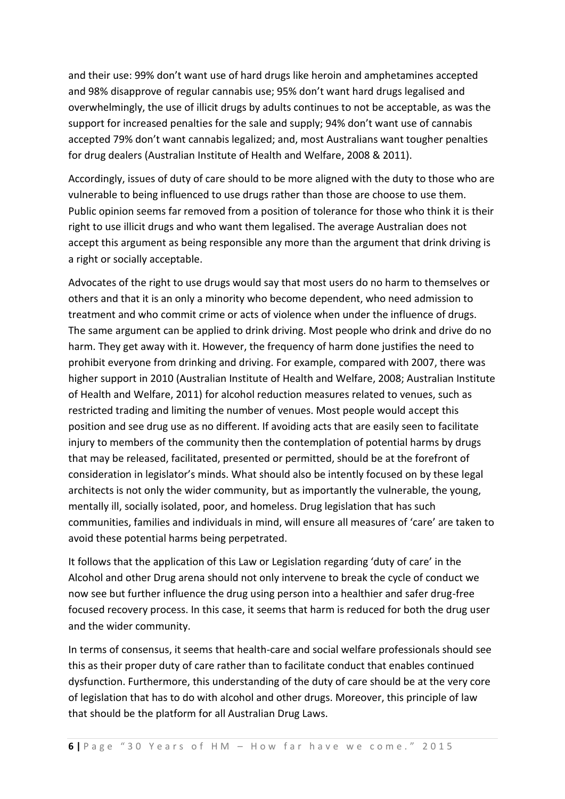and their use: 99% don't want use of hard drugs like heroin and amphetamines accepted and 98% disapprove of regular cannabis use; 95% don't want hard drugs legalised and overwhelmingly, the use of illicit drugs by adults continues to not be acceptable, as was the support for increased penalties for the sale and supply; 94% don't want use of cannabis accepted 79% don't want cannabis legalized; and, most Australians want tougher penalties for drug dealers (Australian Institute of Health and Welfare, 2008 & 2011).

Accordingly, issues of duty of care should to be more aligned with the duty to those who are vulnerable to being influenced to use drugs rather than those are choose to use them. Public opinion seems far removed from a position of tolerance for those who think it is their right to use illicit drugs and who want them legalised. The average Australian does not accept this argument as being responsible any more than the argument that drink driving is a right or socially acceptable.

Advocates of the right to use drugs would say that most users do no harm to themselves or others and that it is an only a minority who become dependent, who need admission to treatment and who commit crime or acts of violence when under the influence of drugs. The same argument can be applied to drink driving. Most people who drink and drive do no harm. They get away with it. However, the frequency of harm done justifies the need to prohibit everyone from drinking and driving. For example, compared with 2007, there was higher support in 2010 (Australian Institute of Health and Welfare, 2008; Australian Institute of Health and Welfare, 2011) for alcohol reduction measures related to venues, such as restricted trading and limiting the number of venues. Most people would accept this position and see drug use as no different. If avoiding acts that are easily seen to facilitate injury to members of the community then the contemplation of potential harms by drugs that may be released, facilitated, presented or permitted, should be at the forefront of consideration in legislator's minds. What should also be intently focused on by these legal architects is not only the wider community, but as importantly the vulnerable, the young, mentally ill, socially isolated, poor, and homeless. Drug legislation that has such communities, families and individuals in mind, will ensure all measures of 'care' are taken to avoid these potential harms being perpetrated.

It follows that the application of this Law or Legislation regarding 'duty of care' in the Alcohol and other Drug arena should not only intervene to break the cycle of conduct we now see but further influence the drug using person into a healthier and safer drug-free focused recovery process. In this case, it seems that harm is reduced for both the drug user and the wider community.

In terms of consensus, it seems that health-care and social welfare professionals should see this as their proper duty of care rather than to facilitate conduct that enables continued dysfunction. Furthermore, this understanding of the duty of care should be at the very core of legislation that has to do with alcohol and other drugs. Moreover, this principle of law that should be the platform for all Australian Drug Laws.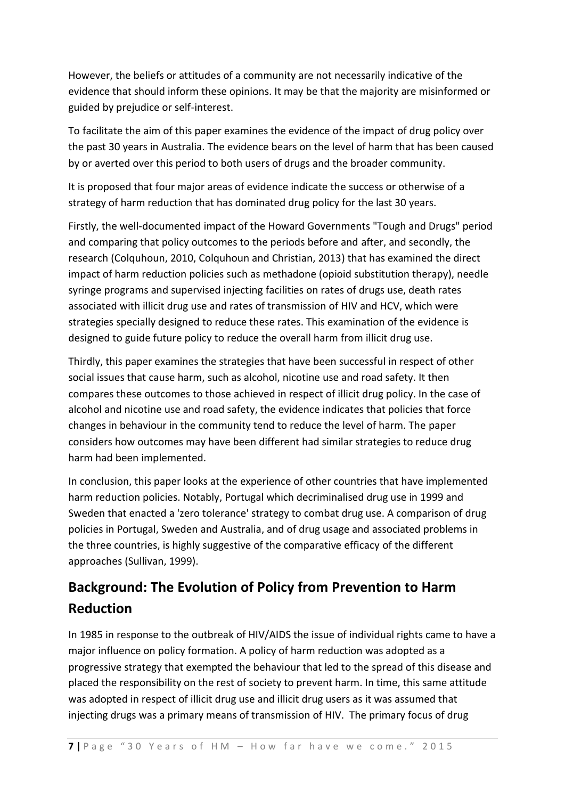However, the beliefs or attitudes of a community are not necessarily indicative of the evidence that should inform these opinions. It may be that the majority are misinformed or guided by prejudice or self-interest.

To facilitate the aim of this paper examines the evidence of the impact of drug policy over the past 30 years in Australia. The evidence bears on the level of harm that has been caused by or averted over this period to both users of drugs and the broader community.

It is proposed that four major areas of evidence indicate the success or otherwise of a strategy of harm reduction that has dominated drug policy for the last 30 years.

Firstly, the well-documented impact of the Howard Governments "Tough and Drugs" period and comparing that policy outcomes to the periods before and after, and secondly, the research (Colquhoun, 2010, Colquhoun and Christian, 2013) that has examined the direct impact of harm reduction policies such as methadone (opioid substitution therapy), needle syringe programs and supervised injecting facilities on rates of drugs use, death rates associated with illicit drug use and rates of transmission of HIV and HCV, which were strategies specially designed to reduce these rates. This examination of the evidence is designed to guide future policy to reduce the overall harm from illicit drug use.

Thirdly, this paper examines the strategies that have been successful in respect of other social issues that cause harm, such as alcohol, nicotine use and road safety. It then compares these outcomes to those achieved in respect of illicit drug policy. In the case of alcohol and nicotine use and road safety, the evidence indicates that policies that force changes in behaviour in the community tend to reduce the level of harm. The paper considers how outcomes may have been different had similar strategies to reduce drug harm had been implemented.

In conclusion, this paper looks at the experience of other countries that have implemented harm reduction policies. Notably, Portugal which decriminalised drug use in 1999 and Sweden that enacted a 'zero tolerance' strategy to combat drug use. A comparison of drug policies in Portugal, Sweden and Australia, and of drug usage and associated problems in the three countries, is highly suggestive of the comparative efficacy of the different approaches (Sullivan, 1999).

# **Background: The Evolution of Policy from Prevention to Harm Reduction**

In 1985 in response to the outbreak of HIV/AIDS the issue of individual rights came to have a major influence on policy formation. A policy of harm reduction was adopted as a progressive strategy that exempted the behaviour that led to the spread of this disease and placed the responsibility on the rest of society to prevent harm. In time, this same attitude was adopted in respect of illicit drug use and illicit drug users as it was assumed that injecting drugs was a primary means of transmission of HIV. The primary focus of drug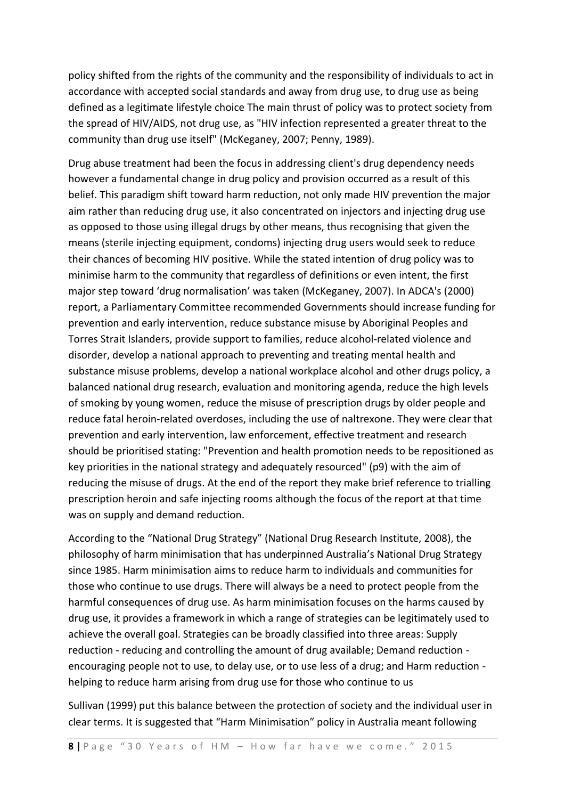policy shifted from the rights of the community and the responsibility of individuals to act in accordance with accepted social standards and away from drug use, to drug use as being defined as a legitimate lifestyle choice The main thrust of policy was to protect society from the spread of HIV/AIDS, not drug use, as "HIV infection represented a greater threat to the community than drug use itself" (McKeganey, 2007; Penny, 1989).

Drug abuse treatment had been the focus in addressing client's drug dependency needs however a fundamental change in drug policy and provision occurred as a result of this belief. This paradigm shift toward harm reduction, not only made HIV prevention the major aim rather than reducing drug use, it also concentrated on injectors and injecting drug use as opposed to those using illegal drugs by other means, thus recognising that given the means (sterile injecting equipment, condoms) injecting drug users would seek to reduce their chances of becoming HIV positive. While the stated intention of drug policy was to minimise harm to the community that regardless of definitions or even intent, the first major step toward 'drug normalisation' was taken (McKeganey, 2007). In ADCA's (2000) report, a Parliamentary Committee recommended Governments should increase funding for prevention and early intervention, reduce substance misuse by Aboriginal Peoples and Torres Strait Islanders, provide support to families, reduce alcohol-related violence and disorder, develop a national approach to preventing and treating mental health and substance misuse problems, develop a national workplace alcohol and other drugs policy, a balanced national drug research, evaluation and monitoring agenda, reduce the high levels of smoking by young women, reduce the misuse of prescription drugs by older people and reduce fatal heroin-related overdoses, including the use of naltrexone. They were clear that prevention and early intervention, law enforcement, effective treatment and research should be prioritised stating: "Prevention and health promotion needs to be repositioned as key priorities in the national strategy and adequately resourced" (p9) with the aim of reducing the misuse of drugs. At the end of the report they make brief reference to trialling prescription heroin and safe injecting rooms although the focus of the report at that time was on supply and demand reduction.

According to the "National Drug Strategy" (National Drug Research Institute, 2008), the philosophy of harm minimisation that has underpinned Australia's National Drug Strategy since 1985. Harm minimisation aims to reduce harm to individuals and communities for those who continue to use drugs. There will always be a need to protect people from the harmful consequences of drug use. As harm minimisation focuses on the harms caused by drug use, it provides a framework in which a range of strategies can be legitimately used to achieve the overall goal. Strategies can be broadly classified into three areas: Supply reduction - reducing and controlling the amount of drug available; Demand reduction encouraging people not to use, to delay use, or to use less of a drug; and Harm reduction helping to reduce harm arising from drug use for those who continue to us

Sullivan (1999) put this balance between the protection of society and the individual user in clear terms. It is suggested that "Harm Minimisation" policy in Australia meant following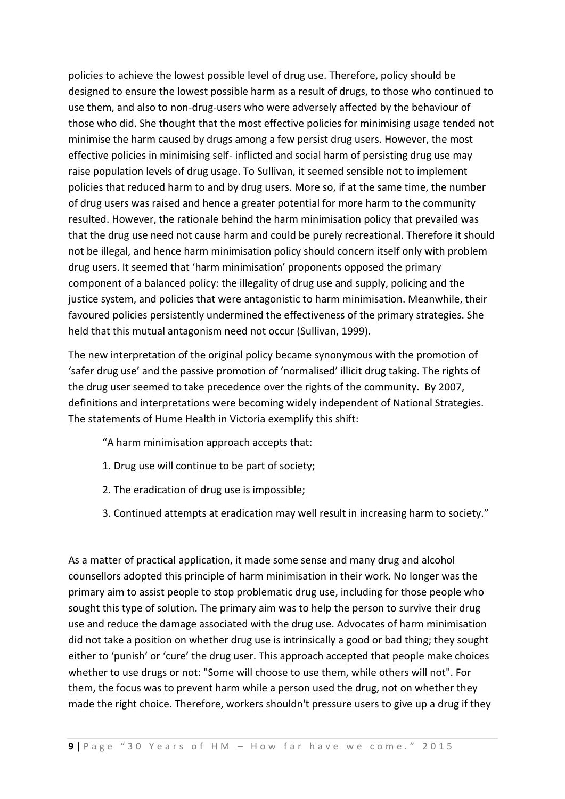policies to achieve the lowest possible level of drug use. Therefore, policy should be designed to ensure the lowest possible harm as a result of drugs, to those who continued to use them, and also to non-drug-users who were adversely affected by the behaviour of those who did. She thought that the most effective policies for minimising usage tended not minimise the harm caused by drugs among a few persist drug users. However, the most effective policies in minimising self- inflicted and social harm of persisting drug use may raise population levels of drug usage. To Sullivan, it seemed sensible not to implement policies that reduced harm to and by drug users. More so, if at the same time, the number of drug users was raised and hence a greater potential for more harm to the community resulted. However, the rationale behind the harm minimisation policy that prevailed was that the drug use need not cause harm and could be purely recreational. Therefore it should not be illegal, and hence harm minimisation policy should concern itself only with problem drug users. It seemed that 'harm minimisation' proponents opposed the primary component of a balanced policy: the illegality of drug use and supply, policing and the justice system, and policies that were antagonistic to harm minimisation. Meanwhile, their favoured policies persistently undermined the effectiveness of the primary strategies. She held that this mutual antagonism need not occur (Sullivan, 1999).

The new interpretation of the original policy became synonymous with the promotion of 'safer drug use' and the passive promotion of 'normalised' illicit drug taking. The rights of the drug user seemed to take precedence over the rights of the community. By 2007, definitions and interpretations were becoming widely independent of National Strategies. The statements of Hume Health in Victoria exemplify this shift:

"A harm minimisation approach accepts that:

- 1. Drug use will continue to be part of society;
- 2. The eradication of drug use is impossible;
- 3. Continued attempts at eradication may well result in increasing harm to society."

As a matter of practical application, it made some sense and many drug and alcohol counsellors adopted this principle of harm minimisation in their work. No longer was the primary aim to assist people to stop problematic drug use, including for those people who sought this type of solution. The primary aim was to help the person to survive their drug use and reduce the damage associated with the drug use. Advocates of harm minimisation did not take a position on whether drug use is intrinsically a good or bad thing; they sought either to 'punish' or 'cure' the drug user. This approach accepted that people make choices whether to use drugs or not: "Some will choose to use them, while others will not". For them, the focus was to prevent harm while a person used the drug, not on whether they made the right choice. Therefore, workers shouldn't pressure users to give up a drug if they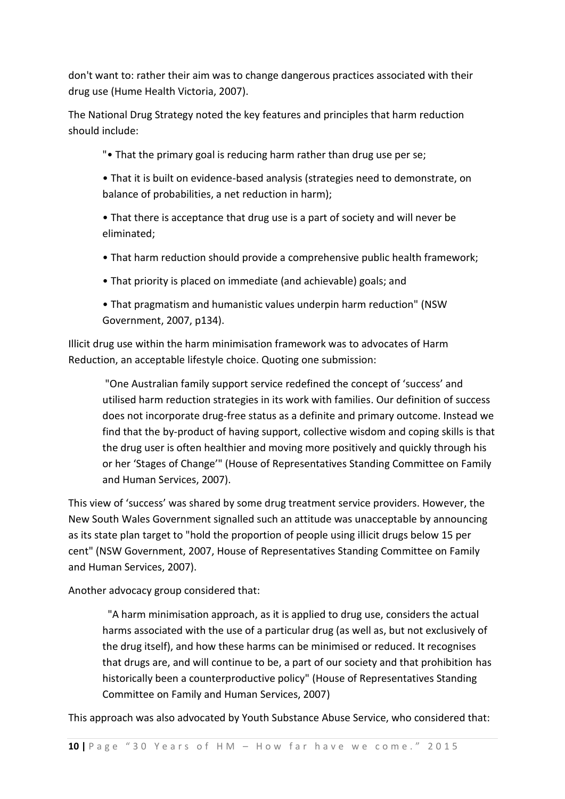don't want to: rather their aim was to change dangerous practices associated with their drug use (Hume Health Victoria, 2007).

The National Drug Strategy noted the key features and principles that harm reduction should include:

"• That the primary goal is reducing harm rather than drug use per se;

• That it is built on evidence-based analysis (strategies need to demonstrate, on balance of probabilities, a net reduction in harm);

• That there is acceptance that drug use is a part of society and will never be eliminated;

- That harm reduction should provide a comprehensive public health framework;
- That priority is placed on immediate (and achievable) goals; and

• That pragmatism and humanistic values underpin harm reduction" (NSW Government, 2007, p134).

Illicit drug use within the harm minimisation framework was to advocates of Harm Reduction, an acceptable lifestyle choice. Quoting one submission:

"One Australian family support service redefined the concept of 'success' and utilised harm reduction strategies in its work with families. Our definition of success does not incorporate drug-free status as a definite and primary outcome. Instead we find that the by-product of having support, collective wisdom and coping skills is that the drug user is often healthier and moving more positively and quickly through his or her 'Stages of Change'" (House of Representatives Standing Committee on Family and Human Services, 2007).

This view of 'success' was shared by some drug treatment service providers. However, the New South Wales Government signalled such an attitude was unacceptable by announcing as its state plan target to "hold the proportion of people using illicit drugs below 15 per cent" (NSW Government, 2007, House of Representatives Standing Committee on Family and Human Services, 2007).

Another advocacy group considered that:

 "A harm minimisation approach, as it is applied to drug use, considers the actual harms associated with the use of a particular drug (as well as, but not exclusively of the drug itself), and how these harms can be minimised or reduced. It recognises that drugs are, and will continue to be, a part of our society and that prohibition has historically been a counterproductive policy" (House of Representatives Standing Committee on Family and Human Services, 2007)

This approach was also advocated by Youth Substance Abuse Service, who considered that: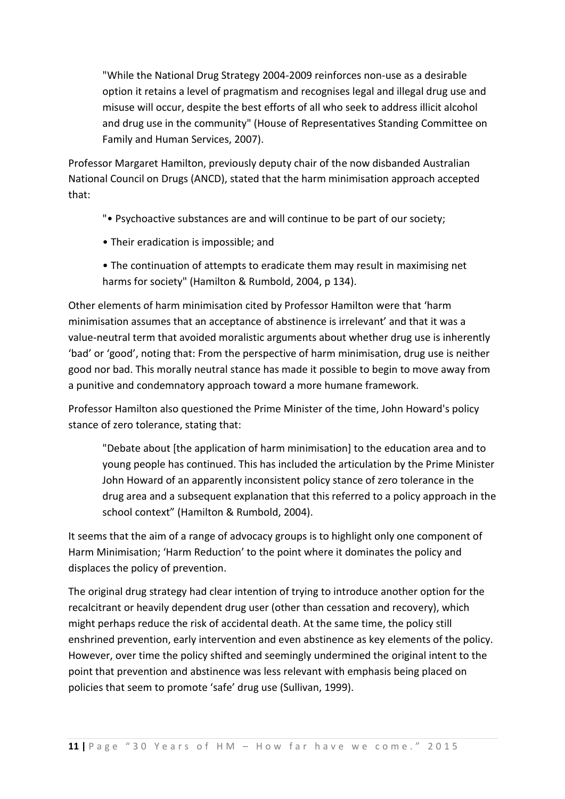"While the National Drug Strategy 2004-2009 reinforces non-use as a desirable option it retains a level of pragmatism and recognises legal and illegal drug use and misuse will occur, despite the best efforts of all who seek to address illicit alcohol and drug use in the community" (House of Representatives Standing Committee on Family and Human Services, 2007).

Professor Margaret Hamilton, previously deputy chair of the now disbanded Australian National Council on Drugs (ANCD), stated that the harm minimisation approach accepted that:

- "• Psychoactive substances are and will continue to be part of our society;
- Their eradication is impossible; and
- The continuation of attempts to eradicate them may result in maximising net harms for society" (Hamilton & Rumbold, 2004, p 134).

Other elements of harm minimisation cited by Professor Hamilton were that 'harm minimisation assumes that an acceptance of abstinence is irrelevant' and that it was a value-neutral term that avoided moralistic arguments about whether drug use is inherently 'bad' or 'good', noting that: From the perspective of harm minimisation, drug use is neither good nor bad. This morally neutral stance has made it possible to begin to move away from a punitive and condemnatory approach toward a more humane framework.

Professor Hamilton also questioned the Prime Minister of the time, John Howard's policy stance of zero tolerance, stating that:

"Debate about [the application of harm minimisation] to the education area and to young people has continued. This has included the articulation by the Prime Minister John Howard of an apparently inconsistent policy stance of zero tolerance in the drug area and a subsequent explanation that this referred to a policy approach in the school context" (Hamilton & Rumbold, 2004).

It seems that the aim of a range of advocacy groups is to highlight only one component of Harm Minimisation; 'Harm Reduction' to the point where it dominates the policy and displaces the policy of prevention.

The original drug strategy had clear intention of trying to introduce another option for the recalcitrant or heavily dependent drug user (other than cessation and recovery), which might perhaps reduce the risk of accidental death. At the same time, the policy still enshrined prevention, early intervention and even abstinence as key elements of the policy. However, over time the policy shifted and seemingly undermined the original intent to the point that prevention and abstinence was less relevant with emphasis being placed on policies that seem to promote 'safe' drug use (Sullivan, 1999).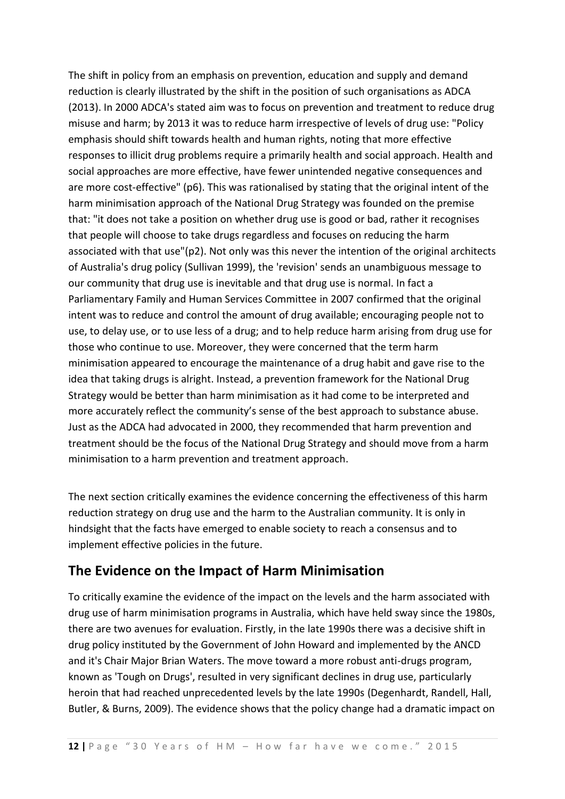The shift in policy from an emphasis on prevention, education and supply and demand reduction is clearly illustrated by the shift in the position of such organisations as ADCA (2013). In 2000 ADCA's stated aim was to focus on prevention and treatment to reduce drug misuse and harm; by 2013 it was to reduce harm irrespective of levels of drug use: "Policy emphasis should shift towards health and human rights, noting that more effective responses to illicit drug problems require a primarily health and social approach. Health and social approaches are more effective, have fewer unintended negative consequences and are more cost-effective" (p6). This was rationalised by stating that the original intent of the harm minimisation approach of the National Drug Strategy was founded on the premise that: "it does not take a position on whether drug use is good or bad, rather it recognises that people will choose to take drugs regardless and focuses on reducing the harm associated with that use"(p2). Not only was this never the intention of the original architects of Australia's drug policy (Sullivan 1999), the 'revision' sends an unambiguous message to our community that drug use is inevitable and that drug use is normal. In fact a Parliamentary Family and Human Services Committee in 2007 confirmed that the original intent was to reduce and control the amount of drug available; encouraging people not to use, to delay use, or to use less of a drug; and to help reduce harm arising from drug use for those who continue to use. Moreover, they were concerned that the term harm minimisation appeared to encourage the maintenance of a drug habit and gave rise to the idea that taking drugs is alright. Instead, a prevention framework for the National Drug Strategy would be better than harm minimisation as it had come to be interpreted and more accurately reflect the community's sense of the best approach to substance abuse. Just as the ADCA had advocated in 2000, they recommended that harm prevention and treatment should be the focus of the National Drug Strategy and should move from a harm minimisation to a harm prevention and treatment approach.

The next section critically examines the evidence concerning the effectiveness of this harm reduction strategy on drug use and the harm to the Australian community. It is only in hindsight that the facts have emerged to enable society to reach a consensus and to implement effective policies in the future.

# **The Evidence on the Impact of Harm Minimisation**

To critically examine the evidence of the impact on the levels and the harm associated with drug use of harm minimisation programs in Australia, which have held sway since the 1980s, there are two avenues for evaluation. Firstly, in the late 1990s there was a decisive shift in drug policy instituted by the Government of John Howard and implemented by the ANCD and it's Chair Major Brian Waters. The move toward a more robust anti-drugs program, known as 'Tough on Drugs', resulted in very significant declines in drug use, particularly heroin that had reached unprecedented levels by the late 1990s (Degenhardt, Randell, Hall, Butler, & Burns, 2009). The evidence shows that the policy change had a dramatic impact on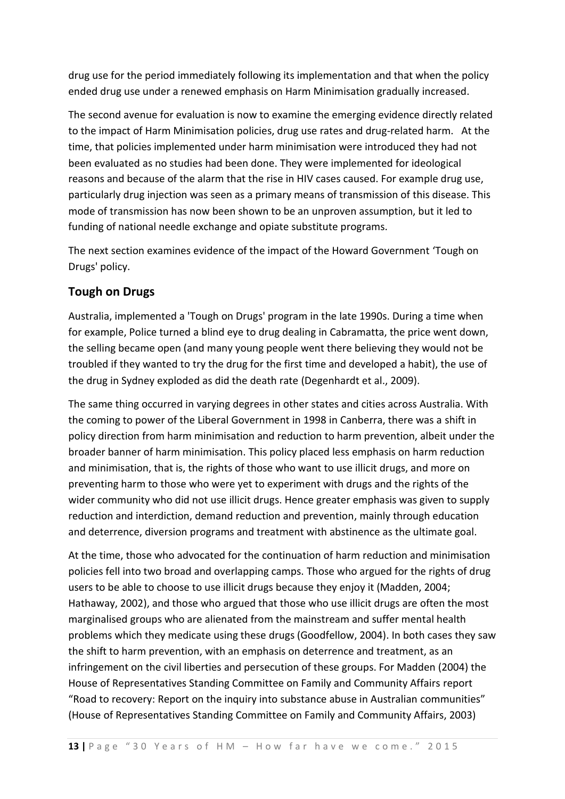drug use for the period immediately following its implementation and that when the policy ended drug use under a renewed emphasis on Harm Minimisation gradually increased.

The second avenue for evaluation is now to examine the emerging evidence directly related to the impact of Harm Minimisation policies, drug use rates and drug-related harm. At the time, that policies implemented under harm minimisation were introduced they had not been evaluated as no studies had been done. They were implemented for ideological reasons and because of the alarm that the rise in HIV cases caused. For example drug use, particularly drug injection was seen as a primary means of transmission of this disease. This mode of transmission has now been shown to be an unproven assumption, but it led to funding of national needle exchange and opiate substitute programs.

The next section examines evidence of the impact of the Howard Government 'Tough on Drugs' policy.

#### **Tough on Drugs**

Australia, implemented a 'Tough on Drugs' program in the late 1990s. During a time when for example, Police turned a blind eye to drug dealing in Cabramatta, the price went down, the selling became open (and many young people went there believing they would not be troubled if they wanted to try the drug for the first time and developed a habit), the use of the drug in Sydney exploded as did the death rate (Degenhardt et al., 2009).

The same thing occurred in varying degrees in other states and cities across Australia. With the coming to power of the Liberal Government in 1998 in Canberra, there was a shift in policy direction from harm minimisation and reduction to harm prevention, albeit under the broader banner of harm minimisation. This policy placed less emphasis on harm reduction and minimisation, that is, the rights of those who want to use illicit drugs, and more on preventing harm to those who were yet to experiment with drugs and the rights of the wider community who did not use illicit drugs. Hence greater emphasis was given to supply reduction and interdiction, demand reduction and prevention, mainly through education and deterrence, diversion programs and treatment with abstinence as the ultimate goal.

At the time, those who advocated for the continuation of harm reduction and minimisation policies fell into two broad and overlapping camps. Those who argued for the rights of drug users to be able to choose to use illicit drugs because they enjoy it (Madden, 2004; Hathaway, 2002), and those who argued that those who use illicit drugs are often the most marginalised groups who are alienated from the mainstream and suffer mental health problems which they medicate using these drugs (Goodfellow, 2004). In both cases they saw the shift to harm prevention, with an emphasis on deterrence and treatment, as an infringement on the civil liberties and persecution of these groups. For Madden (2004) the House of Representatives Standing Committee on Family and Community Affairs report "Road to recovery: Report on the inquiry into substance abuse in Australian communities" (House of Representatives Standing Committee on Family and Community Affairs, 2003)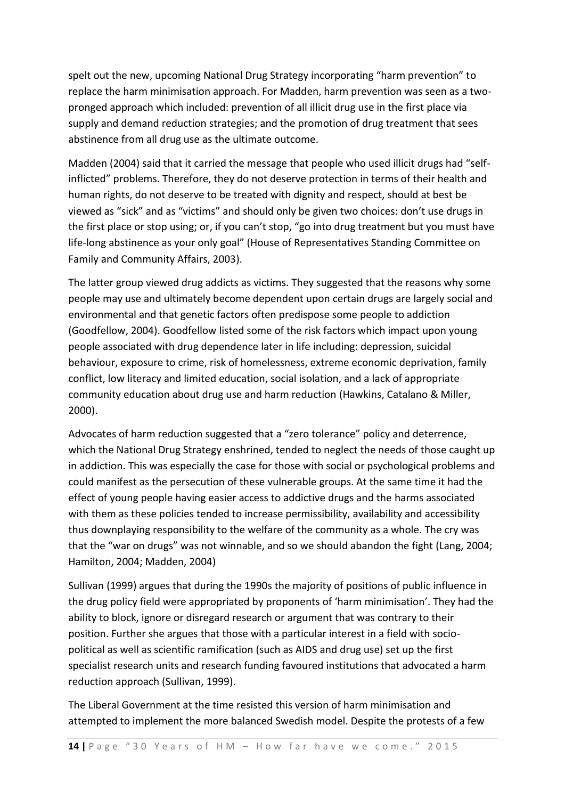spelt out the new, upcoming National Drug Strategy incorporating "harm prevention" to replace the harm minimisation approach. For Madden, harm prevention was seen as a twopronged approach which included: prevention of all illicit drug use in the first place via supply and demand reduction strategies; and the promotion of drug treatment that sees abstinence from all drug use as the ultimate outcome.

Madden (2004) said that it carried the message that people who used illicit drugs had "selfinflicted" problems. Therefore, they do not deserve protection in terms of their health and human rights, do not deserve to be treated with dignity and respect, should at best be viewed as "sick" and as "victims" and should only be given two choices: don't use drugs in the first place or stop using; or, if you can't stop, "go into drug treatment but you must have life-long abstinence as your only goal" (House of Representatives Standing Committee on Family and Community Affairs, 2003).

The latter group viewed drug addicts as victims. They suggested that the reasons why some people may use and ultimately become dependent upon certain drugs are largely social and environmental and that genetic factors often predispose some people to addiction (Goodfellow, 2004). Goodfellow listed some of the risk factors which impact upon young people associated with drug dependence later in life including: depression, suicidal behaviour, exposure to crime, risk of homelessness, extreme economic deprivation, family conflict, low literacy and limited education, social isolation, and a lack of appropriate community education about drug use and harm reduction (Hawkins, Catalano & Miller, 2000).

Advocates of harm reduction suggested that a "zero tolerance" policy and deterrence, which the National Drug Strategy enshrined, tended to neglect the needs of those caught up in addiction. This was especially the case for those with social or psychological problems and could manifest as the persecution of these vulnerable groups. At the same time it had the effect of young people having easier access to addictive drugs and the harms associated with them as these policies tended to increase permissibility, availability and accessibility thus downplaying responsibility to the welfare of the community as a whole. The cry was that the "war on drugs" was not winnable, and so we should abandon the fight (Lang, 2004; Hamilton, 2004; Madden, 2004)

Sullivan (1999) argues that during the 1990s the majority of positions of public influence in the drug policy field were appropriated by proponents of 'harm minimisation'. They had the ability to block, ignore or disregard research or argument that was contrary to their position. Further she argues that those with a particular interest in a field with sociopolitical as well as scientific ramification (such as AIDS and drug use) set up the first specialist research units and research funding favoured institutions that advocated a harm reduction approach (Sullivan, 1999).

The Liberal Government at the time resisted this version of harm minimisation and attempted to implement the more balanced Swedish model. Despite the protests of a few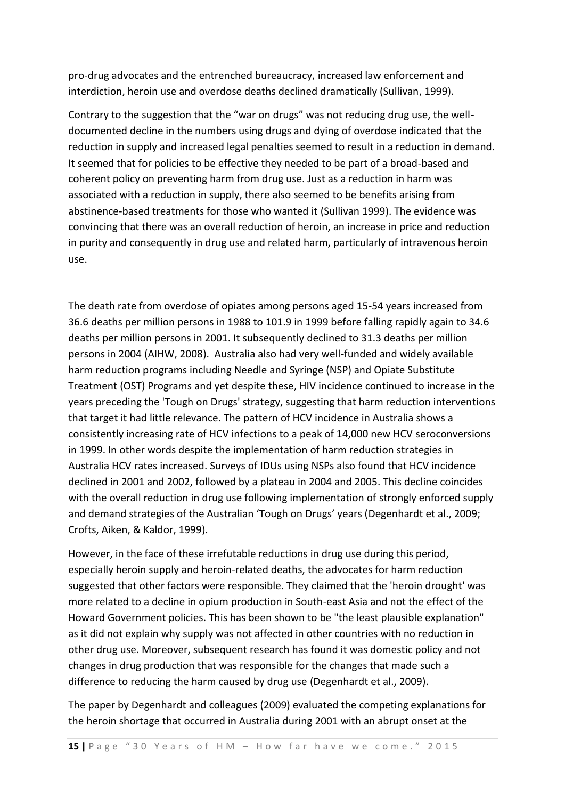pro-drug advocates and the entrenched bureaucracy, increased law enforcement and interdiction, heroin use and overdose deaths declined dramatically (Sullivan, 1999).

Contrary to the suggestion that the "war on drugs" was not reducing drug use, the welldocumented decline in the numbers using drugs and dying of overdose indicated that the reduction in supply and increased legal penalties seemed to result in a reduction in demand. It seemed that for policies to be effective they needed to be part of a broad-based and coherent policy on preventing harm from drug use. Just as a reduction in harm was associated with a reduction in supply, there also seemed to be benefits arising from abstinence-based treatments for those who wanted it (Sullivan 1999). The evidence was convincing that there was an overall reduction of heroin, an increase in price and reduction in purity and consequently in drug use and related harm, particularly of intravenous heroin use.

The death rate from overdose of opiates among persons aged 15-54 years increased from 36.6 deaths per million persons in 1988 to 101.9 in 1999 before falling rapidly again to 34.6 deaths per million persons in 2001. It subsequently declined to 31.3 deaths per million persons in 2004 (AIHW, 2008). Australia also had very well-funded and widely available harm reduction programs including Needle and Syringe (NSP) and Opiate Substitute Treatment (OST) Programs and yet despite these, HIV incidence continued to increase in the years preceding the 'Tough on Drugs' strategy, suggesting that harm reduction interventions that target it had little relevance. The pattern of HCV incidence in Australia shows a consistently increasing rate of HCV infections to a peak of 14,000 new HCV seroconversions in 1999. In other words despite the implementation of harm reduction strategies in Australia HCV rates increased. Surveys of IDUs using NSPs also found that HCV incidence declined in 2001 and 2002, followed by a plateau in 2004 and 2005. This decline coincides with the overall reduction in drug use following implementation of strongly enforced supply and demand strategies of the Australian 'Tough on Drugs' years (Degenhardt et al., 2009; Crofts, Aiken, & Kaldor, 1999).

However, in the face of these irrefutable reductions in drug use during this period, especially heroin supply and heroin-related deaths, the advocates for harm reduction suggested that other factors were responsible. They claimed that the 'heroin drought' was more related to a decline in opium production in South-east Asia and not the effect of the Howard Government policies. This has been shown to be "the least plausible explanation" as it did not explain why supply was not affected in other countries with no reduction in other drug use. Moreover, subsequent research has found it was domestic policy and not changes in drug production that was responsible for the changes that made such a difference to reducing the harm caused by drug use (Degenhardt et al., 2009).

The paper by Degenhardt and colleagues (2009) evaluated the competing explanations for the heroin shortage that occurred in Australia during 2001 with an abrupt onset at the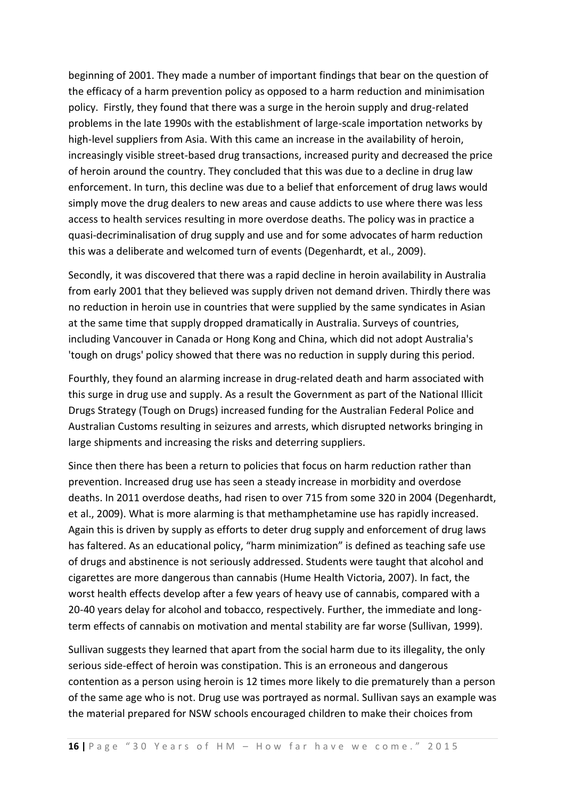beginning of 2001. They made a number of important findings that bear on the question of the efficacy of a harm prevention policy as opposed to a harm reduction and minimisation policy. Firstly, they found that there was a surge in the heroin supply and drug-related problems in the late 1990s with the establishment of large-scale importation networks by high-level suppliers from Asia. With this came an increase in the availability of heroin, increasingly visible street-based drug transactions, increased purity and decreased the price of heroin around the country. They concluded that this was due to a decline in drug law enforcement. In turn, this decline was due to a belief that enforcement of drug laws would simply move the drug dealers to new areas and cause addicts to use where there was less access to health services resulting in more overdose deaths. The policy was in practice a quasi-decriminalisation of drug supply and use and for some advocates of harm reduction this was a deliberate and welcomed turn of events (Degenhardt, et al., 2009).

Secondly, it was discovered that there was a rapid decline in heroin availability in Australia from early 2001 that they believed was supply driven not demand driven. Thirdly there was no reduction in heroin use in countries that were supplied by the same syndicates in Asian at the same time that supply dropped dramatically in Australia. Surveys of countries, including Vancouver in Canada or Hong Kong and China, which did not adopt Australia's 'tough on drugs' policy showed that there was no reduction in supply during this period.

Fourthly, they found an alarming increase in drug-related death and harm associated with this surge in drug use and supply. As a result the Government as part of the National Illicit Drugs Strategy (Tough on Drugs) increased funding for the Australian Federal Police and Australian Customs resulting in seizures and arrests, which disrupted networks bringing in large shipments and increasing the risks and deterring suppliers.

Since then there has been a return to policies that focus on harm reduction rather than prevention. Increased drug use has seen a steady increase in morbidity and overdose deaths. In 2011 overdose deaths, had risen to over 715 from some 320 in 2004 (Degenhardt, et al., 2009). What is more alarming is that methamphetamine use has rapidly increased. Again this is driven by supply as efforts to deter drug supply and enforcement of drug laws has faltered. As an educational policy, "harm minimization" is defined as teaching safe use of drugs and abstinence is not seriously addressed. Students were taught that alcohol and cigarettes are more dangerous than cannabis (Hume Health Victoria, 2007). In fact, the worst health effects develop after a few years of heavy use of cannabis, compared with a 20-40 years delay for alcohol and tobacco, respectively. Further, the immediate and longterm effects of cannabis on motivation and mental stability are far worse (Sullivan, 1999).

Sullivan suggests they learned that apart from the social harm due to its illegality, the only serious side-effect of heroin was constipation. This is an erroneous and dangerous contention as a person using heroin is 12 times more likely to die prematurely than a person of the same age who is not. Drug use was portrayed as normal. Sullivan says an example was the material prepared for NSW schools encouraged children to make their choices from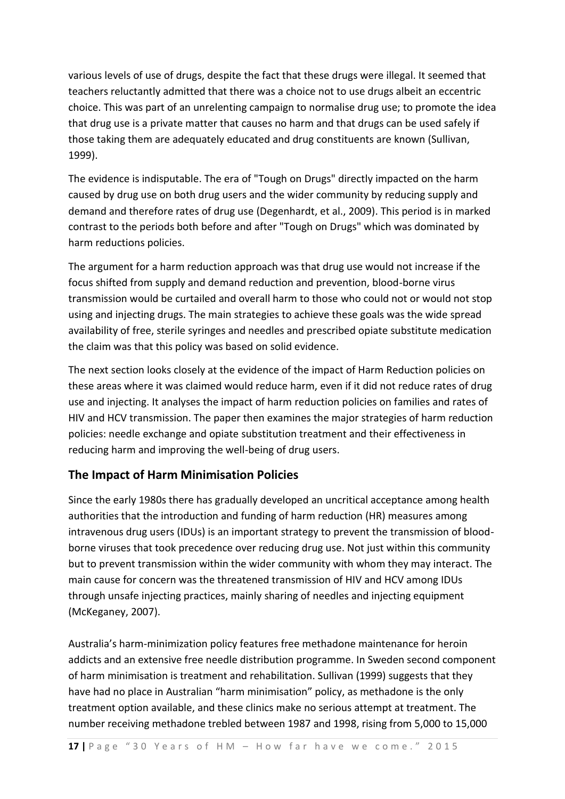various levels of use of drugs, despite the fact that these drugs were illegal. It seemed that teachers reluctantly admitted that there was a choice not to use drugs albeit an eccentric choice. This was part of an unrelenting campaign to normalise drug use; to promote the idea that drug use is a private matter that causes no harm and that drugs can be used safely if those taking them are adequately educated and drug constituents are known (Sullivan, 1999).

The evidence is indisputable. The era of "Tough on Drugs" directly impacted on the harm caused by drug use on both drug users and the wider community by reducing supply and demand and therefore rates of drug use (Degenhardt, et al., 2009). This period is in marked contrast to the periods both before and after "Tough on Drugs" which was dominated by harm reductions policies.

The argument for a harm reduction approach was that drug use would not increase if the focus shifted from supply and demand reduction and prevention, blood-borne virus transmission would be curtailed and overall harm to those who could not or would not stop using and injecting drugs. The main strategies to achieve these goals was the wide spread availability of free, sterile syringes and needles and prescribed opiate substitute medication the claim was that this policy was based on solid evidence.

The next section looks closely at the evidence of the impact of Harm Reduction policies on these areas where it was claimed would reduce harm, even if it did not reduce rates of drug use and injecting. It analyses the impact of harm reduction policies on families and rates of HIV and HCV transmission. The paper then examines the major strategies of harm reduction policies: needle exchange and opiate substitution treatment and their effectiveness in reducing harm and improving the well-being of drug users.

## **The Impact of Harm Minimisation Policies**

Since the early 1980s there has gradually developed an uncritical acceptance among health authorities that the introduction and funding of harm reduction (HR) measures among intravenous drug users (IDUs) is an important strategy to prevent the transmission of bloodborne viruses that took precedence over reducing drug use. Not just within this community but to prevent transmission within the wider community with whom they may interact. The main cause for concern was the threatened transmission of HIV and HCV among IDUs through unsafe injecting practices, mainly sharing of needles and injecting equipment (McKeganey, 2007).

Australia's harm-minimization policy features free methadone maintenance for heroin addicts and an extensive free needle distribution programme. In Sweden second component of harm minimisation is treatment and rehabilitation. Sullivan (1999) suggests that they have had no place in Australian "harm minimisation" policy, as methadone is the only treatment option available, and these clinics make no serious attempt at treatment. The number receiving methadone trebled between 1987 and 1998, rising from 5,000 to 15,000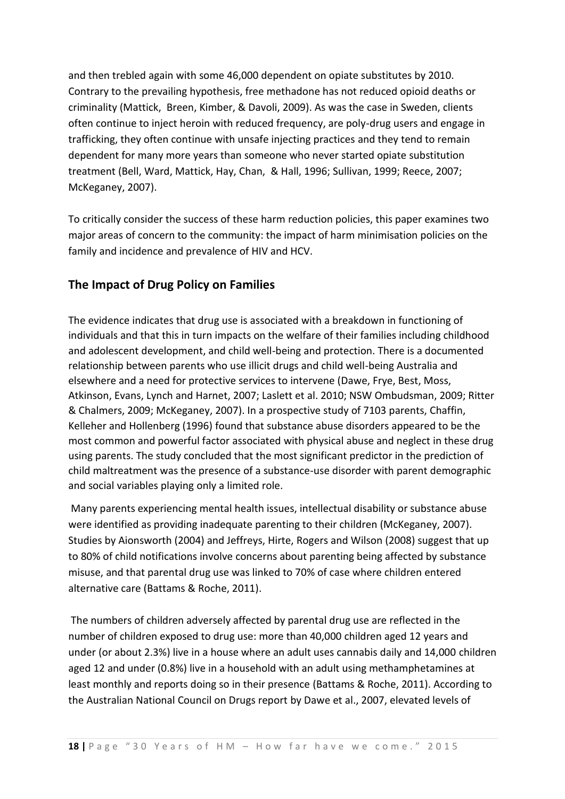and then trebled again with some 46,000 dependent on opiate substitutes by 2010. Contrary to the prevailing hypothesis, free methadone has not reduced opioid deaths or criminality (Mattick, Breen, Kimber, & Davoli, 2009). As was the case in Sweden, clients often continue to inject heroin with reduced frequency, are poly-drug users and engage in trafficking, they often continue with unsafe injecting practices and they tend to remain dependent for many more years than someone who never started opiate substitution treatment (Bell, Ward, Mattick, Hay, Chan, & Hall, 1996; Sullivan, 1999; Reece, 2007; McKeganey, 2007).

To critically consider the success of these harm reduction policies, this paper examines two major areas of concern to the community: the impact of harm minimisation policies on the family and incidence and prevalence of HIV and HCV.

## **The Impact of Drug Policy on Families**

The evidence indicates that drug use is associated with a breakdown in functioning of individuals and that this in turn impacts on the welfare of their families including childhood and adolescent development, and child well-being and protection. There is a documented relationship between parents who use illicit drugs and child well-being Australia and elsewhere and a need for protective services to intervene (Dawe, Frye, Best, Moss, Atkinson, Evans, Lynch and Harnet, 2007; Laslett et al. 2010; NSW Ombudsman, 2009; Ritter & Chalmers, 2009; McKeganey, 2007). In a prospective study of 7103 parents, Chaffin, Kelleher and Hollenberg (1996) found that substance abuse disorders appeared to be the most common and powerful factor associated with physical abuse and neglect in these drug using parents. The study concluded that the most significant predictor in the prediction of child maltreatment was the presence of a substance-use disorder with parent demographic and social variables playing only a limited role.

Many parents experiencing mental health issues, intellectual disability or substance abuse were identified as providing inadequate parenting to their children (McKeganey, 2007). Studies by Aionsworth (2004) and Jeffreys, Hirte, Rogers and Wilson (2008) suggest that up to 80% of child notifications involve concerns about parenting being affected by substance misuse, and that parental drug use was linked to 70% of case where children entered alternative care (Battams & Roche, 2011).

The numbers of children adversely affected by parental drug use are reflected in the number of children exposed to drug use: more than 40,000 children aged 12 years and under (or about 2.3%) live in a house where an adult uses cannabis daily and 14,000 children aged 12 and under (0.8%) live in a household with an adult using methamphetamines at least monthly and reports doing so in their presence (Battams & Roche, 2011). According to the Australian National Council on Drugs report by Dawe et al., 2007, elevated levels of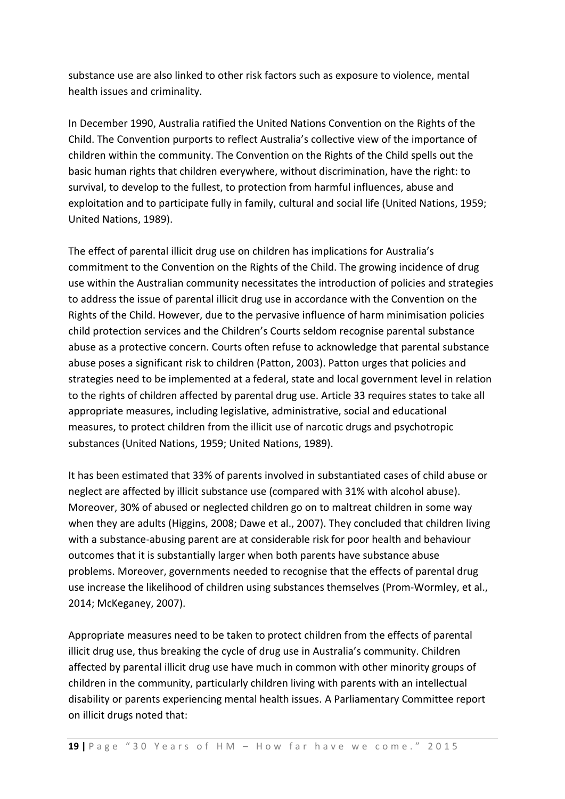substance use are also linked to other risk factors such as exposure to violence, mental health issues and criminality.

In December 1990, Australia ratified the United Nations Convention on the Rights of the Child. The Convention purports to reflect Australia's collective view of the importance of children within the community. The Convention on the Rights of the Child spells out the basic human rights that children everywhere, without discrimination, have the right: to survival, to develop to the fullest, to protection from harmful influences, abuse and exploitation and to participate fully in family, cultural and social life (United Nations, 1959; United Nations, 1989).

The effect of parental illicit drug use on children has implications for Australia's commitment to the Convention on the Rights of the Child. The growing incidence of drug use within the Australian community necessitates the introduction of policies and strategies to address the issue of parental illicit drug use in accordance with the Convention on the Rights of the Child. However, due to the pervasive influence of harm minimisation policies child protection services and the Children's Courts seldom recognise parental substance abuse as a protective concern. Courts often refuse to acknowledge that parental substance abuse poses a significant risk to children (Patton, 2003). Patton urges that policies and strategies need to be implemented at a federal, state and local government level in relation to the rights of children affected by parental drug use. Article 33 requires states to take all appropriate measures, including legislative, administrative, social and educational measures, to protect children from the illicit use of narcotic drugs and psychotropic substances (United Nations, 1959; United Nations, 1989).

It has been estimated that 33% of parents involved in substantiated cases of child abuse or neglect are affected by illicit substance use (compared with 31% with alcohol abuse). Moreover, 30% of abused or neglected children go on to maltreat children in some way when they are adults (Higgins, 2008; Dawe et al., 2007). They concluded that children living with a substance-abusing parent are at considerable risk for poor health and behaviour outcomes that it is substantially larger when both parents have substance abuse problems. Moreover, governments needed to recognise that the effects of parental drug use increase the likelihood of children using substances themselves (Prom-Wormley, et al., 2014; McKeganey, 2007).

Appropriate measures need to be taken to protect children from the effects of parental illicit drug use, thus breaking the cycle of drug use in Australia's community. Children affected by parental illicit drug use have much in common with other minority groups of children in the community, particularly children living with parents with an intellectual disability or parents experiencing mental health issues. A Parliamentary Committee report on illicit drugs noted that: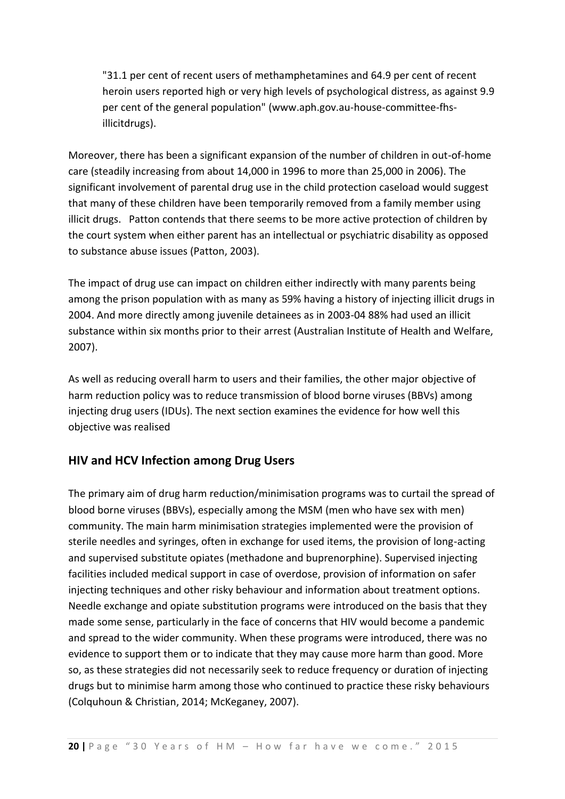"31.1 per cent of recent users of methamphetamines and 64.9 per cent of recent heroin users reported high or very high levels of psychological distress, as against 9.9 per cent of the general population" (www.aph.gov.au-house-committee-fhsillicitdrugs).

Moreover, there has been a significant expansion of the number of children in out-of-home care (steadily increasing from about 14,000 in 1996 to more than 25,000 in 2006). The significant involvement of parental drug use in the child protection caseload would suggest that many of these children have been temporarily removed from a family member using illicit drugs. Patton contends that there seems to be more active protection of children by the court system when either parent has an intellectual or psychiatric disability as opposed to substance abuse issues (Patton, 2003).

The impact of drug use can impact on children either indirectly with many parents being among the prison population with as many as 59% having a history of injecting illicit drugs in 2004. And more directly among juvenile detainees as in 2003-04 88% had used an illicit substance within six months prior to their arrest (Australian Institute of Health and Welfare, 2007).

As well as reducing overall harm to users and their families, the other major objective of harm reduction policy was to reduce transmission of blood borne viruses (BBVs) among injecting drug users (IDUs). The next section examines the evidence for how well this objective was realised

#### **HIV and HCV Infection among Drug Users**

The primary aim of drug harm reduction/minimisation programs was to curtail the spread of blood borne viruses (BBVs), especially among the MSM (men who have sex with men) community. The main harm minimisation strategies implemented were the provision of sterile needles and syringes, often in exchange for used items, the provision of long-acting and supervised substitute opiates (methadone and buprenorphine). Supervised injecting facilities included medical support in case of overdose, provision of information on safer injecting techniques and other risky behaviour and information about treatment options. Needle exchange and opiate substitution programs were introduced on the basis that they made some sense, particularly in the face of concerns that HIV would become a pandemic and spread to the wider community. When these programs were introduced, there was no evidence to support them or to indicate that they may cause more harm than good. More so, as these strategies did not necessarily seek to reduce frequency or duration of injecting drugs but to minimise harm among those who continued to practice these risky behaviours (Colquhoun & Christian, 2014; McKeganey, 2007).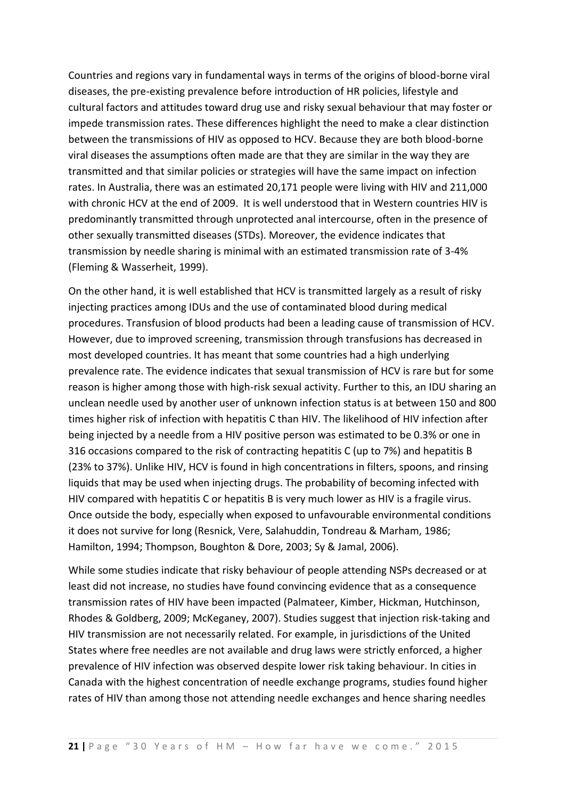Countries and regions vary in fundamental ways in terms of the origins of blood-borne viral diseases, the pre-existing prevalence before introduction of HR policies, lifestyle and cultural factors and attitudes toward drug use and risky sexual behaviour that may foster or impede transmission rates. These differences highlight the need to make a clear distinction between the transmissions of HIV as opposed to HCV. Because they are both blood-borne viral diseases the assumptions often made are that they are similar in the way they are transmitted and that similar policies or strategies will have the same impact on infection rates. In Australia, there was an estimated 20,171 people were living with HIV and 211,000 with chronic HCV at the end of 2009. It is well understood that in Western countries HIV is predominantly transmitted through unprotected anal intercourse, often in the presence of other sexually transmitted diseases (STDs). Moreover, the evidence indicates that transmission by needle sharing is minimal with an estimated transmission rate of 3-4% (Fleming & Wasserheit, 1999).

On the other hand, it is well established that HCV is transmitted largely as a result of risky injecting practices among IDUs and the use of contaminated blood during medical procedures. Transfusion of blood products had been a leading cause of transmission of HCV. However, due to improved screening, transmission through transfusions has decreased in most developed countries. It has meant that some countries had a high underlying prevalence rate. The evidence indicates that sexual transmission of HCV is rare but for some reason is higher among those with high-risk sexual activity. Further to this, an IDU sharing an unclean needle used by another user of unknown infection status is at between 150 and 800 times higher risk of infection with hepatitis C than HIV. The likelihood of HIV infection after being injected by a needle from a HIV positive person was estimated to be 0.3% or one in 316 occasions compared to the risk of contracting hepatitis C (up to 7%) and hepatitis B (23% to 37%). Unlike HIV, HCV is found in high concentrations in filters, spoons, and rinsing liquids that may be used when injecting drugs. The probability of becoming infected with HIV compared with hepatitis C or hepatitis B is very much lower as HIV is a fragile virus. Once outside the body, especially when exposed to unfavourable environmental conditions it does not survive for long (Resnick, Vere, Salahuddin, Tondreau & Marham, 1986; Hamilton, 1994; Thompson, Boughton & Dore, 2003; Sy & Jamal, 2006).

While some studies indicate that risky behaviour of people attending NSPs decreased or at least did not increase, no studies have found convincing evidence that as a consequence transmission rates of HIV have been impacted (Palmateer, Kimber, Hickman, Hutchinson, Rhodes & Goldberg, 2009; McKeganey, 2007). Studies suggest that injection risk-taking and HIV transmission are not necessarily related. For example, in jurisdictions of the United States where free needles are not available and drug laws were strictly enforced, a higher prevalence of HIV infection was observed despite lower risk taking behaviour. In cities in Canada with the highest concentration of needle exchange programs, studies found higher rates of HIV than among those not attending needle exchanges and hence sharing needles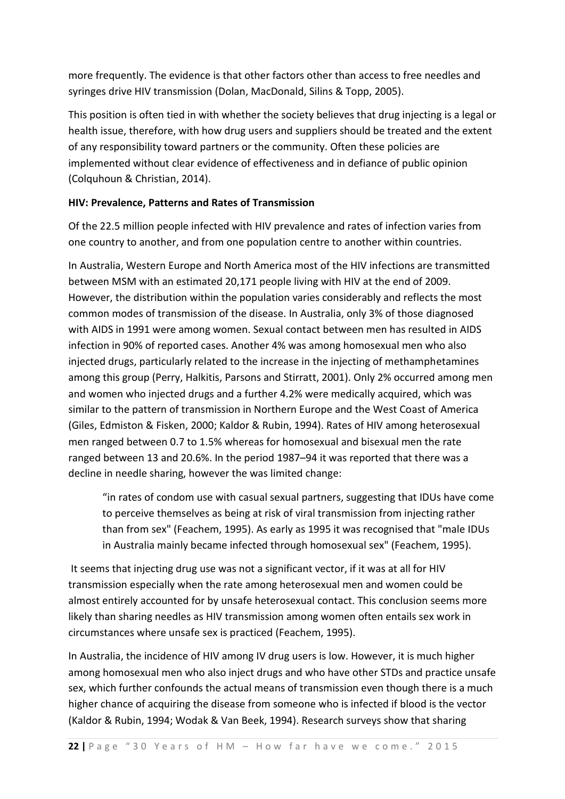more frequently. The evidence is that other factors other than access to free needles and syringes drive HIV transmission (Dolan, MacDonald, Silins & Topp, 2005).

This position is often tied in with whether the society believes that drug injecting is a legal or health issue, therefore, with how drug users and suppliers should be treated and the extent of any responsibility toward partners or the community. Often these policies are implemented without clear evidence of effectiveness and in defiance of public opinion (Colquhoun & Christian, 2014).

#### **HIV: Prevalence, Patterns and Rates of Transmission**

Of the 22.5 million people infected with HIV prevalence and rates of infection varies from one country to another, and from one population centre to another within countries.

In Australia, Western Europe and North America most of the HIV infections are transmitted between MSM with an estimated 20,171 people living with HIV at the end of 2009. However, the distribution within the population varies considerably and reflects the most common modes of transmission of the disease. In Australia, only 3% of those diagnosed with AIDS in 1991 were among women. Sexual contact between men has resulted in AIDS infection in 90% of reported cases. Another 4% was among homosexual men who also injected drugs, particularly related to the increase in the injecting of methamphetamines among this group (Perry, Halkitis, Parsons and Stirratt, 2001). Only 2% occurred among men and women who injected drugs and a further 4.2% were medically acquired, which was similar to the pattern of transmission in Northern Europe and the West Coast of America (Giles, Edmiston & Fisken, 2000; Kaldor & Rubin, 1994). Rates of HIV among heterosexual men ranged between 0.7 to 1.5% whereas for homosexual and bisexual men the rate ranged between 13 and 20.6%. In the period 1987–94 it was reported that there was a decline in needle sharing, however the was limited change:

"in rates of condom use with casual sexual partners, suggesting that IDUs have come to perceive themselves as being at risk of viral transmission from injecting rather than from sex" (Feachem, 1995). As early as 1995 it was recognised that "male IDUs in Australia mainly became infected through homosexual sex" (Feachem, 1995).

It seems that injecting drug use was not a significant vector, if it was at all for HIV transmission especially when the rate among heterosexual men and women could be almost entirely accounted for by unsafe heterosexual contact. This conclusion seems more likely than sharing needles as HIV transmission among women often entails sex work in circumstances where unsafe sex is practiced (Feachem, 1995).

In Australia, the incidence of HIV among IV drug users is low. However, it is much higher among homosexual men who also inject drugs and who have other STDs and practice unsafe sex, which further confounds the actual means of transmission even though there is a much higher chance of acquiring the disease from someone who is infected if blood is the vector (Kaldor & Rubin, 1994; Wodak & Van Beek, 1994). Research surveys show that sharing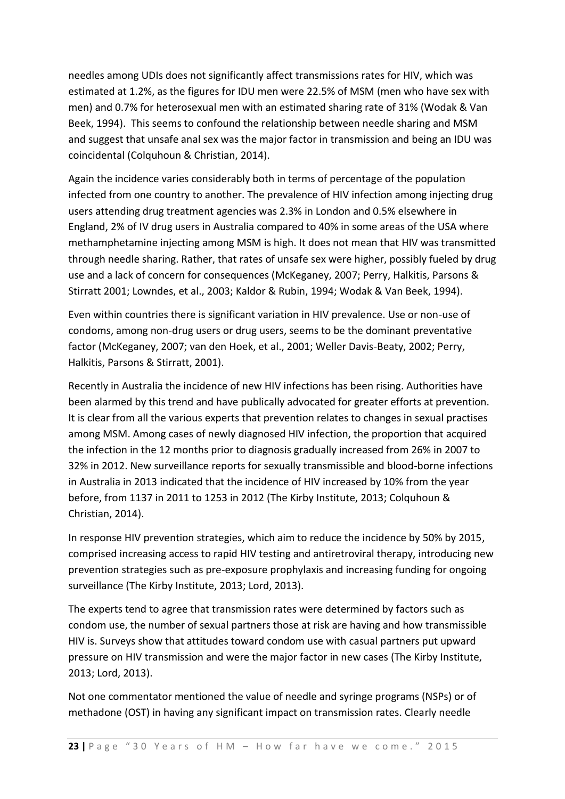needles among UDIs does not significantly affect transmissions rates for HIV, which was estimated at 1.2%, as the figures for IDU men were 22.5% of MSM (men who have sex with men) and 0.7% for heterosexual men with an estimated sharing rate of 31% (Wodak & Van Beek, 1994). This seems to confound the relationship between needle sharing and MSM and suggest that unsafe anal sex was the major factor in transmission and being an IDU was coincidental (Colquhoun & Christian, 2014).

Again the incidence varies considerably both in terms of percentage of the population infected from one country to another. The prevalence of HIV infection among injecting drug users attending drug treatment agencies was 2.3% in London and 0.5% elsewhere in England, 2% of IV drug users in Australia compared to 40% in some areas of the USA where methamphetamine injecting among MSM is high. It does not mean that HIV was transmitted through needle sharing. Rather, that rates of unsafe sex were higher, possibly fueled by drug use and a lack of concern for consequences (McKeganey, 2007; Perry, Halkitis, Parsons & Stirratt 2001; Lowndes, et al., 2003; Kaldor & Rubin, 1994; Wodak & Van Beek, 1994).

Even within countries there is significant variation in HIV prevalence. Use or non-use of condoms, among non-drug users or drug users, seems to be the dominant preventative factor (McKeganey, 2007; van den Hoek, et al., 2001; Weller Davis-Beaty, 2002; Perry, Halkitis, Parsons & Stirratt, 2001).

Recently in Australia the incidence of new HIV infections has been rising. Authorities have been alarmed by this trend and have publically advocated for greater efforts at prevention. It is clear from all the various experts that prevention relates to changes in sexual practises among MSM. Among cases of newly diagnosed HIV infection, the proportion that acquired the infection in the 12 months prior to diagnosis gradually increased from 26% in 2007 to 32% in 2012. New surveillance reports for sexually transmissible and blood-borne infections in Australia in 2013 indicated that the incidence of HIV increased by 10% from the year before, from 1137 in 2011 to 1253 in 2012 (The Kirby Institute, 2013; Colquhoun & Christian, 2014).

In response HIV prevention strategies, which aim to reduce the incidence by 50% by 2015, comprised increasing access to rapid HIV testing and antiretroviral therapy, introducing new prevention strategies such as pre-exposure prophylaxis and increasing funding for ongoing surveillance (The Kirby Institute, 2013; Lord, 2013).

The experts tend to agree that transmission rates were determined by factors such as condom use, the number of sexual partners those at risk are having and how transmissible HIV is. Surveys show that attitudes toward condom use with casual partners put upward pressure on HIV transmission and were the major factor in new cases (The Kirby Institute, 2013; Lord, 2013).

Not one commentator mentioned the value of needle and syringe programs (NSPs) or of methadone (OST) in having any significant impact on transmission rates. Clearly needle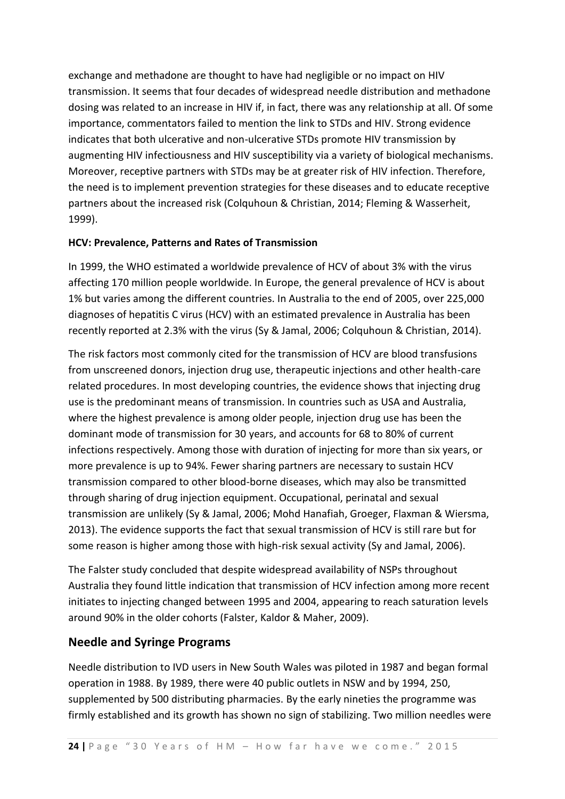exchange and methadone are thought to have had negligible or no impact on HIV transmission. It seems that four decades of widespread needle distribution and methadone dosing was related to an increase in HIV if, in fact, there was any relationship at all. Of some importance, commentators failed to mention the link to STDs and HIV. Strong evidence indicates that both ulcerative and non-ulcerative STDs promote HIV transmission by augmenting HIV infectiousness and HIV susceptibility via a variety of biological mechanisms. Moreover, receptive partners with STDs may be at greater risk of HIV infection. Therefore, the need is to implement prevention strategies for these diseases and to educate receptive partners about the increased risk (Colquhoun & Christian, 2014; Fleming & Wasserheit, 1999).

#### **HCV: Prevalence, Patterns and Rates of Transmission**

In 1999, the WHO estimated a worldwide prevalence of HCV of about 3% with the virus affecting 170 million people worldwide. In Europe, the general prevalence of HCV is about 1% but varies among the different countries. In Australia to the end of 2005, over 225,000 diagnoses of hepatitis C virus (HCV) with an estimated prevalence in Australia has been recently reported at 2.3% with the virus (Sy & Jamal, 2006; Colquhoun & Christian, 2014).

The risk factors most commonly cited for the transmission of HCV are blood transfusions from unscreened donors, injection drug use, therapeutic injections and other health-care related procedures. In most developing countries, the evidence shows that injecting drug use is the predominant means of transmission. In countries such as USA and Australia, where the highest prevalence is among older people, injection drug use has been the dominant mode of transmission for 30 years, and accounts for 68 to 80% of current infections respectively. Among those with duration of injecting for more than six years, or more prevalence is up to 94%. Fewer sharing partners are necessary to sustain HCV transmission compared to other blood-borne diseases, which may also be transmitted through sharing of drug injection equipment. Occupational, perinatal and sexual transmission are unlikely (Sy & Jamal, 2006; Mohd Hanafiah, Groeger, Flaxman & Wiersma, 2013). The evidence supports the fact that sexual transmission of HCV is still rare but for some reason is higher among those with high-risk sexual activity (Sy and Jamal, 2006).

The Falster study concluded that despite widespread availability of NSPs throughout Australia they found little indication that transmission of HCV infection among more recent initiates to injecting changed between 1995 and 2004, appearing to reach saturation levels around 90% in the older cohorts (Falster, Kaldor & Maher, 2009).

#### **Needle and Syringe Programs**

Needle distribution to IVD users in New South Wales was piloted in 1987 and began formal operation in 1988. By 1989, there were 40 public outlets in NSW and by 1994, 250, supplemented by 500 distributing pharmacies. By the early nineties the programme was firmly established and its growth has shown no sign of stabilizing. Two million needles were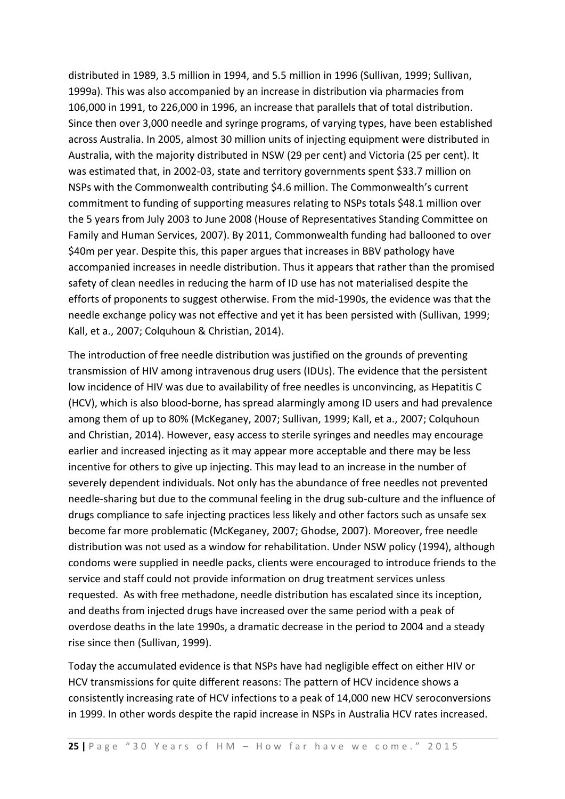distributed in 1989, 3.5 million in 1994, and 5.5 million in 1996 (Sullivan, 1999; Sullivan, 1999a). This was also accompanied by an increase in distribution via pharmacies from 106,000 in 1991, to 226,000 in 1996, an increase that parallels that of total distribution. Since then over 3,000 needle and syringe programs, of varying types, have been established across Australia. In 2005, almost 30 million units of injecting equipment were distributed in Australia, with the majority distributed in NSW (29 per cent) and Victoria (25 per cent). It was estimated that, in 2002-03, state and territory governments spent \$33.7 million on NSPs with the Commonwealth contributing \$4.6 million. The Commonwealth's current commitment to funding of supporting measures relating to NSPs totals \$48.1 million over the 5 years from July 2003 to June 2008 (House of Representatives Standing Committee on Family and Human Services, 2007). By 2011, Commonwealth funding had ballooned to over \$40m per year. Despite this, this paper argues that increases in BBV pathology have accompanied increases in needle distribution. Thus it appears that rather than the promised safety of clean needles in reducing the harm of ID use has not materialised despite the efforts of proponents to suggest otherwise. From the mid-1990s, the evidence was that the needle exchange policy was not effective and yet it has been persisted with (Sullivan, 1999; Kall, et a., 2007; Colquhoun & Christian, 2014).

The introduction of free needle distribution was justified on the grounds of preventing transmission of HIV among intravenous drug users (IDUs). The evidence that the persistent low incidence of HIV was due to availability of free needles is unconvincing, as Hepatitis C (HCV), which is also blood-borne, has spread alarmingly among ID users and had prevalence among them of up to 80% (McKeganey, 2007; Sullivan, 1999; Kall, et a., 2007; Colquhoun and Christian, 2014). However, easy access to sterile syringes and needles may encourage earlier and increased injecting as it may appear more acceptable and there may be less incentive for others to give up injecting. This may lead to an increase in the number of severely dependent individuals. Not only has the abundance of free needles not prevented needle-sharing but due to the communal feeling in the drug sub-culture and the influence of drugs compliance to safe injecting practices less likely and other factors such as unsafe sex become far more problematic (McKeganey, 2007; Ghodse, 2007). Moreover, free needle distribution was not used as a window for rehabilitation. Under NSW policy (1994), although condoms were supplied in needle packs, clients were encouraged to introduce friends to the service and staff could not provide information on drug treatment services unless requested. As with free methadone, needle distribution has escalated since its inception, and deaths from injected drugs have increased over the same period with a peak of overdose deaths in the late 1990s, a dramatic decrease in the period to 2004 and a steady rise since then (Sullivan, 1999).

Today the accumulated evidence is that NSPs have had negligible effect on either HIV or HCV transmissions for quite different reasons: The pattern of HCV incidence shows a consistently increasing rate of HCV infections to a peak of 14,000 new HCV seroconversions in 1999. In other words despite the rapid increase in NSPs in Australia HCV rates increased.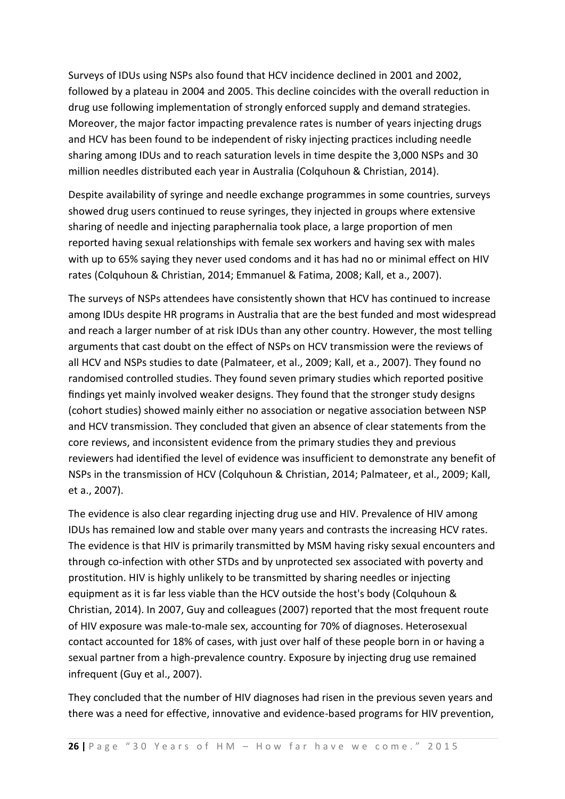Surveys of IDUs using NSPs also found that HCV incidence declined in 2001 and 2002, followed by a plateau in 2004 and 2005. This decline coincides with the overall reduction in drug use following implementation of strongly enforced supply and demand strategies. Moreover, the major factor impacting prevalence rates is number of years injecting drugs and HCV has been found to be independent of risky injecting practices including needle sharing among IDUs and to reach saturation levels in time despite the 3,000 NSPs and 30 million needles distributed each year in Australia (Colquhoun & Christian, 2014).

Despite availability of syringe and needle exchange programmes in some countries, surveys showed drug users continued to reuse syringes, they injected in groups where extensive sharing of needle and injecting paraphernalia took place, a large proportion of men reported having sexual relationships with female sex workers and having sex with males with up to 65% saying they never used condoms and it has had no or minimal effect on HIV rates (Colquhoun & Christian, 2014; Emmanuel & Fatima, 2008; Kall, et a., 2007).

The surveys of NSPs attendees have consistently shown that HCV has continued to increase among IDUs despite HR programs in Australia that are the best funded and most widespread and reach a larger number of at risk IDUs than any other country. However, the most telling arguments that cast doubt on the effect of NSPs on HCV transmission were the reviews of all HCV and NSPs studies to date (Palmateer, et al., 2009; Kall, et a., 2007). They found no randomised controlled studies. They found seven primary studies which reported positive findings yet mainly involved weaker designs. They found that the stronger study designs (cohort studies) showed mainly either no association or negative association between NSP and HCV transmission. They concluded that given an absence of clear statements from the core reviews, and inconsistent evidence from the primary studies they and previous reviewers had identified the level of evidence was insufficient to demonstrate any benefit of NSPs in the transmission of HCV (Colquhoun & Christian, 2014; Palmateer, et al., 2009; Kall, et a., 2007).

The evidence is also clear regarding injecting drug use and HIV. Prevalence of HIV among IDUs has remained low and stable over many years and contrasts the increasing HCV rates. The evidence is that HIV is primarily transmitted by MSM having risky sexual encounters and through co-infection with other STDs and by unprotected sex associated with poverty and prostitution. HIV is highly unlikely to be transmitted by sharing needles or injecting equipment as it is far less viable than the HCV outside the host's body (Colquhoun & Christian, 2014). In 2007, Guy and colleagues (2007) reported that the most frequent route of HIV exposure was male-to-male sex, accounting for 70% of diagnoses. Heterosexual contact accounted for 18% of cases, with just over half of these people born in or having a sexual partner from a high-prevalence country. Exposure by injecting drug use remained infrequent (Guy et al., 2007).

They concluded that the number of HIV diagnoses had risen in the previous seven years and there was a need for effective, innovative and evidence-based programs for HIV prevention,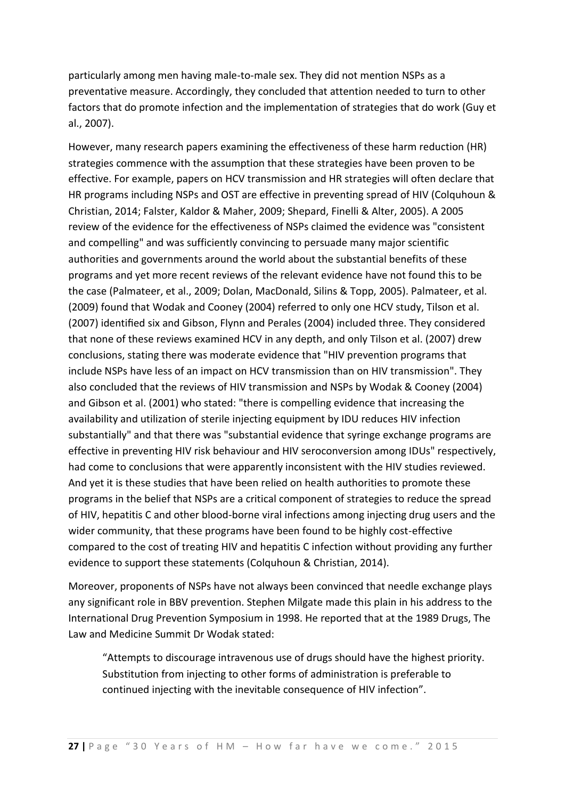particularly among men having male-to-male sex. They did not mention NSPs as a preventative measure. Accordingly, they concluded that attention needed to turn to other factors that do promote infection and the implementation of strategies that do work (Guy et al., 2007).

However, many research papers examining the effectiveness of these harm reduction (HR) strategies commence with the assumption that these strategies have been proven to be effective. For example, papers on HCV transmission and HR strategies will often declare that HR programs including NSPs and OST are effective in preventing spread of HIV (Colquhoun & Christian, 2014; Falster, Kaldor & Maher, 2009; Shepard, Finelli & Alter, 2005). A 2005 review of the evidence for the effectiveness of NSPs claimed the evidence was "consistent and compelling" and was sufficiently convincing to persuade many major scientific authorities and governments around the world about the substantial benefits of these programs and yet more recent reviews of the relevant evidence have not found this to be the case (Palmateer, et al., 2009; Dolan, MacDonald, Silins & Topp, 2005). Palmateer, et al. (2009) found that Wodak and Cooney (2004) referred to only one HCV study, Tilson et al. (2007) identified six and Gibson, Flynn and Perales (2004) included three. They considered that none of these reviews examined HCV in any depth, and only Tilson et al. (2007) drew conclusions, stating there was moderate evidence that "HIV prevention programs that include NSPs have less of an impact on HCV transmission than on HIV transmission". They also concluded that the reviews of HIV transmission and NSPs by Wodak & Cooney (2004) and Gibson et al. (2001) who stated: "there is compelling evidence that increasing the availability and utilization of sterile injecting equipment by IDU reduces HIV infection substantially" and that there was "substantial evidence that syringe exchange programs are effective in preventing HIV risk behaviour and HIV seroconversion among IDUs" respectively, had come to conclusions that were apparently inconsistent with the HIV studies reviewed. And yet it is these studies that have been relied on health authorities to promote these programs in the belief that NSPs are a critical component of strategies to reduce the spread of HIV, hepatitis C and other blood-borne viral infections among injecting drug users and the wider community, that these programs have been found to be highly cost-effective compared to the cost of treating HIV and hepatitis C infection without providing any further evidence to support these statements (Colquhoun & Christian, 2014).

Moreover, proponents of NSPs have not always been convinced that needle exchange plays any significant role in BBV prevention. Stephen Milgate made this plain in his address to the International Drug Prevention Symposium in 1998. He reported that at the 1989 Drugs, The Law and Medicine Summit Dr Wodak stated:

"Attempts to discourage intravenous use of drugs should have the highest priority. Substitution from injecting to other forms of administration is preferable to continued injecting with the inevitable consequence of HIV infection".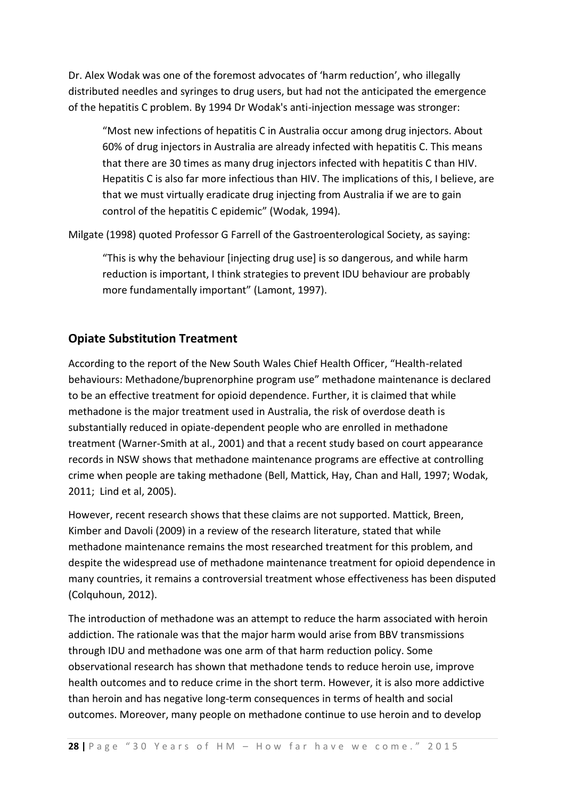Dr. Alex Wodak was one of the foremost advocates of 'harm reduction', who illegally distributed needles and syringes to drug users, but had not the anticipated the emergence of the hepatitis C problem. By 1994 Dr Wodak's anti-injection message was stronger:

"Most new infections of hepatitis C in Australia occur among drug injectors. About 60% of drug injectors in Australia are already infected with hepatitis C. This means that there are 30 times as many drug injectors infected with hepatitis C than HIV. Hepatitis C is also far more infectious than HIV. The implications of this, I believe, are that we must virtually eradicate drug injecting from Australia if we are to gain control of the hepatitis C epidemic" (Wodak, 1994).

Milgate (1998) quoted Professor G Farrell of the Gastroenterological Society, as saying:

"This is why the behaviour [injecting drug use] is so dangerous, and while harm reduction is important, I think strategies to prevent IDU behaviour are probably more fundamentally important" (Lamont, 1997).

#### **Opiate Substitution Treatment**

According to the report of the New South Wales Chief Health Officer, "Health-related behaviours: Methadone/buprenorphine program use" methadone maintenance is declared to be an effective treatment for opioid dependence. Further, it is claimed that while methadone is the major treatment used in Australia, the risk of overdose death is substantially reduced in opiate-dependent people who are enrolled in methadone treatment (Warner-Smith at al., 2001) and that a recent study based on court appearance records in NSW shows that methadone maintenance programs are effective at controlling crime when people are taking methadone [\(Bell,](https://espace.library.uq.edu.au/list/author/Bell%2C+James/) [Mattick,](https://espace.library.uq.edu.au/list/author/Mattick%2C+Richard/) [Hay,](https://espace.library.uq.edu.au/list/author/Hay%2C+Anna/) [Chan](https://espace.library.uq.edu.au/list/author/Chan%2C+Jennifer/) and Hall, 1997; Wodak, 2011; Lind et al, 2005).

However, recent research shows that these claims are not supported. Mattick, Breen, Kimber and Davoli (2009) in a review of the research literature, stated that while methadone maintenance remains the most researched treatment for this problem, and despite the widespread use of methadone maintenance treatment for opioid dependence in many countries, it remains a controversial treatment whose effectiveness has been disputed (Colquhoun, 2012).

The introduction of methadone was an attempt to reduce the harm associated with heroin addiction. The rationale was that the major harm would arise from BBV transmissions through IDU and methadone was one arm of that harm reduction policy. Some observational research has shown that methadone tends to reduce heroin use, improve health outcomes and to reduce crime in the short term. However, it is also more addictive than heroin and has negative long-term consequences in terms of health and social outcomes. Moreover, many people on methadone continue to use heroin and to develop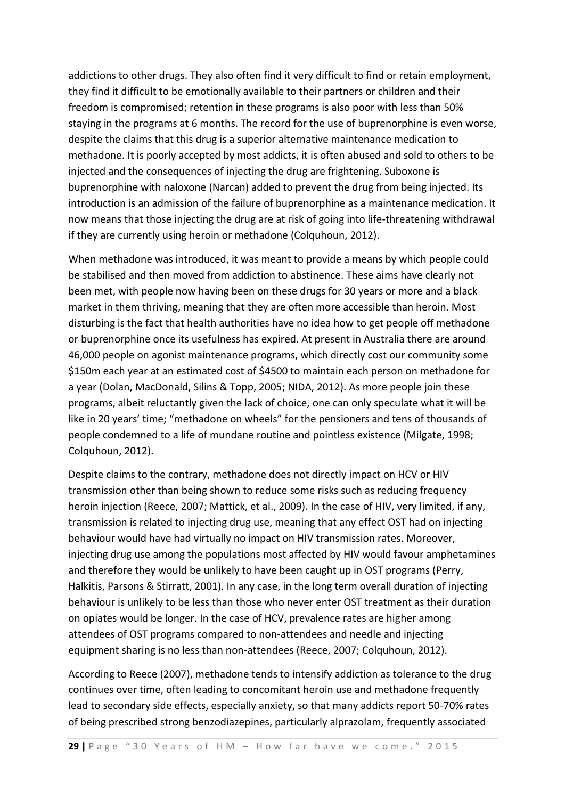addictions to other drugs. They also often find it very difficult to find or retain employment, they find it difficult to be emotionally available to their partners or children and their freedom is compromised; retention in these programs is also poor with less than 50% staying in the programs at 6 months. The record for the use of buprenorphine is even worse, despite the claims that this drug is a superior alternative maintenance medication to methadone. It is poorly accepted by most addicts, it is often abused and sold to others to be injected and the consequences of injecting the drug are frightening. Suboxone is buprenorphine with naloxone (Narcan) added to prevent the drug from being injected. Its introduction is an admission of the failure of buprenorphine as a maintenance medication. It now means that those injecting the drug are at risk of going into life-threatening withdrawal if they are currently using heroin or methadone (Colquhoun, 2012).

When methadone was introduced, it was meant to provide a means by which people could be stabilised and then moved from addiction to abstinence. These aims have clearly not been met, with people now having been on these drugs for 30 years or more and a black market in them thriving, meaning that they are often more accessible than heroin. Most disturbing is the fact that health authorities have no idea how to get people off methadone or buprenorphine once its usefulness has expired. At present in Australia there are around 46,000 people on agonist maintenance programs, which directly cost our community some \$150m each year at an estimated cost of \$4500 to maintain each person on methadone for a year (Dolan, MacDonald, Silins & Topp, 2005; NIDA, 2012). As more people join these programs, albeit reluctantly given the lack of choice, one can only speculate what it will be like in 20 years' time; "methadone on wheels" for the pensioners and tens of thousands of people condemned to a life of mundane routine and pointless existence (Milgate, 1998; Colquhoun, 2012).

Despite claims to the contrary, methadone does not directly impact on HCV or HIV transmission other than being shown to reduce some risks such as reducing frequency heroin injection (Reece, 2007; Mattick, et al., 2009). In the case of HIV, very limited, if any, transmission is related to injecting drug use, meaning that any effect OST had on injecting behaviour would have had virtually no impact on HIV transmission rates. Moreover, injecting drug use among the populations most affected by HIV would favour amphetamines and therefore they would be unlikely to have been caught up in OST programs (Perry, Halkitis, Parsons & Stirratt, 2001). In any case, in the long term overall duration of injecting behaviour is unlikely to be less than those who never enter OST treatment as their duration on opiates would be longer. In the case of HCV, prevalence rates are higher among attendees of OST programs compared to non-attendees and needle and injecting equipment sharing is no less than non-attendees (Reece, 2007; Colquhoun, 2012).

According to Reece (2007), methadone tends to intensify addiction as tolerance to the drug continues over time, often leading to concomitant heroin use and methadone frequently lead to secondary side effects, especially anxiety, so that many addicts report 50-70% rates of being prescribed strong benzodiazepines, particularly alprazolam, frequently associated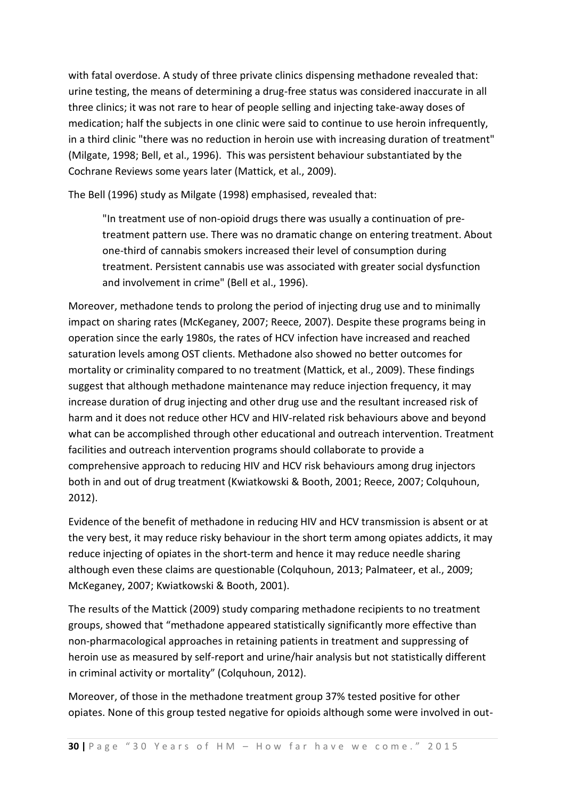with fatal overdose. A study of three private clinics dispensing methadone revealed that: urine testing, the means of determining a drug-free status was considered inaccurate in all three clinics; it was not rare to hear of people selling and injecting take-away doses of medication; half the subjects in one clinic were said to continue to use heroin infrequently, in a third clinic "there was no reduction in heroin use with increasing duration of treatment" (Milgate, 1998; Bell, et al., 1996). This was persistent behaviour substantiated by the Cochrane Reviews some years later (Mattick, et al., 2009).

The Bell (1996) study as Milgate (1998) emphasised, revealed that:

"In treatment use of non-opioid drugs there was usually a continuation of pretreatment pattern use. There was no dramatic change on entering treatment. About one-third of cannabis smokers increased their level of consumption during treatment. Persistent cannabis use was associated with greater social dysfunction and involvement in crime" (Bell et al., 1996).

Moreover, methadone tends to prolong the period of injecting drug use and to minimally impact on sharing rates (McKeganey, 2007; Reece, 2007). Despite these programs being in operation since the early 1980s, the rates of HCV infection have increased and reached saturation levels among OST clients. Methadone also showed no better outcomes for mortality or criminality compared to no treatment (Mattick, et al., 2009). These findings suggest that although methadone maintenance may reduce injection frequency, it may increase duration of drug injecting and other drug use and the resultant increased risk of harm and it does not reduce other HCV and HIV-related risk behaviours above and beyond what can be accomplished through other educational and outreach intervention. Treatment facilities and outreach intervention programs should collaborate to provide a comprehensive approach to reducing HIV and HCV risk behaviours among drug injectors both in and out of drug treatment (Kwiatkowski & Booth, 2001; Reece, 2007; Colquhoun, 2012).

Evidence of the benefit of methadone in reducing HIV and HCV transmission is absent or at the very best, it may reduce risky behaviour in the short term among opiates addicts, it may reduce injecting of opiates in the short-term and hence it may reduce needle sharing although even these claims are questionable (Colquhoun, 2013; Palmateer, et al., 2009; McKeganey, 2007; Kwiatkowski & Booth, 2001).

The results of the Mattick (2009) study comparing methadone recipients to no treatment groups, showed that "methadone appeared statistically significantly more effective than non-pharmacological approaches in retaining patients in treatment and suppressing of heroin use as measured by self-report and urine/hair analysis but not statistically different in criminal activity or mortality" (Colquhoun, 2012).

Moreover, of those in the methadone treatment group 37% tested positive for other opiates. None of this group tested negative for opioids although some were involved in out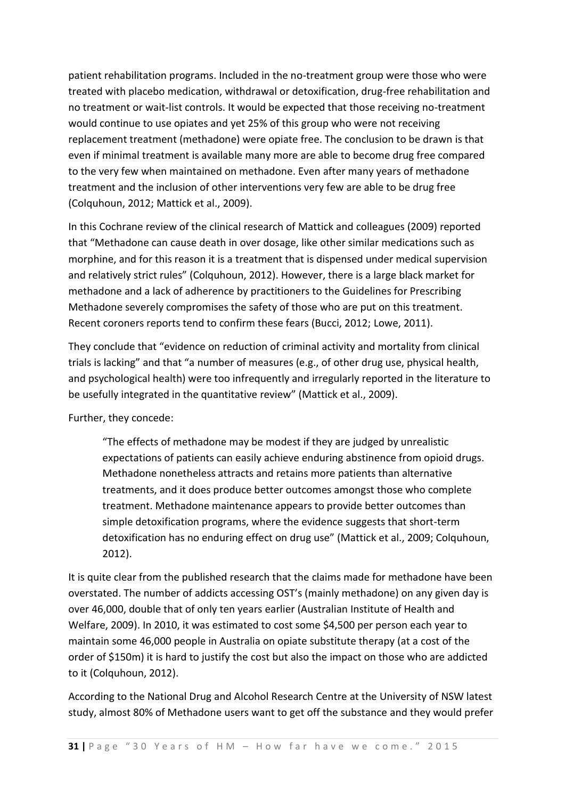patient rehabilitation programs. Included in the no-treatment group were those who were treated with placebo medication, withdrawal or detoxification, drug-free rehabilitation and no treatment or wait-list controls. It would be expected that those receiving no-treatment would continue to use opiates and yet 25% of this group who were not receiving replacement treatment (methadone) were opiate free. The conclusion to be drawn is that even if minimal treatment is available many more are able to become drug free compared to the very few when maintained on methadone. Even after many years of methadone treatment and the inclusion of other interventions very few are able to be drug free (Colquhoun, 2012; Mattick et al., 2009).

In this Cochrane review of the clinical research of Mattick and colleagues (2009) reported that "Methadone can cause death in over dosage, like other similar medications such as morphine, and for this reason it is a treatment that is dispensed under medical supervision and relatively strict rules" (Colquhoun, 2012). However, there is a large black market for methadone and a lack of adherence by practitioners to the Guidelines for Prescribing Methadone severely compromises the safety of those who are put on this treatment. Recent coroners reports tend to confirm these fears (Bucci, 2012; Lowe, 2011).

They conclude that "evidence on reduction of criminal activity and mortality from clinical trials is lacking" and that "a number of measures (e.g., of other drug use, physical health, and psychological health) were too infrequently and irregularly reported in the literature to be usefully integrated in the quantitative review" (Mattick et al., 2009).

Further, they concede:

"The effects of methadone may be modest if they are judged by unrealistic expectations of patients can easily achieve enduring abstinence from opioid drugs. Methadone nonetheless attracts and retains more patients than alternative treatments, and it does produce better outcomes amongst those who complete treatment. Methadone maintenance appears to provide better outcomes than simple detoxification programs, where the evidence suggests that short-term detoxification has no enduring effect on drug use" (Mattick et al., 2009; Colquhoun, 2012).

It is quite clear from the published research that the claims made for methadone have been overstated. The number of addicts accessing OST's (mainly methadone) on any given day is over 46,000, double that of only ten years earlier (Australian Institute of Health and Welfare, 2009). In 2010, it was estimated to cost some \$4,500 per person each year to maintain some 46,000 people in Australia on opiate substitute therapy (at a cost of the order of \$150m) it is hard to justify the cost but also the impact on those who are addicted to it (Colquhoun, 2012).

According to the National Drug and Alcohol Research Centre at the University of NSW latest study, almost 80% of Methadone users want to get off the substance and they would prefer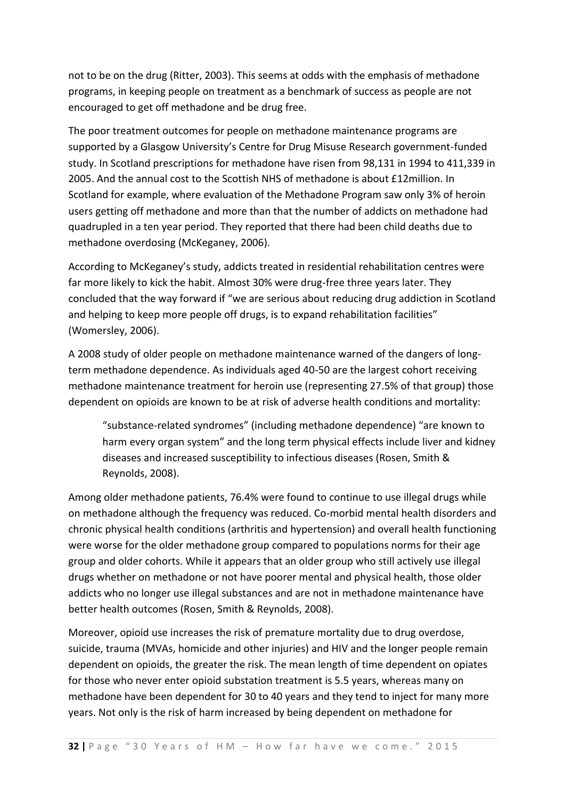not to be on the drug (Ritter, 2003). This seems at odds with the emphasis of methadone programs, in keeping people on treatment as a benchmark of success as people are not encouraged to get off methadone and be drug free.

The poor treatment outcomes for people on methadone maintenance programs are supported by a Glasgow University's Centre for Drug Misuse Research government-funded study. In Scotland prescriptions for methadone have risen from 98,131 in 1994 to 411,339 in 2005. And the annual cost to the Scottish NHS of methadone is about £12million. In Scotland for example, where evaluation of the Methadone Program saw only 3% of heroin users getting off methadone and more than that the number of addicts on methadone had quadrupled in a ten year period. They reported that there had been child deaths due to methadone overdosing (McKeganey, 2006).

According to McKeganey's study, addicts treated in residential rehabilitation centres were far more likely to kick the habit. Almost 30% were drug-free three years later. They concluded that the way forward if "we are serious about reducing drug addiction in Scotland and helping to keep more people off drugs, is to expand rehabilitation facilities" (Womersley, 2006).

A 2008 study of older people on methadone maintenance warned of the dangers of longterm methadone dependence. As individuals aged 40-50 are the largest cohort receiving methadone maintenance treatment for heroin use (representing 27.5% of that group) those dependent on opioids are known to be at risk of adverse health conditions and mortality:

"substance-related syndromes" (including methadone dependence) "are known to harm every organ system" and the long term physical effects include liver and kidney diseases and increased susceptibility to infectious diseases (Rosen, Smith & Reynolds, 2008).

Among older methadone patients, 76.4% were found to continue to use illegal drugs while on methadone although the frequency was reduced. Co-morbid mental health disorders and chronic physical health conditions (arthritis and hypertension) and overall health functioning were worse for the older methadone group compared to populations norms for their age group and older cohorts. While it appears that an older group who still actively use illegal drugs whether on methadone or not have poorer mental and physical health, those older addicts who no longer use illegal substances and are not in methadone maintenance have better health outcomes (Rosen, Smith & Reynolds, 2008).

Moreover, opioid use increases the risk of premature mortality due to drug overdose, suicide, trauma (MVAs, homicide and other injuries) and HIV and the longer people remain dependent on opioids, the greater the risk. The mean length of time dependent on opiates for those who never enter opioid substation treatment is 5.5 years, whereas many on methadone have been dependent for 30 to 40 years and they tend to inject for many more years. Not only is the risk of harm increased by being dependent on methadone for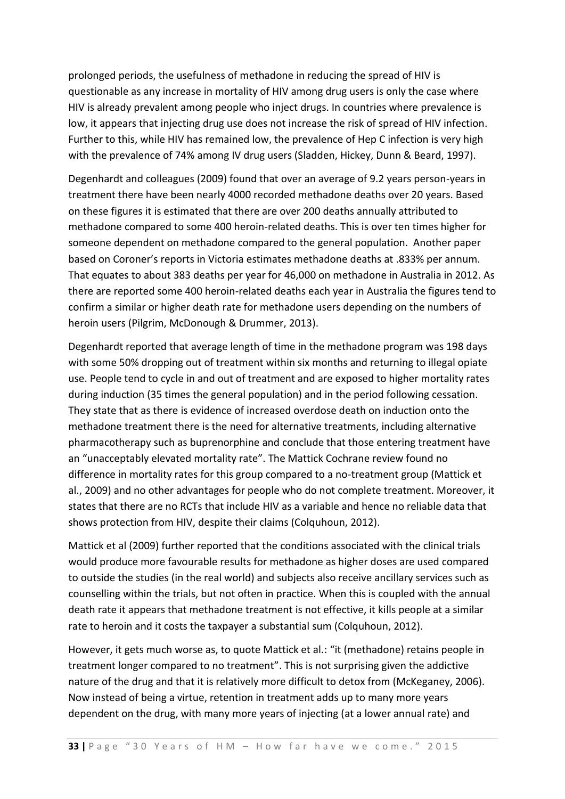prolonged periods, the usefulness of methadone in reducing the spread of HIV is questionable as any increase in mortality of HIV among drug users is only the case where HIV is already prevalent among people who inject drugs. In countries where prevalence is low, it appears that injecting drug use does not increase the risk of spread of HIV infection. Further to this, while HIV has remained low, the prevalence of Hep C infection is very high with the prevalence of 74% among IV drug users (Sladden, Hickey, Dunn & Beard, 1997).

Degenhardt and colleagues (2009) found that over an average of 9.2 years person-years in treatment there have been nearly 4000 recorded methadone deaths over 20 years. Based on these figures it is estimated that there are over 200 deaths annually attributed to methadone compared to some 400 heroin-related deaths. This is over ten times higher for someone dependent on methadone compared to the general population. Another paper based on Coroner's reports in Victoria estimates methadone deaths at .833% per annum. That equates to about 383 deaths per year for 46,000 on methadone in Australia in 2012. As there are reported some 400 heroin-related deaths each year in Australia the figures tend to confirm a similar or higher death rate for methadone users depending on the numbers of heroin users (Pilgrim, McDonough & Drummer, 2013).

Degenhardt reported that average length of time in the methadone program was 198 days with some 50% dropping out of treatment within six months and returning to illegal opiate use. People tend to cycle in and out of treatment and are exposed to higher mortality rates during induction (35 times the general population) and in the period following cessation. They state that as there is evidence of increased overdose death on induction onto the methadone treatment there is the need for alternative treatments, including alternative pharmacotherapy such as buprenorphine and conclude that those entering treatment have an "unacceptably elevated mortality rate". The Mattick Cochrane review found no difference in mortality rates for this group compared to a no-treatment group (Mattick et al., 2009) and no other advantages for people who do not complete treatment. Moreover, it states that there are no RCTs that include HIV as a variable and hence no reliable data that shows protection from HIV, despite their claims (Colquhoun, 2012).

Mattick et al (2009) further reported that the conditions associated with the clinical trials would produce more favourable results for methadone as higher doses are used compared to outside the studies (in the real world) and subjects also receive ancillary services such as counselling within the trials, but not often in practice. When this is coupled with the annual death rate it appears that methadone treatment is not effective, it kills people at a similar rate to heroin and it costs the taxpayer a substantial sum (Colquhoun, 2012).

However, it gets much worse as, to quote Mattick et al.: "it (methadone) retains people in treatment longer compared to no treatment". This is not surprising given the addictive nature of the drug and that it is relatively more difficult to detox from (McKeganey, 2006). Now instead of being a virtue, retention in treatment adds up to many more years dependent on the drug, with many more years of injecting (at a lower annual rate) and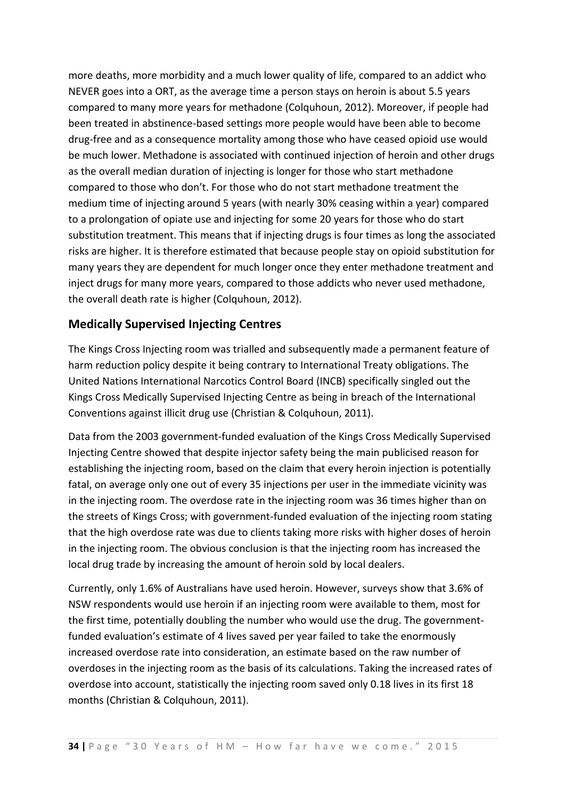more deaths, more morbidity and a much lower quality of life, compared to an addict who NEVER goes into a ORT, as the average time a person stays on heroin is about 5.5 years compared to many more years for methadone (Colquhoun, 2012). Moreover, if people had been treated in abstinence-based settings more people would have been able to become drug-free and as a consequence mortality among those who have ceased opioid use would be much lower. Methadone is associated with continued injection of heroin and other drugs as the overall median duration of injecting is longer for those who start methadone compared to those who don't. For those who do not start methadone treatment the medium time of injecting around 5 years (with nearly 30% ceasing within a year) compared to a prolongation of opiate use and injecting for some 20 years for those who do start substitution treatment. This means that if injecting drugs is four times as long the associated risks are higher. It is therefore estimated that because people stay on opioid substitution for many years they are dependent for much longer once they enter methadone treatment and inject drugs for many more years, compared to those addicts who never used methadone, the overall death rate is higher (Colquhoun, 2012).

#### **Medically Supervised Injecting Centres**

The Kings Cross Injecting room was trialled and subsequently made a permanent feature of harm reduction policy despite it being contrary to International Treaty obligations. The United Nations International Narcotics Control Board (INCB) specifically singled out the Kings Cross Medically Supervised Injecting Centre as being in breach of the International Conventions against illicit drug use (Christian & Colquhoun, 2011).

Data from the 2003 government-funded evaluation of the Kings Cross Medically Supervised Injecting Centre showed that despite injector safety being the main publicised reason for establishing the injecting room, based on the claim that every heroin injection is potentially fatal, on average only one out of every 35 injections per user in the immediate vicinity was in the injecting room. The overdose rate in the injecting room was 36 times higher than on the streets of Kings Cross; with government-funded evaluation of the injecting room stating that the high overdose rate was due to clients taking more risks with higher doses of heroin in the injecting room. The obvious conclusion is that the injecting room has increased the local drug trade by increasing the amount of heroin sold by local dealers.

Currently, only 1.6% of Australians have used heroin. However, surveys show that 3.6% of NSW respondents would use heroin if an injecting room were available to them, most for the first time, potentially doubling the number who would use the drug. The governmentfunded evaluation's estimate of 4 lives saved per year failed to take the enormously increased overdose rate into consideration, an estimate based on the raw number of overdoses in the injecting room as the basis of its calculations. Taking the increased rates of overdose into account, statistically the injecting room saved only 0.18 lives in its first 18 months (Christian & Colquhoun, 2011).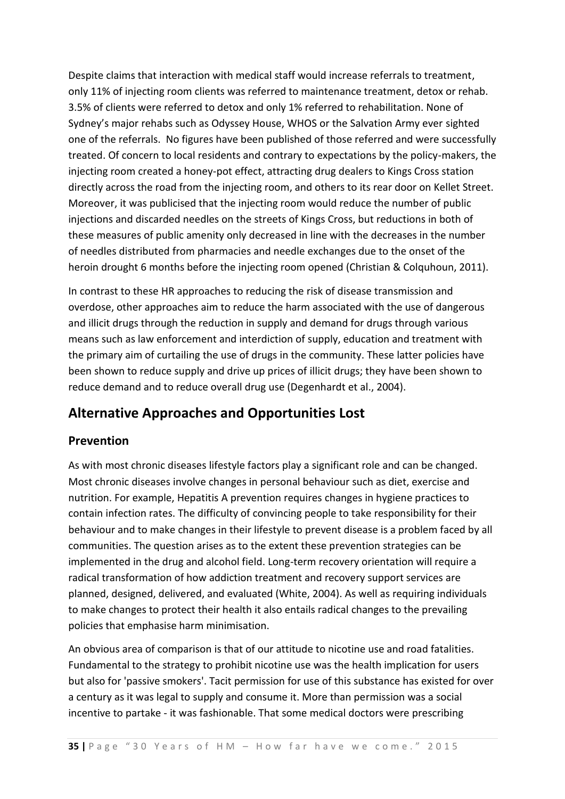Despite claims that interaction with medical staff would increase referrals to treatment, only 11% of injecting room clients was referred to maintenance treatment, detox or rehab. 3.5% of clients were referred to detox and only 1% referred to rehabilitation. None of Sydney's major rehabs such as Odyssey House, WHOS or the Salvation Army ever sighted one of the referrals. No figures have been published of those referred and were successfully treated. Of concern to local residents and contrary to expectations by the policy-makers, the injecting room created a honey-pot effect, attracting drug dealers to Kings Cross station directly across the road from the injecting room, and others to its rear door on Kellet Street. Moreover, it was publicised that the injecting room would reduce the number of public injections and discarded needles on the streets of Kings Cross, but reductions in both of these measures of public amenity only decreased in line with the decreases in the number of needles distributed from pharmacies and needle exchanges due to the onset of the heroin drought 6 months before the injecting room opened (Christian & Colquhoun, 2011).

In contrast to these HR approaches to reducing the risk of disease transmission and overdose, other approaches aim to reduce the harm associated with the use of dangerous and illicit drugs through the reduction in supply and demand for drugs through various means such as law enforcement and interdiction of supply, education and treatment with the primary aim of curtailing the use of drugs in the community. These latter policies have been shown to reduce supply and drive up prices of illicit drugs; they have been shown to reduce demand and to reduce overall drug use (Degenhardt et al., 2004).

# **Alternative Approaches and Opportunities Lost**

#### **Prevention**

As with most chronic diseases lifestyle factors play a significant role and can be changed. Most chronic diseases involve changes in personal behaviour such as diet, exercise and nutrition. For example, Hepatitis A prevention requires changes in hygiene practices to contain infection rates. The difficulty of convincing people to take responsibility for their behaviour and to make changes in their lifestyle to prevent disease is a problem faced by all communities. The question arises as to the extent these prevention strategies can be implemented in the drug and alcohol field. Long-term recovery orientation will require a radical transformation of how addiction treatment and recovery support services are planned, designed, delivered, and evaluated (White, 2004). As well as requiring individuals to make changes to protect their health it also entails radical changes to the prevailing policies that emphasise harm minimisation.

An obvious area of comparison is that of our attitude to nicotine use and road fatalities. Fundamental to the strategy to prohibit nicotine use was the health implication for users but also for 'passive smokers'. Tacit permission for use of this substance has existed for over a century as it was legal to supply and consume it. More than permission was a social incentive to partake - it was fashionable. That some medical doctors were prescribing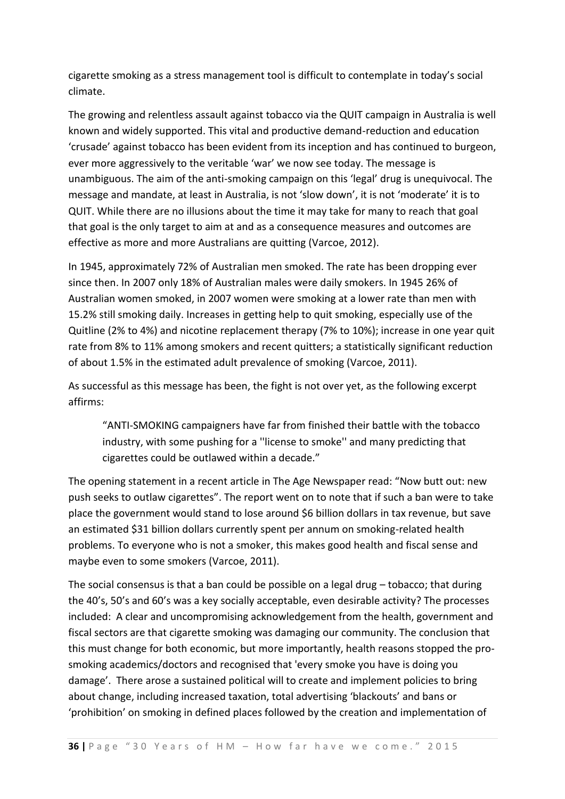cigarette smoking as a stress management tool is difficult to contemplate in today's social climate.

The growing and relentless assault against tobacco via the QUIT campaign in Australia is well known and widely supported. This vital and productive demand-reduction and education 'crusade' against tobacco has been evident from its inception and has continued to burgeon, ever more aggressively to the veritable 'war' we now see today. The message is unambiguous. The aim of the anti-smoking campaign on this 'legal' drug is unequivocal. The message and mandate, at least in Australia, is not 'slow down', it is not 'moderate' it is to QUIT. While there are no illusions about the time it may take for many to reach that goal that goal is the only target to aim at and as a consequence measures and outcomes are effective as more and more Australians are quitting (Varcoe, 2012).

In 1945, approximately 72% of Australian men smoked. The rate has been dropping ever since then. In 2007 only 18% of Australian males were daily smokers. In 1945 26% of Australian women smoked, in 2007 women were smoking at a lower rate than men with 15.2% still smoking daily. Increases in getting help to quit smoking, especially use of the Quitline (2% to 4%) and nicotine replacement therapy (7% to 10%); increase in one year quit rate from 8% to 11% among smokers and recent quitters; a statistically significant reduction of about 1.5% in the estimated adult prevalence of smoking (Varcoe, 2011).

As successful as this message has been, the fight is not over yet, as the following excerpt affirms:

"ANTI-SMOKING campaigners have far from finished their battle with the tobacco industry, with some pushing for a ''license to smoke'' and many predicting that cigarettes could be outlawed within a decade."

The opening statement in a recent article in The Age Newspaper read: "Now butt out: new push seeks to outlaw cigarettes". The report went on to note that if such a ban were to take place the government would stand to lose around \$6 billion dollars in tax revenue, but save an estimated \$31 billion dollars currently spent per annum on smoking-related health problems. To everyone who is not a smoker, this makes good health and fiscal sense and maybe even to some smokers (Varcoe, 2011).

The social consensus is that a ban could be possible on a legal drug – tobacco; that during the 40's, 50's and 60's was a key socially acceptable, even desirable activity? The processes included: A clear and uncompromising acknowledgement from the health, government and fiscal sectors are that cigarette smoking was damaging our community. The conclusion that this must change for both economic, but more importantly, health reasons stopped the prosmoking academics/doctors and recognised that 'every smoke you have is doing you damage'. There arose a sustained political will to create and implement policies to bring about change, including increased taxation, total advertising 'blackouts' and bans or 'prohibition' on smoking in defined places followed by the creation and implementation of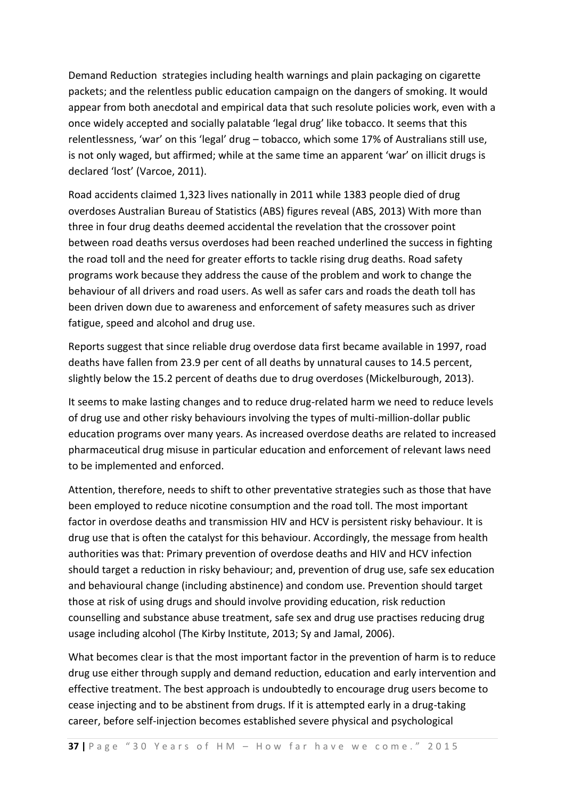Demand Reduction strategies including health warnings and plain packaging on cigarette packets; and the relentless public education campaign on the dangers of smoking. It would appear from both anecdotal and empirical data that such resolute policies work, even with a once widely accepted and socially palatable 'legal drug' like tobacco. It seems that this relentlessness, 'war' on this 'legal' drug – tobacco, which some 17% of Australians still use, is not only waged, but affirmed; while at the same time an apparent 'war' on illicit drugs is declared 'lost' (Varcoe, 2011).

Road accidents claimed 1,323 lives nationally in 2011 while 1383 people died of drug overdoses Australian Bureau of Statistics (ABS) figures reveal (ABS, 2013) With more than three in four drug deaths deemed accidental the revelation that the crossover point between road deaths versus overdoses had been reached underlined the success in fighting the road toll and the need for greater efforts to tackle rising drug deaths. Road safety programs work because they address the cause of the problem and work to change the behaviour of all drivers and road users. As well as safer cars and roads the death toll has been driven down due to awareness and enforcement of safety measures such as driver fatigue, speed and alcohol and drug use.

Reports suggest that since reliable drug overdose data first became available in 1997, road deaths have fallen from 23.9 per cent of all deaths by unnatural causes to 14.5 percent, slightly below the 15.2 percent of deaths due to drug overdoses (Mickelburough, 2013).

It seems to make lasting changes and to reduce drug-related harm we need to reduce levels of drug use and other risky behaviours involving the types of multi-million-dollar public education programs over many years. As increased overdose deaths are related to increased pharmaceutical drug misuse in particular education and enforcement of relevant laws need to be implemented and enforced.

Attention, therefore, needs to shift to other preventative strategies such as those that have been employed to reduce nicotine consumption and the road toll. The most important factor in overdose deaths and transmission HIV and HCV is persistent risky behaviour. It is drug use that is often the catalyst for this behaviour. Accordingly, the message from health authorities was that: Primary prevention of overdose deaths and HIV and HCV infection should target a reduction in risky behaviour; and, prevention of drug use, safe sex education and behavioural change (including abstinence) and condom use. Prevention should target those at risk of using drugs and should involve providing education, risk reduction counselling and substance abuse treatment, safe sex and drug use practises reducing drug usage including alcohol (The Kirby Institute, 2013; Sy and Jamal, 2006).

What becomes clear is that the most important factor in the prevention of harm is to reduce drug use either through supply and demand reduction, education and early intervention and effective treatment. The best approach is undoubtedly to encourage drug users become to cease injecting and to be abstinent from drugs. If it is attempted early in a drug-taking career, before self-injection becomes established severe physical and psychological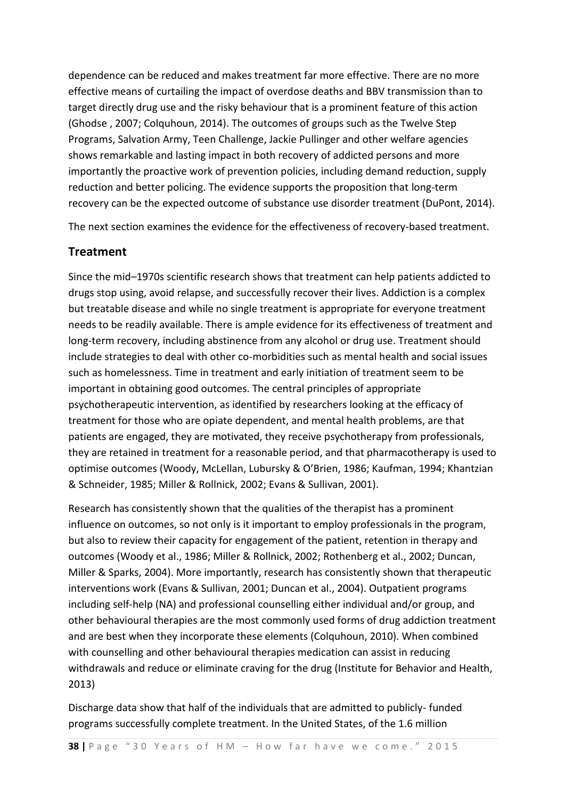dependence can be reduced and makes treatment far more effective. There are no more effective means of curtailing the impact of overdose deaths and BBV transmission than to target directly drug use and the risky behaviour that is a prominent feature of this action (Ghodse , 2007; Colquhoun, 2014). The outcomes of groups such as the Twelve Step Programs, Salvation Army, Teen Challenge, Jackie Pullinger and other welfare agencies shows remarkable and lasting impact in both recovery of addicted persons and more importantly the proactive work of prevention policies, including demand reduction, supply reduction and better policing. The evidence supports the proposition that long-term recovery can be the expected outcome of substance use disorder treatment (DuPont, 2014).

The next section examines the evidence for the effectiveness of recovery-based treatment.

### **Treatment**

Since the mid–1970s scientific research shows that treatment can help patients addicted to drugs stop using, avoid relapse, and successfully recover their lives. Addiction is a complex but treatable disease and while no single treatment is appropriate for everyone treatment needs to be readily available. There is ample evidence for its effectiveness of treatment and long-term recovery, including abstinence from any alcohol or drug use. Treatment should include strategies to deal with other co-morbidities such as mental health and social issues such as homelessness. Time in treatment and early initiation of treatment seem to be important in obtaining good outcomes. The central principles of appropriate psychotherapeutic intervention, as identified by researchers looking at the efficacy of treatment for those who are opiate dependent, and mental health problems, are that patients are engaged, they are motivated, they receive psychotherapy from professionals, they are retained in treatment for a reasonable period, and that pharmacotherapy is used to optimise outcomes (Woody, McLellan, Lubursky & O'Brien, 1986; Kaufman, 1994; Khantzian & Schneider, 1985; Miller & Rollnick, 2002; Evans & Sullivan, 2001).

Research has consistently shown that the qualities of the therapist has a prominent influence on outcomes, so not only is it important to employ professionals in the program, but also to review their capacity for engagement of the patient, retention in therapy and outcomes (Woody et al., 1986; Miller & Rollnick, 2002; Rothenberg et al., 2002; Duncan, Miller & Sparks, 2004). More importantly, research has consistently shown that therapeutic interventions work (Evans & Sullivan, 2001; Duncan et al., 2004). Outpatient programs including self-help (NA) and professional counselling either individual and/or group, and other behavioural therapies are the most commonly used forms of drug addiction treatment and are best when they incorporate these elements (Colquhoun, 2010). When combined with counselling and other behavioural therapies medication can assist in reducing withdrawals and reduce or eliminate craving for the drug (Institute for Behavior and Health, 2013)

Discharge data show that half of the individuals that are admitted to publicly- funded programs successfully complete treatment. In the United States, of the 1.6 million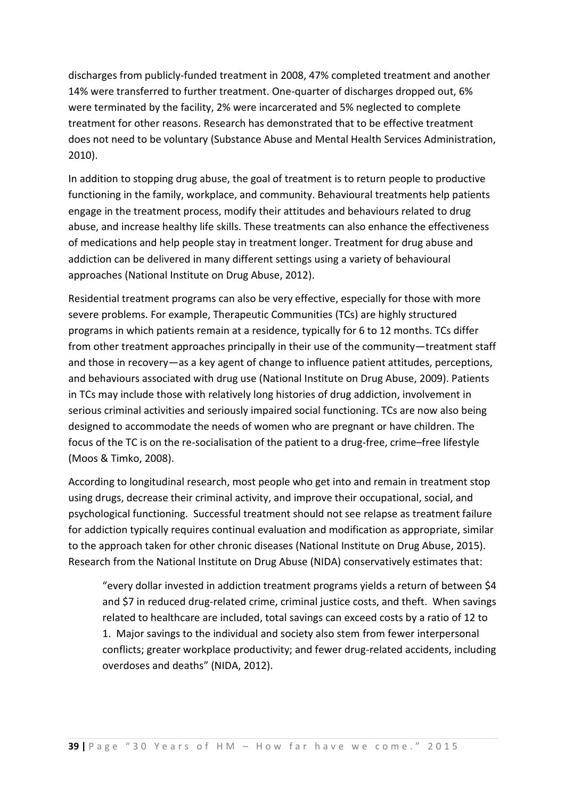discharges from publicly-funded treatment in 2008, 47% completed treatment and another 14% were transferred to further treatment. One-quarter of discharges dropped out, 6% were terminated by the facility, 2% were incarcerated and 5% neglected to complete treatment for other reasons. Research has demonstrated that to be effective treatment does not need to be voluntary (Substance Abuse and Mental Health Services Administration, 2010).

In addition to stopping drug abuse, the goal of treatment is to return people to productive functioning in the family, workplace, and community. Behavioural treatments help patients engage in the treatment process, modify their attitudes and behaviours related to drug abuse, and increase healthy life skills. These treatments can also enhance the effectiveness of medications and help people stay in treatment longer. Treatment for drug abuse and addiction can be delivered in many different settings using a variety of behavioural approaches (National Institute on Drug Abuse, 2012).

Residential treatment programs can also be very effective, especially for those with more severe problems. For example, Therapeutic Communities (TCs) are highly structured programs in which patients remain at a residence, typically for 6 to 12 months. TCs differ from other treatment approaches principally in their use of the community—treatment staff and those in recovery—as a key agent of change to influence patient attitudes, perceptions, and behaviours associated with drug use (National Institute on Drug Abuse, 2009). Patients in TCs may include those with relatively long histories of drug addiction, involvement in serious criminal activities and seriously impaired social functioning. TCs are now also being designed to accommodate the needs of women who are pregnant or have children. The focus of the TC is on the re-socialisation of the patient to a drug-free, crime–free lifestyle (Moos & Timko, 2008).

According to longitudinal research, most people who get into and remain in treatment stop using drugs, decrease their criminal activity, and improve their occupational, social, and psychological functioning. Successful treatment should not see relapse as treatment failure for addiction typically requires continual evaluation and modification as appropriate, similar to the approach taken for other chronic diseases (National Institute on Drug Abuse, 2015). Research from the National Institute on Drug Abuse (NIDA) conservatively estimates that:

"every dollar invested in addiction treatment programs yields a return of between \$4 and \$7 in reduced drug-related crime, criminal justice costs, and theft. When savings related to healthcare are included, total savings can exceed costs by a ratio of 12 to 1. Major savings to the individual and society also stem from fewer interpersonal conflicts; greater workplace productivity; and fewer drug-related accidents, including overdoses and deaths" (NIDA, 2012).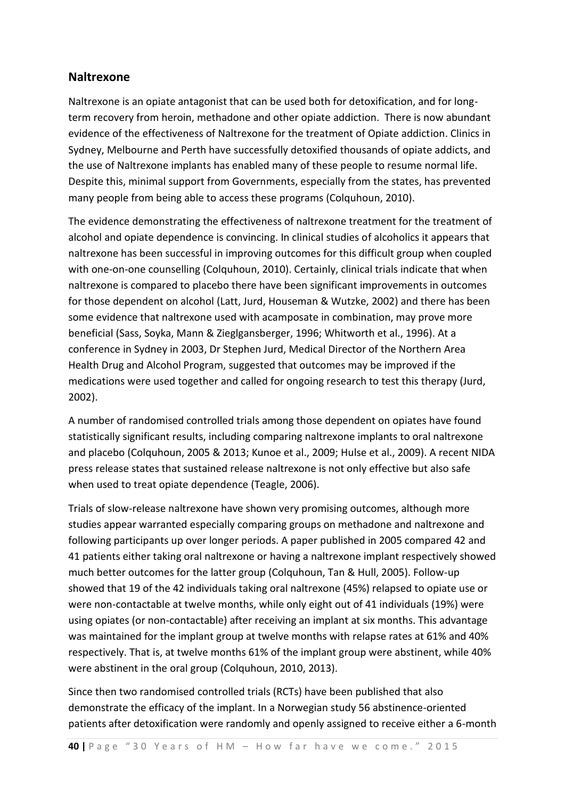#### **Naltrexone**

Naltrexone is an opiate antagonist that can be used both for detoxification, and for longterm recovery from heroin, methadone and other opiate addiction. There is now abundant evidence of the effectiveness of Naltrexone for the treatment of Opiate addiction. Clinics in Sydney, Melbourne and Perth have successfully detoxified thousands of opiate addicts, and the use of Naltrexone implants has enabled many of these people to resume normal life. Despite this, minimal support from Governments, especially from the states, has prevented many people from being able to access these programs (Colquhoun, 2010).

The evidence demonstrating the effectiveness of naltrexone treatment for the treatment of alcohol and opiate dependence is convincing. In clinical studies of alcoholics it appears that naltrexone has been successful in improving outcomes for this difficult group when coupled with one-on-one counselling (Colquhoun, 2010). Certainly, clinical trials indicate that when naltrexone is compared to placebo there have been significant improvements in outcomes for those dependent on alcohol (Latt, Jurd, Houseman & Wutzke, 2002) and there has been some evidence that naltrexone used with acamposate in combination, may prove more beneficial (Sass, Soyka, Mann & Zieglgansberger, 1996; Whitworth et al., 1996). At a conference in Sydney in 2003, Dr Stephen Jurd, Medical Director of the Northern Area Health Drug and Alcohol Program, suggested that outcomes may be improved if the medications were used together and called for ongoing research to test this therapy (Jurd, 2002).

A number of randomised controlled trials among those dependent on opiates have found statistically significant results, including comparing naltrexone implants to oral naltrexone and placebo (Colquhoun, 2005 & 2013; Kunoe et al., 2009; Hulse et al., 2009). A recent NIDA press release states that sustained release naltrexone is not only effective but also safe when used to treat opiate dependence (Teagle, 2006).

Trials of slow-release naltrexone have shown very promising outcomes, although more studies appear warranted especially comparing groups on methadone and naltrexone and following participants up over longer periods. A paper published in 2005 compared 42 and 41 patients either taking oral naltrexone or having a naltrexone implant respectively showed much better outcomes for the latter group (Colquhoun, Tan & Hull, 2005). Follow-up showed that 19 of the 42 individuals taking oral naltrexone (45%) relapsed to opiate use or were non-contactable at twelve months, while only eight out of 41 individuals (19%) were using opiates (or non-contactable) after receiving an implant at six months. This advantage was maintained for the implant group at twelve months with relapse rates at 61% and 40% respectively. That is, at twelve months 61% of the implant group were abstinent, while 40% were abstinent in the oral group (Colquhoun, 2010, 2013).

Since then two randomised controlled trials (RCTs) have been published that also demonstrate the efficacy of the implant. In a Norwegian study 56 abstinence-oriented patients after detoxification were randomly and openly assigned to receive either a 6-month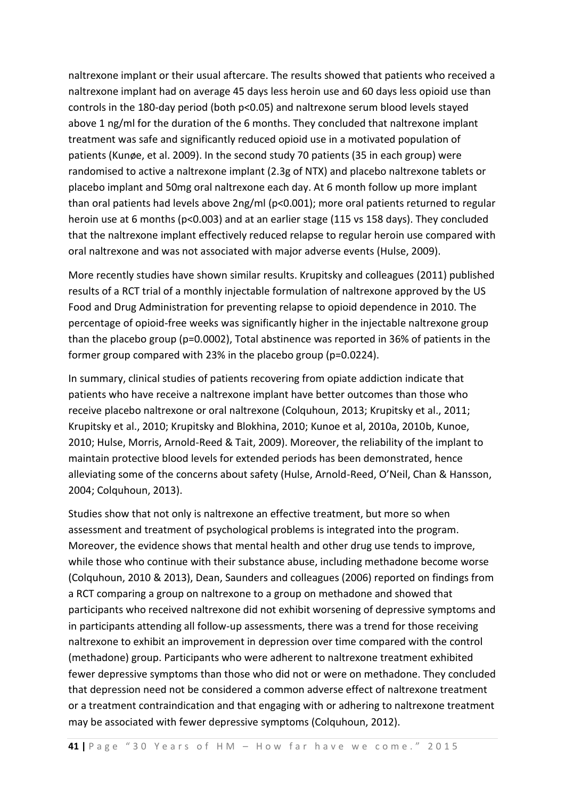naltrexone implant or their usual aftercare. The results showed that patients who received a naltrexone implant had on average 45 days less heroin use and 60 days less opioid use than controls in the 180-day period (both p<0.05) and naltrexone serum blood levels stayed above 1 ng/ml for the duration of the 6 months. They concluded that naltrexone implant treatment was safe and significantly reduced opioid use in a motivated population of patients (Kunøe, et al. 2009). In the second study 70 patients (35 in each group) were randomised to active a naltrexone implant (2.3g of NTX) and placebo naltrexone tablets or placebo implant and 50mg oral naltrexone each day. At 6 month follow up more implant than oral patients had levels above 2ng/ml (p<0.001); more oral patients returned to regular heroin use at 6 months (p<0.003) and at an earlier stage (115 vs 158 days). They concluded that the naltrexone implant effectively reduced relapse to regular heroin use compared with oral naltrexone and was not associated with major adverse events (Hulse, 2009).

More recently studies have shown similar results. Krupitsky and colleagues (2011) published results of a RCT trial of a monthly injectable formulation of naltrexone approved by the US Food and Drug Administration for preventing relapse to opioid dependence in 2010. The percentage of opioid-free weeks was significantly higher in the injectable naltrexone group than the placebo group (p=0.0002), Total abstinence was reported in 36% of patients in the former group compared with 23% in the placebo group (p=0.0224).

In summary, clinical studies of patients recovering from opiate addiction indicate that patients who have receive a naltrexone implant have better outcomes than those who receive placebo naltrexone or oral naltrexone (Colquhoun, 2013; Krupitsky et al., 2011; Krupitsky et al., 2010; Krupitsky and Blokhina, 2010; Kunoe et al, 2010a, 2010b, Kunoe, 2010; Hulse, Morris, Arnold-Reed & Tait, 2009). Moreover, the reliability of the implant to maintain protective blood levels for extended periods has been demonstrated, hence alleviating some of the concerns about safety (Hulse, Arnold-Reed, O'Neil, Chan & Hansson, 2004; Colquhoun, 2013).

Studies show that not only is naltrexone an effective treatment, but more so when assessment and treatment of psychological problems is integrated into the program. Moreover, the evidence shows that mental health and other drug use tends to improve, while those who continue with their substance abuse, including methadone become worse (Colquhoun, 2010 & 2013), Dean, Saunders and colleagues (2006) reported on findings from a RCT comparing a group on naltrexone to a group on methadone and showed that participants who received naltrexone did not exhibit worsening of depressive symptoms and in participants attending all follow-up assessments, there was a trend for those receiving naltrexone to exhibit an improvement in depression over time compared with the control (methadone) group. Participants who were adherent to naltrexone treatment exhibited fewer depressive symptoms than those who did not or were on methadone. They concluded that depression need not be considered a common adverse effect of naltrexone treatment or a treatment contraindication and that engaging with or adhering to naltrexone treatment may be associated with fewer depressive symptoms (Colquhoun, 2012).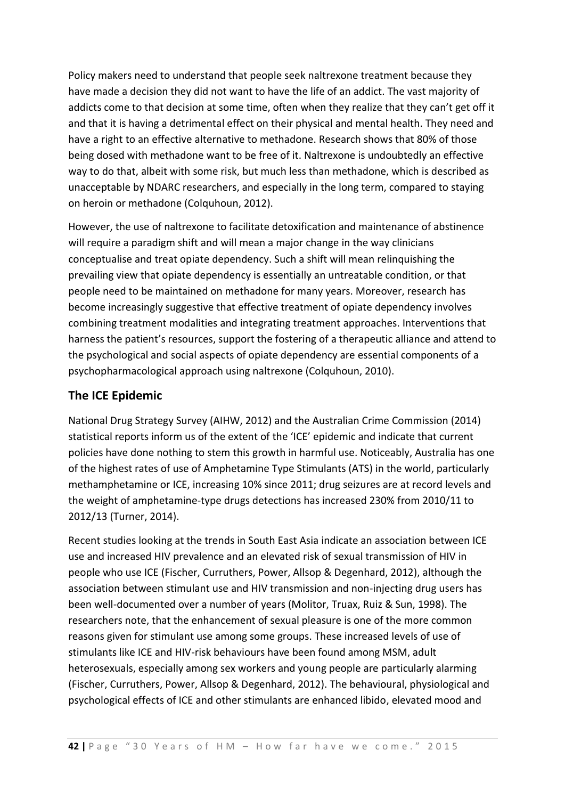Policy makers need to understand that people seek naltrexone treatment because they have made a decision they did not want to have the life of an addict. The vast majority of addicts come to that decision at some time, often when they realize that they can't get off it and that it is having a detrimental effect on their physical and mental health. They need and have a right to an effective alternative to methadone. Research shows that 80% of those being dosed with methadone want to be free of it. Naltrexone is undoubtedly an effective way to do that, albeit with some risk, but much less than methadone, which is described as unacceptable by NDARC researchers, and especially in the long term, compared to staying on heroin or methadone (Colquhoun, 2012).

However, the use of naltrexone to facilitate detoxification and maintenance of abstinence will require a paradigm shift and will mean a major change in the way clinicians conceptualise and treat opiate dependency. Such a shift will mean relinquishing the prevailing view that opiate dependency is essentially an untreatable condition, or that people need to be maintained on methadone for many years. Moreover, research has become increasingly suggestive that effective treatment of opiate dependency involves combining treatment modalities and integrating treatment approaches. Interventions that harness the patient's resources, support the fostering of a therapeutic alliance and attend to the psychological and social aspects of opiate dependency are essential components of a psychopharmacological approach using naltrexone (Colquhoun, 2010).

### **The ICE Epidemic**

National Drug Strategy Survey (AIHW, 2012) and the Australian Crime Commission (2014) statistical reports inform us of the extent of the 'ICE' epidemic and indicate that current policies have done nothing to stem this growth in harmful use. Noticeably, Australia has one of the highest rates of use of Amphetamine Type Stimulants (ATS) in the world, particularly methamphetamine or ICE, increasing 10% since 2011; drug seizures are at record levels and the weight of amphetamine-type drugs detections has increased 230% from 2010/11 to 2012/13 (Turner, 2014).

Recent studies looking at the trends in South East Asia indicate an association between ICE use and increased HIV prevalence and an elevated risk of sexual transmission of HIV in people who use ICE (Fischer, Curruthers, Power, Allsop & Degenhard, 2012), although the association between stimulant use and HIV transmission and non-injecting drug users has been well-documented over a number of years (Molitor, Truax, Ruiz & Sun, 1998). The researchers note, that the enhancement of sexual pleasure is one of the more common reasons given for stimulant use among some groups. These increased levels of use of stimulants like ICE and HIV-risk behaviours have been found among MSM, adult heterosexuals, especially among sex workers and young people are particularly alarming (Fischer, Curruthers, Power, Allsop & Degenhard, 2012). The behavioural, physiological and psychological effects of ICE and other stimulants are enhanced libido, elevated mood and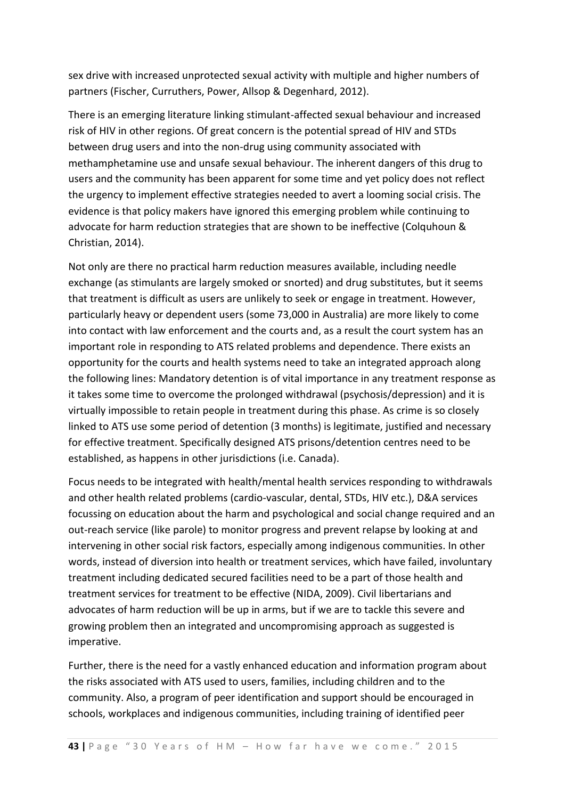sex drive with increased unprotected sexual activity with multiple and higher numbers of partners (Fischer, Curruthers, Power, Allsop & Degenhard, 2012).

There is an emerging literature linking stimulant-affected sexual behaviour and increased risk of HIV in other regions. Of great concern is the potential spread of HIV and STDs between drug users and into the non-drug using community associated with methamphetamine use and unsafe sexual behaviour. The inherent dangers of this drug to users and the community has been apparent for some time and yet policy does not reflect the urgency to implement effective strategies needed to avert a looming social crisis. The evidence is that policy makers have ignored this emerging problem while continuing to advocate for harm reduction strategies that are shown to be ineffective (Colquhoun & Christian, 2014).

Not only are there no practical harm reduction measures available, including needle exchange (as stimulants are largely smoked or snorted) and drug substitutes, but it seems that treatment is difficult as users are unlikely to seek or engage in treatment. However, particularly heavy or dependent users (some 73,000 in Australia) are more likely to come into contact with law enforcement and the courts and, as a result the court system has an important role in responding to ATS related problems and dependence. There exists an opportunity for the courts and health systems need to take an integrated approach along the following lines: Mandatory detention is of vital importance in any treatment response as it takes some time to overcome the prolonged withdrawal (psychosis/depression) and it is virtually impossible to retain people in treatment during this phase. As crime is so closely linked to ATS use some period of detention (3 months) is legitimate, justified and necessary for effective treatment. Specifically designed ATS prisons/detention centres need to be established, as happens in other jurisdictions (i.e. Canada).

Focus needs to be integrated with health/mental health services responding to withdrawals and other health related problems (cardio-vascular, dental, STDs, HIV etc.), D&A services focussing on education about the harm and psychological and social change required and an out-reach service (like parole) to monitor progress and prevent relapse by looking at and intervening in other social risk factors, especially among indigenous communities. In other words, instead of diversion into health or treatment services, which have failed, involuntary treatment including dedicated secured facilities need to be a part of those health and treatment services for treatment to be effective (NIDA, 2009). Civil libertarians and advocates of harm reduction will be up in arms, but if we are to tackle this severe and growing problem then an integrated and uncompromising approach as suggested is imperative.

Further, there is the need for a vastly enhanced education and information program about the risks associated with ATS used to users, families, including children and to the community. Also, a program of peer identification and support should be encouraged in schools, workplaces and indigenous communities, including training of identified peer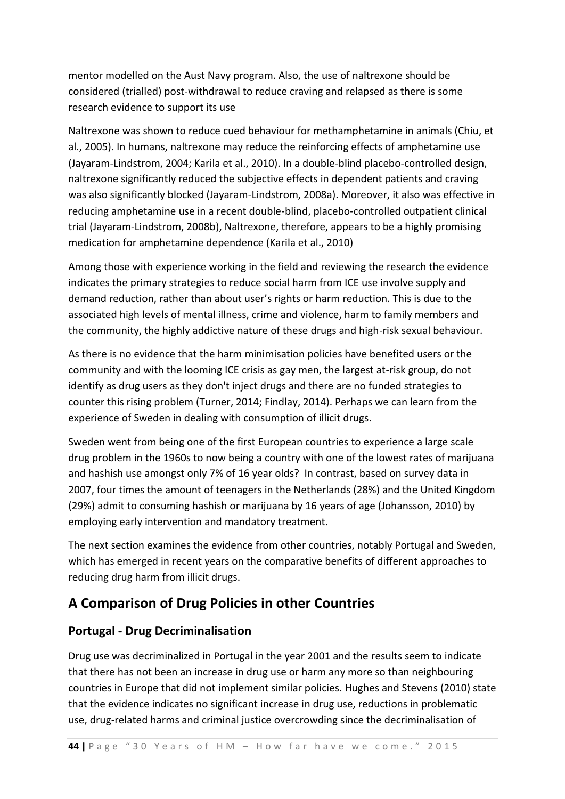mentor modelled on the Aust Navy program. Also, the use of naltrexone should be considered (trialled) post-withdrawal to reduce craving and relapsed as there is some research evidence to support its use

Naltrexone was shown to reduce cued behaviour for methamphetamine in animals (Chiu, et al., 2005). In humans, naltrexone may reduce the reinforcing effects of amphetamine use (Jayaram-Lindstrom, 2004; Karila et al., 2010). In a double-blind placebo-controlled design, naltrexone significantly reduced the subjective effects in dependent patients and craving was also significantly blocked (Jayaram-Lindstrom, 2008a). Moreover, it also was effective in reducing amphetamine use in a recent double-blind, placebo-controlled outpatient clinical trial (Jayaram-Lindstrom, 2008b), Naltrexone, therefore, appears to be a highly promising medication for amphetamine dependence (Karila et al., 2010)

Among those with experience working in the field and reviewing the research the evidence indicates the primary strategies to reduce social harm from ICE use involve supply and demand reduction, rather than about user's rights or harm reduction. This is due to the associated high levels of mental illness, crime and violence, harm to family members and the community, the highly addictive nature of these drugs and high-risk sexual behaviour.

As there is no evidence that the harm minimisation policies have benefited users or the community and with the looming ICE crisis as gay men, the largest at-risk group, do not identify as drug users as they don't inject drugs and there are no funded strategies to counter this rising problem (Turner, 2014; Findlay, 2014). Perhaps we can learn from the experience of Sweden in dealing with consumption of illicit drugs.

Sweden went from being one of the first European countries to experience a large scale drug problem in the 1960s to now being a country with one of the lowest rates of marijuana and hashish use amongst only 7% of 16 year olds? In contrast, based on survey data in 2007, four times the amount of teenagers in the Netherlands (28%) and the United Kingdom (29%) admit to consuming hashish or marijuana by 16 years of age (Johansson, 2010) by employing early intervention and mandatory treatment.

The next section examines the evidence from other countries, notably Portugal and Sweden, which has emerged in recent years on the comparative benefits of different approaches to reducing drug harm from illicit drugs.

## **A Comparison of Drug Policies in other Countries**

### **Portugal - Drug Decriminalisation**

Drug use was decriminalized in Portugal in the year 2001 and the results seem to indicate that there has not been an increase in drug use or harm any more so than neighbouring countries in Europe that did not implement similar policies. Hughes and Stevens (2010) state that the evidence indicates no significant increase in drug use, reductions in problematic use, drug-related harms and criminal justice overcrowding since the decriminalisation of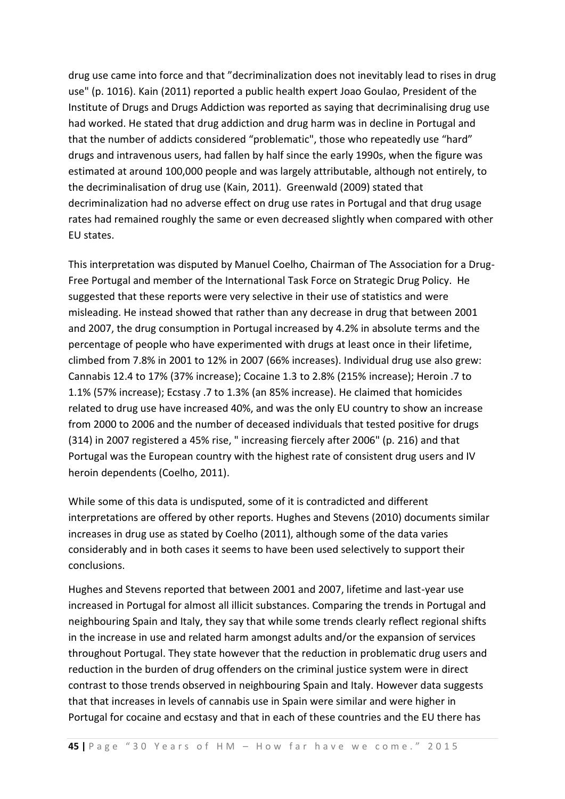drug use came into force and that "decriminalization does not inevitably lead to rises in drug use" (p. 1016). Kain (2011) reported a public health expert Joao Goulao, President of the Institute of Drugs and Drugs Addiction was reported as saying that decriminalising drug use had worked. He stated that drug addiction and drug harm was in decline in Portugal and that the number of addicts considered "problematic", those who repeatedly use "hard" drugs and intravenous users, had fallen by half since the early 1990s, when the figure was estimated at around 100,000 people and was largely attributable, although not entirely, to the decriminalisation of drug use (Kain, 2011). Greenwald (2009) stated that decriminalization had no adverse effect on drug use rates in Portugal and that drug usage rates had remained roughly the same or even decreased slightly when compared with other EU states.

This interpretation was disputed by Manuel Coelho, Chairman of The Association for a Drug-Free Portugal and member of the International Task Force on Strategic Drug Policy. He suggested that these reports were very selective in their use of statistics and were misleading. He instead showed that rather than any decrease in drug that between 2001 and 2007, the drug consumption in Portugal increased by 4.2% in absolute terms and the percentage of people who have experimented with drugs at least once in their lifetime, climbed from 7.8% in 2001 to 12% in 2007 (66% increases). Individual drug use also grew: Cannabis 12.4 to 17% (37% increase); Cocaine 1.3 to 2.8% (215% increase); Heroin .7 to 1.1% (57% increase); Ecstasy .7 to 1.3% (an 85% increase). He claimed that homicides related to drug use have increased 40%, and was the only EU country to show an increase from 2000 to 2006 and the number of deceased individuals that tested positive for drugs (314) in 2007 registered a 45% rise, " increasing fiercely after 2006" (p. 216) and that Portugal was the European country with the highest rate of consistent drug users and IV heroin dependents (Coelho, 2011).

While some of this data is undisputed, some of it is contradicted and different interpretations are offered by other reports. Hughes and Stevens (2010) documents similar increases in drug use as stated by Coelho (2011), although some of the data varies considerably and in both cases it seems to have been used selectively to support their conclusions.

Hughes and Stevens reported that between 2001 and 2007, lifetime and last-year use increased in Portugal for almost all illicit substances. Comparing the trends in Portugal and neighbouring Spain and Italy, they say that while some trends clearly reflect regional shifts in the increase in use and related harm amongst adults and/or the expansion of services throughout Portugal. They state however that the reduction in problematic drug users and reduction in the burden of drug offenders on the criminal justice system were in direct contrast to those trends observed in neighbouring Spain and Italy. However data suggests that that increases in levels of cannabis use in Spain were similar and were higher in Portugal for cocaine and ecstasy and that in each of these countries and the EU there has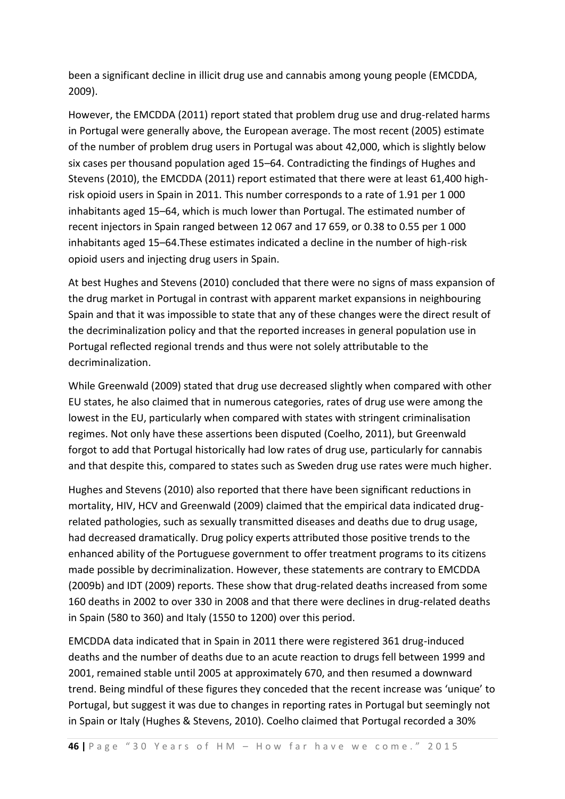been a significant decline in illicit drug use and cannabis among young people (EMCDDA, 2009).

However, the EMCDDA (2011) report stated that problem drug use and drug-related harms in Portugal were generally above, the European average. The most recent (2005) estimate of the number of problem drug users in Portugal was about 42,000, which is slightly below six cases per thousand population aged 15–64. Contradicting the findings of Hughes and Stevens (2010), the EMCDDA (2011) report estimated that there were at least 61,400 highrisk opioid users in Spain in 2011. This number corresponds to a rate of 1.91 per 1 000 inhabitants aged 15–64, which is much lower than Portugal. The estimated number of recent injectors in Spain ranged between 12 067 and 17 659, or 0.38 to 0.55 per 1 000 inhabitants aged 15–64.These estimates indicated a decline in the number of high-risk opioid users and injecting drug users in Spain.

At best Hughes and Stevens (2010) concluded that there were no signs of mass expansion of the drug market in Portugal in contrast with apparent market expansions in neighbouring Spain and that it was impossible to state that any of these changes were the direct result of the decriminalization policy and that the reported increases in general population use in Portugal reflected regional trends and thus were not solely attributable to the decriminalization.

While Greenwald (2009) stated that drug use decreased slightly when compared with other EU states, he also claimed that in numerous categories, rates of drug use were among the lowest in the EU, particularly when compared with states with stringent criminalisation regimes. Not only have these assertions been disputed (Coelho, 2011), but Greenwald forgot to add that Portugal historically had low rates of drug use, particularly for cannabis and that despite this, compared to states such as Sweden drug use rates were much higher.

Hughes and Stevens (2010) also reported that there have been significant reductions in mortality, HIV, HCV and Greenwald (2009) claimed that the empirical data indicated drugrelated pathologies, such as sexually transmitted diseases and deaths due to drug usage, had decreased dramatically. Drug policy experts attributed those positive trends to the enhanced ability of the Portuguese government to offer treatment programs to its citizens made possible by decriminalization. However, these statements are contrary to EMCDDA (2009b) and IDT (2009) reports. These show that drug-related deaths increased from some 160 deaths in 2002 to over 330 in 2008 and that there were declines in drug-related deaths in Spain (580 to 360) and Italy (1550 to 1200) over this period.

EMCDDA data indicated that in Spain in 2011 there were registered 361 drug-induced deaths and the number of deaths due to an acute reaction to drugs fell between 1999 and 2001, remained stable until 2005 at approximately 670, and then resumed a downward trend. Being mindful of these figures they conceded that the recent increase was 'unique' to Portugal, but suggest it was due to changes in reporting rates in Portugal but seemingly not in Spain or Italy (Hughes & Stevens, 2010). Coelho claimed that Portugal recorded a 30%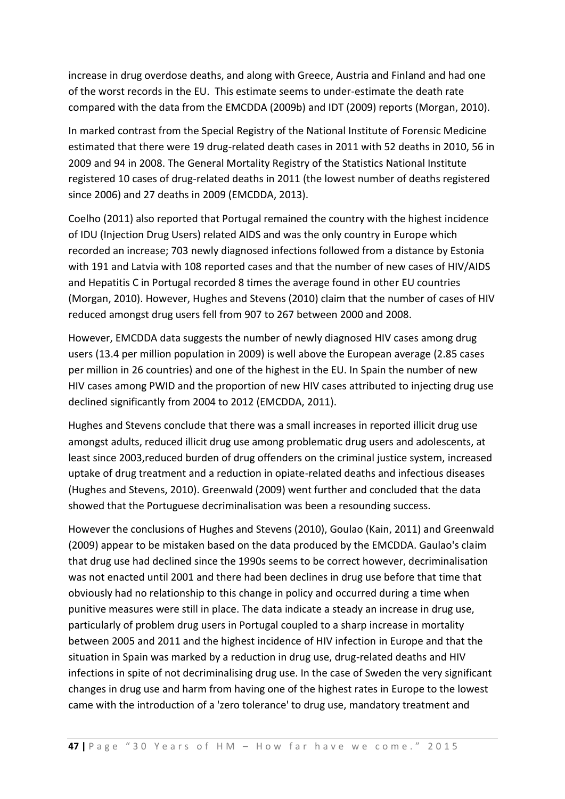increase in drug overdose deaths, and along with Greece, Austria and Finland and had one of the worst records in the EU. This estimate seems to under-estimate the death rate compared with the data from the EMCDDA (2009b) and IDT (2009) reports (Morgan, 2010).

In marked contrast from the Special Registry of the National Institute of Forensic Medicine estimated that there were 19 drug-related death cases in 2011 with 52 deaths in 2010, 56 in 2009 and 94 in 2008. The General Mortality Registry of the Statistics National Institute registered 10 cases of drug-related deaths in 2011 (the lowest number of deaths registered since 2006) and 27 deaths in 2009 (EMCDDA, 2013).

Coelho (2011) also reported that Portugal remained the country with the highest incidence of IDU (Injection Drug Users) related AIDS and was the only country in Europe which recorded an increase; 703 newly diagnosed infections followed from a distance by Estonia with 191 and Latvia with 108 reported cases and that the number of new cases of HIV/AIDS and Hepatitis C in Portugal recorded 8 times the average found in other EU countries (Morgan, 2010). However, Hughes and Stevens (2010) claim that the number of cases of HIV reduced amongst drug users fell from 907 to 267 between 2000 and 2008.

However, EMCDDA data suggests the number of newly diagnosed HIV cases among drug users (13.4 per million population in 2009) is well above the European average (2.85 cases per million in 26 countries) and one of the highest in the EU. In Spain the number of new HIV cases among PWID and the proportion of new HIV cases attributed to injecting drug use declined significantly from 2004 to 2012 (EMCDDA, 2011).

Hughes and Stevens conclude that there was a small increases in reported illicit drug use amongst adults, reduced illicit drug use among problematic drug users and adolescents, at least since 2003,reduced burden of drug offenders on the criminal justice system, increased uptake of drug treatment and a reduction in opiate-related deaths and infectious diseases (Hughes and Stevens, 2010). Greenwald (2009) went further and concluded that the data showed that the Portuguese decriminalisation was been a resounding success.

However the conclusions of Hughes and Stevens (2010), Goulao (Kain, 2011) and Greenwald (2009) appear to be mistaken based on the data produced by the EMCDDA. Gaulao's claim that drug use had declined since the 1990s seems to be correct however, decriminalisation was not enacted until 2001 and there had been declines in drug use before that time that obviously had no relationship to this change in policy and occurred during a time when punitive measures were still in place. The data indicate a steady an increase in drug use, particularly of problem drug users in Portugal coupled to a sharp increase in mortality between 2005 and 2011 and the highest incidence of HIV infection in Europe and that the situation in Spain was marked by a reduction in drug use, drug-related deaths and HIV infections in spite of not decriminalising drug use. In the case of Sweden the very significant changes in drug use and harm from having one of the highest rates in Europe to the lowest came with the introduction of a 'zero tolerance' to drug use, mandatory treatment and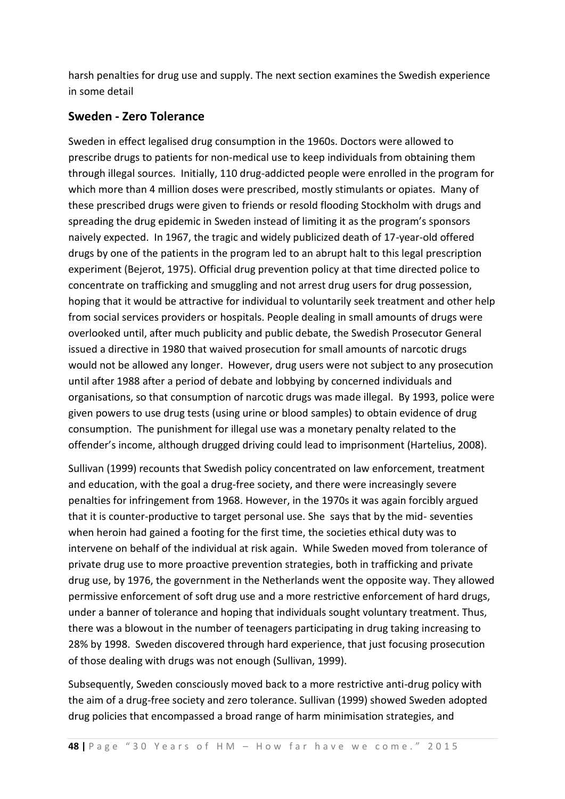harsh penalties for drug use and supply. The next section examines the Swedish experience in some detail

### **Sweden - Zero Tolerance**

Sweden in effect legalised drug consumption in the 1960s. Doctors were allowed to prescribe drugs to patients for non-medical use to keep individuals from obtaining them through illegal sources. Initially, 110 drug-addicted people were enrolled in the program for which more than 4 million doses were prescribed, mostly stimulants or opiates. Many of these prescribed drugs were given to friends or resold flooding Stockholm with drugs and spreading the drug epidemic in Sweden instead of limiting it as the program's sponsors naively expected. In 1967, the tragic and widely publicized death of 17-year-old offered drugs by one of the patients in the program led to an abrupt halt to this legal prescription experiment (Bejerot, 1975). Official drug prevention policy at that time directed police to concentrate on trafficking and smuggling and not arrest drug users for drug possession, hoping that it would be attractive for individual to voluntarily seek treatment and other help from social services providers or hospitals. People dealing in small amounts of drugs were overlooked until, after much publicity and public debate, the Swedish Prosecutor General issued a directive in 1980 that waived prosecution for small amounts of narcotic drugs would not be allowed any longer. However, drug users were not subject to any prosecution until after 1988 after a period of debate and lobbying by concerned individuals and organisations, so that consumption of narcotic drugs was made illegal. By 1993, police were given powers to use drug tests (using urine or blood samples) to obtain evidence of drug consumption. The punishment for illegal use was a monetary penalty related to the offender's income, although drugged driving could lead to imprisonment (Hartelius, 2008).

Sullivan (1999) recounts that Swedish policy concentrated on law enforcement, treatment and education, with the goal a drug-free society, and there were increasingly severe penalties for infringement from 1968. However, in the 1970s it was again forcibly argued that it is counter-productive to target personal use. She says that by the mid- seventies when heroin had gained a footing for the first time, the societies ethical duty was to intervene on behalf of the individual at risk again. While Sweden moved from tolerance of private drug use to more proactive prevention strategies, both in trafficking and private drug use, by 1976, the government in the Netherlands went the opposite way. They allowed permissive enforcement of soft drug use and a more restrictive enforcement of hard drugs, under a banner of tolerance and hoping that individuals sought voluntary treatment. Thus, there was a blowout in the number of teenagers participating in drug taking increasing to 28% by 1998. Sweden discovered through hard experience, that just focusing prosecution of those dealing with drugs was not enough (Sullivan, 1999).

Subsequently, Sweden consciously moved back to a more restrictive anti-drug policy with the aim of a drug-free society and zero tolerance. Sullivan (1999) showed Sweden adopted drug policies that encompassed a broad range of harm minimisation strategies, and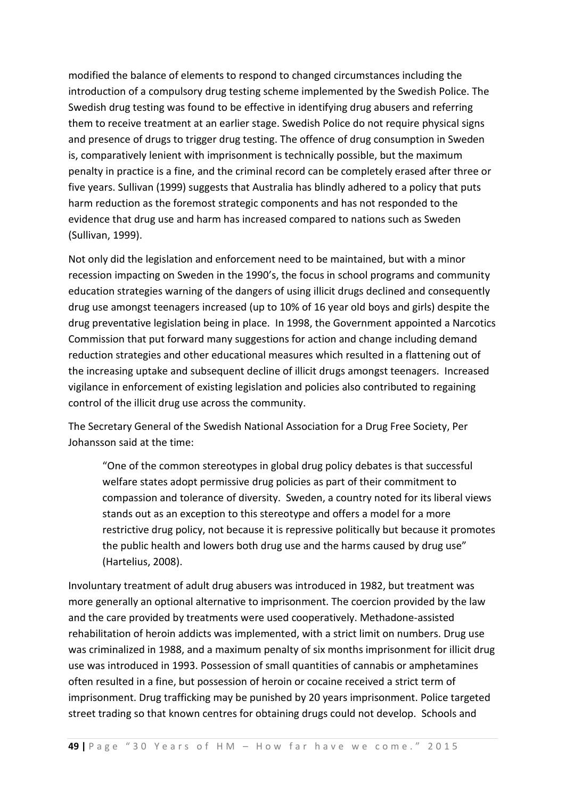modified the balance of elements to respond to changed circumstances including the introduction of a compulsory drug testing scheme implemented by the Swedish Police. The Swedish drug testing was found to be effective in identifying drug abusers and referring them to receive treatment at an earlier stage. Swedish Police do not require physical signs and presence of drugs to trigger drug testing. The offence of drug consumption in Sweden is, comparatively lenient with imprisonment is technically possible, but the maximum penalty in practice is a fine, and the criminal record can be completely erased after three or five years. Sullivan (1999) suggests that Australia has blindly adhered to a policy that puts harm reduction as the foremost strategic components and has not responded to the evidence that drug use and harm has increased compared to nations such as Sweden (Sullivan, 1999).

Not only did the legislation and enforcement need to be maintained, but with a minor recession impacting on Sweden in the 1990's, the focus in school programs and community education strategies warning of the dangers of using illicit drugs declined and consequently drug use amongst teenagers increased (up to 10% of 16 year old boys and girls) despite the drug preventative legislation being in place. In 1998, the Government appointed a Narcotics Commission that put forward many suggestions for action and change including demand reduction strategies and other educational measures which resulted in a flattening out of the increasing uptake and subsequent decline of illicit drugs amongst teenagers. Increased vigilance in enforcement of existing legislation and policies also contributed to regaining control of the illicit drug use across the community.

The Secretary General of the Swedish National Association for a Drug Free Society, Per Johansson said at the time:

"One of the common stereotypes in global drug policy debates is that successful welfare states adopt permissive drug policies as part of their commitment to compassion and tolerance of diversity. Sweden, a country noted for its liberal views stands out as an exception to this stereotype and offers a model for a more restrictive drug policy, not because it is repressive politically but because it promotes the public health and lowers both drug use and the harms caused by drug use" (Hartelius, 2008).

Involuntary treatment of adult drug abusers was introduced in 1982, but treatment was more generally an optional alternative to imprisonment. The coercion provided by the law and the care provided by treatments were used cooperatively. Methadone-assisted rehabilitation of heroin addicts was implemented, with a strict limit on numbers. Drug use was criminalized in 1988, and a maximum penalty of six months imprisonment for illicit drug use was introduced in 1993. Possession of small quantities of cannabis or amphetamines often resulted in a fine, but possession of heroin or cocaine received a strict term of imprisonment. Drug trafficking may be punished by 20 years imprisonment. Police targeted street trading so that known centres for obtaining drugs could not develop. Schools and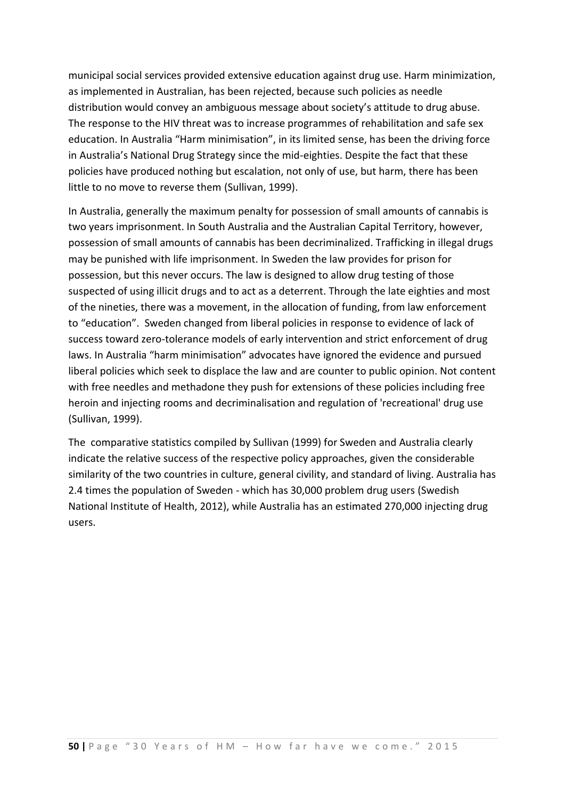municipal social services provided extensive education against drug use. Harm minimization, as implemented in Australian, has been rejected, because such policies as needle distribution would convey an ambiguous message about society's attitude to drug abuse. The response to the HIV threat was to increase programmes of rehabilitation and safe sex education. In Australia "Harm minimisation", in its limited sense, has been the driving force in Australia's National Drug Strategy since the mid-eighties. Despite the fact that these policies have produced nothing but escalation, not only of use, but harm, there has been little to no move to reverse them (Sullivan, 1999).

In Australia, generally the maximum penalty for possession of small amounts of cannabis is two years imprisonment. In South Australia and the Australian Capital Territory, however, possession of small amounts of cannabis has been decriminalized. Trafficking in illegal drugs may be punished with life imprisonment. In Sweden the law provides for prison for possession, but this never occurs. The law is designed to allow drug testing of those suspected of using illicit drugs and to act as a deterrent. Through the late eighties and most of the nineties, there was a movement, in the allocation of funding, from law enforcement to "education". Sweden changed from liberal policies in response to evidence of lack of success toward zero-tolerance models of early intervention and strict enforcement of drug laws. In Australia "harm minimisation" advocates have ignored the evidence and pursued liberal policies which seek to displace the law and are counter to public opinion. Not content with free needles and methadone they push for extensions of these policies including free heroin and injecting rooms and decriminalisation and regulation of 'recreational' drug use (Sullivan, 1999).

The comparative statistics compiled by Sullivan (1999) for Sweden and Australia clearly indicate the relative success of the respective policy approaches, given the considerable similarity of the two countries in culture, general civility, and standard of living. Australia has 2.4 times the population of Sweden - which has 30,000 problem drug users (Swedish National Institute of Health, 2012), while Australia has an estimated 270,000 injecting drug users.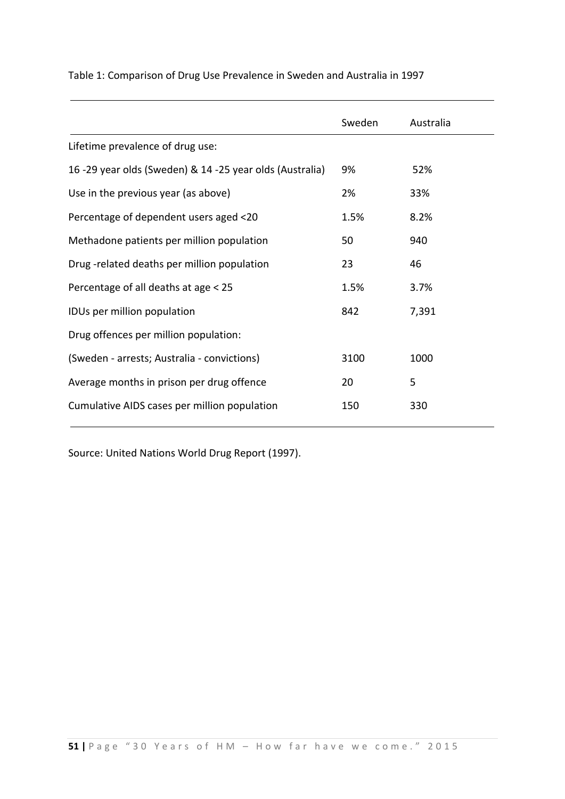|                                                          | Sweden | Australia |
|----------------------------------------------------------|--------|-----------|
| Lifetime prevalence of drug use:                         |        |           |
| 16 -29 year olds (Sweden) & 14 -25 year olds (Australia) | 9%     | 52%       |
| Use in the previous year (as above)                      | 2%     | 33%       |
| Percentage of dependent users aged <20                   | 1.5%   | 8.2%      |
| Methadone patients per million population                | 50     | 940       |
| Drug-related deaths per million population               | 23     | 46        |
| Percentage of all deaths at age < 25                     | 1.5%   | 3.7%      |
| IDUs per million population                              | 842    | 7,391     |
| Drug offences per million population:                    |        |           |
| (Sweden - arrests; Australia - convictions)              | 3100   | 1000      |
| Average months in prison per drug offence                | 20     | 5         |
| Cumulative AIDS cases per million population             | 150    | 330       |

Table 1: Comparison of Drug Use Prevalence in Sweden and Australia in 1997

Source: United Nations World Drug Report (1997).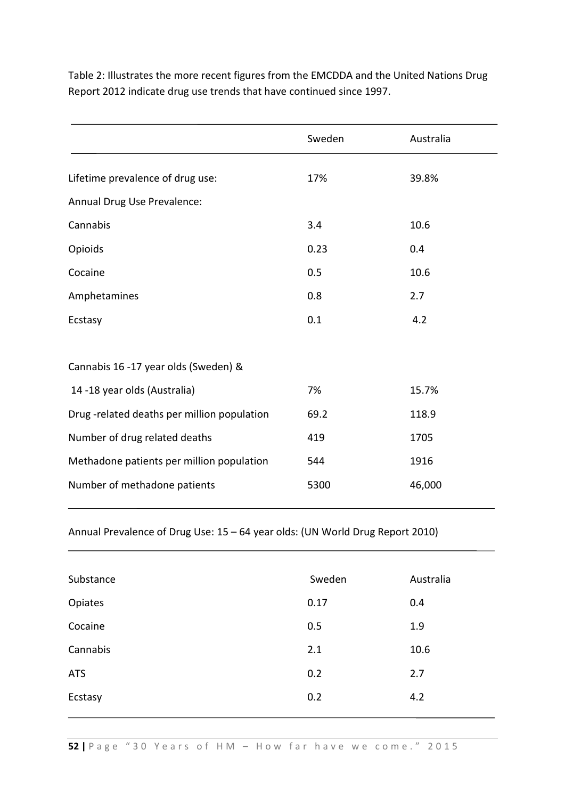Table 2: Illustrates the more recent figures from the EMCDDA and the United Nations Drug Report 2012 indicate drug use trends that have continued since 1997.

|                                            | Sweden | Australia |
|--------------------------------------------|--------|-----------|
| Lifetime prevalence of drug use:           | 17%    | 39.8%     |
| Annual Drug Use Prevalence:                |        |           |
| Cannabis                                   | 3.4    | 10.6      |
| Opioids                                    | 0.23   | 0.4       |
| Cocaine                                    | 0.5    | 10.6      |
| Amphetamines                               | 0.8    | 2.7       |
| Ecstasy                                    | 0.1    | 4.2       |
| Cannabis 16 -17 year olds (Sweden) &       |        |           |
| 14 -18 year olds (Australia)               | 7%     | 15.7%     |
| Drug-related deaths per million population | 69.2   | 118.9     |
| Number of drug related deaths              | 419    | 1705      |
| Methadone patients per million population  | 544    | 1916      |
| Number of methadone patients               | 5300   | 46,000    |

Annual Prevalence of Drug Use: 15 – 64 year olds: (UN World Drug Report 2010)

| Substance  | Sweden | Australia |
|------------|--------|-----------|
| Opiates    | 0.17   | 0.4       |
| Cocaine    | 0.5    | 1.9       |
| Cannabis   | 2.1    | 10.6      |
| <b>ATS</b> | 0.2    | 2.7       |
| Ecstasy    | 0.2    | 4.2       |
|            |        |           |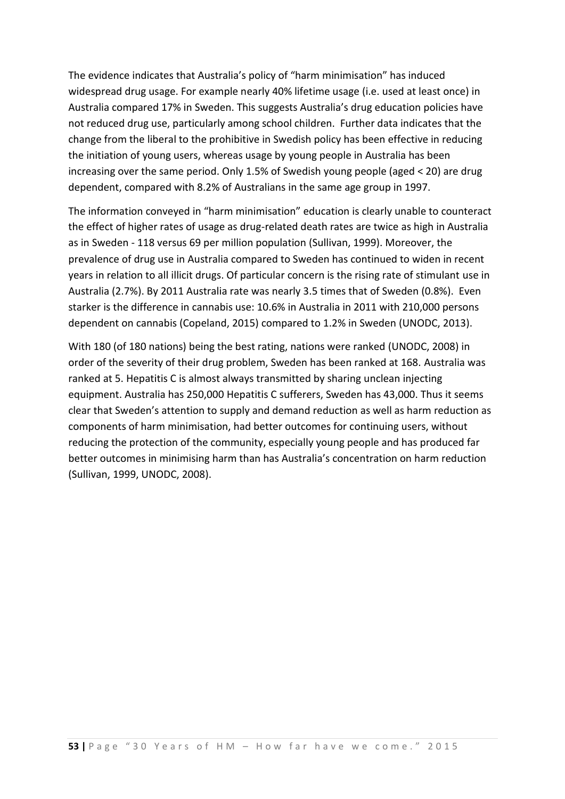The evidence indicates that Australia's policy of "harm minimisation" has induced widespread drug usage. For example nearly 40% lifetime usage (i.e. used at least once) in Australia compared 17% in Sweden. This suggests Australia's drug education policies have not reduced drug use, particularly among school children. Further data indicates that the change from the liberal to the prohibitive in Swedish policy has been effective in reducing the initiation of young users, whereas usage by young people in Australia has been increasing over the same period. Only 1.5% of Swedish young people (aged < 20) are drug dependent, compared with 8.2% of Australians in the same age group in 1997.

The information conveyed in "harm minimisation" education is clearly unable to counteract the effect of higher rates of usage as drug-related death rates are twice as high in Australia as in Sweden - 118 versus 69 per million population (Sullivan, 1999). Moreover, the prevalence of drug use in Australia compared to Sweden has continued to widen in recent years in relation to all illicit drugs. Of particular concern is the rising rate of stimulant use in Australia (2.7%). By 2011 Australia rate was nearly 3.5 times that of Sweden (0.8%). Even starker is the difference in cannabis use: 10.6% in Australia in 2011 with 210,000 persons dependent on cannabis (Copeland, 2015) compared to 1.2% in Sweden (UNODC, 2013).

With 180 (of 180 nations) being the best rating, nations were ranked (UNODC, 2008) in order of the severity of their drug problem, Sweden has been ranked at 168. Australia was ranked at 5. Hepatitis C is almost always transmitted by sharing unclean injecting equipment. Australia has 250,000 Hepatitis C sufferers, Sweden has 43,000. Thus it seems clear that Sweden's attention to supply and demand reduction as well as harm reduction as components of harm minimisation, had better outcomes for continuing users, without reducing the protection of the community, especially young people and has produced far better outcomes in minimising harm than has Australia's concentration on harm reduction (Sullivan, 1999, UNODC, 2008).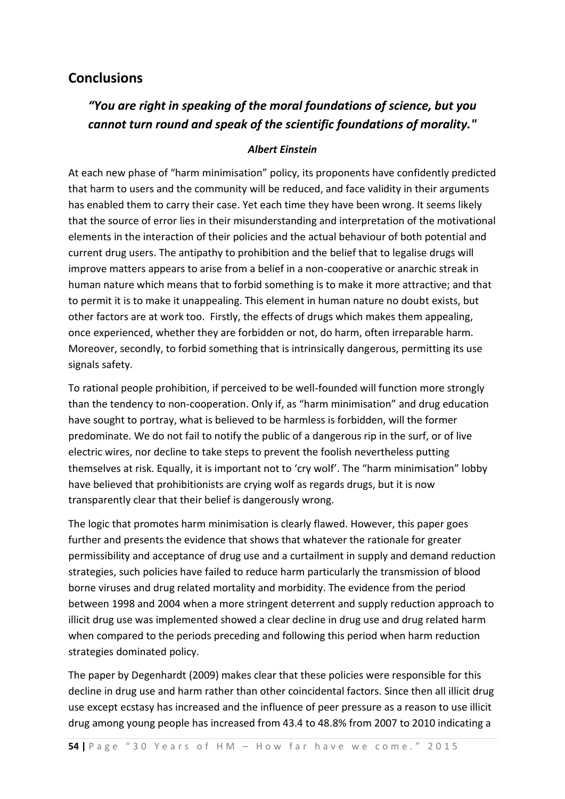### **Conclusions**

# *"You are right in speaking of the moral foundations of science, but you cannot turn round and speak of the scientific foundations of morality."*

#### *Albert Einstein*

At each new phase of "harm minimisation" policy, its proponents have confidently predicted that harm to users and the community will be reduced, and face validity in their arguments has enabled them to carry their case. Yet each time they have been wrong. It seems likely that the source of error lies in their misunderstanding and interpretation of the motivational elements in the interaction of their policies and the actual behaviour of both potential and current drug users. The antipathy to prohibition and the belief that to legalise drugs will improve matters appears to arise from a belief in a non-cooperative or anarchic streak in human nature which means that to forbid something is to make it more attractive; and that to permit it is to make it unappealing. This element in human nature no doubt exists, but other factors are at work too. Firstly, the effects of drugs which makes them appealing, once experienced, whether they are forbidden or not, do harm, often irreparable harm. Moreover, secondly, to forbid something that is intrinsically dangerous, permitting its use signals safety.

To rational people prohibition, if perceived to be well-founded will function more strongly than the tendency to non-cooperation. Only if, as "harm minimisation" and drug education have sought to portray, what is believed to be harmless is forbidden, will the former predominate. We do not fail to notify the public of a dangerous rip in the surf, or of live electric wires, nor decline to take steps to prevent the foolish nevertheless putting themselves at risk. Equally, it is important not to 'cry wolf'. The "harm minimisation" lobby have believed that prohibitionists are crying wolf as regards drugs, but it is now transparently clear that their belief is dangerously wrong.

The logic that promotes harm minimisation is clearly flawed. However, this paper goes further and presents the evidence that shows that whatever the rationale for greater permissibility and acceptance of drug use and a curtailment in supply and demand reduction strategies, such policies have failed to reduce harm particularly the transmission of blood borne viruses and drug related mortality and morbidity. The evidence from the period between 1998 and 2004 when a more stringent deterrent and supply reduction approach to illicit drug use was implemented showed a clear decline in drug use and drug related harm when compared to the periods preceding and following this period when harm reduction strategies dominated policy.

The paper by Degenhardt (2009) makes clear that these policies were responsible for this decline in drug use and harm rather than other coincidental factors. Since then all illicit drug use except ecstasy has increased and the influence of peer pressure as a reason to use illicit drug among young people has increased from 43.4 to 48.8% from 2007 to 2010 indicating a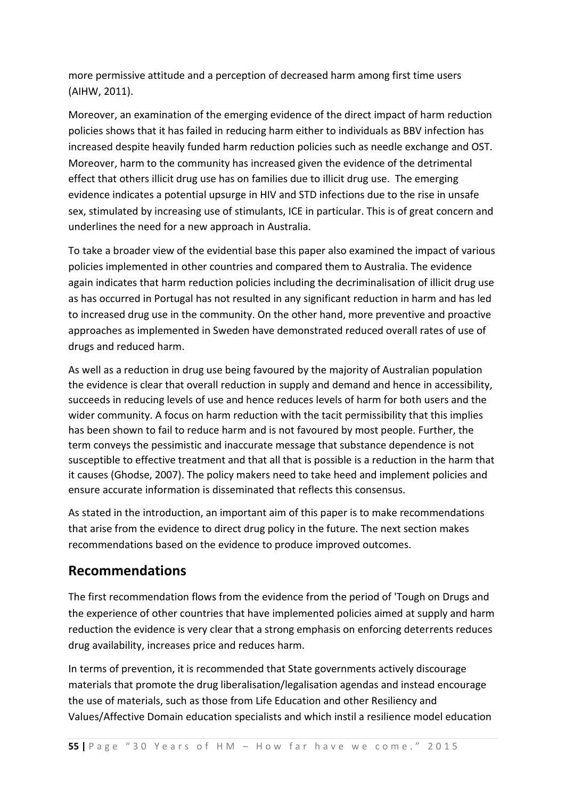more permissive attitude and a perception of decreased harm among first time users (AIHW, 2011).

Moreover, an examination of the emerging evidence of the direct impact of harm reduction policies shows that it has failed in reducing harm either to individuals as BBV infection has increased despite heavily funded harm reduction policies such as needle exchange and OST. Moreover, harm to the community has increased given the evidence of the detrimental effect that others illicit drug use has on families due to illicit drug use. The emerging evidence indicates a potential upsurge in HIV and STD infections due to the rise in unsafe sex, stimulated by increasing use of stimulants, ICE in particular. This is of great concern and underlines the need for a new approach in Australia.

To take a broader view of the evidential base this paper also examined the impact of various policies implemented in other countries and compared them to Australia. The evidence again indicates that harm reduction policies including the decriminalisation of illicit drug use as has occurred in Portugal has not resulted in any significant reduction in harm and has led to increased drug use in the community. On the other hand, more preventive and proactive approaches as implemented in Sweden have demonstrated reduced overall rates of use of drugs and reduced harm.

As well as a reduction in drug use being favoured by the majority of Australian population the evidence is clear that overall reduction in supply and demand and hence in accessibility, succeeds in reducing levels of use and hence reduces levels of harm for both users and the wider community. A focus on harm reduction with the tacit permissibility that this implies has been shown to fail to reduce harm and is not favoured by most people. Further, the term conveys the pessimistic and inaccurate message that substance dependence is not susceptible to effective treatment and that all that is possible is a reduction in the harm that it causes (Ghodse, 2007). The policy makers need to take heed and implement policies and ensure accurate information is disseminated that reflects this consensus.

As stated in the introduction, an important aim of this paper is to make recommendations that arise from the evidence to direct drug policy in the future. The next section makes recommendations based on the evidence to produce improved outcomes.

## **Recommendations**

The first recommendation flows from the evidence from the period of 'Tough on Drugs and the experience of other countries that have implemented policies aimed at supply and harm reduction the evidence is very clear that a strong emphasis on enforcing deterrents reduces drug availability, increases price and reduces harm.

In terms of prevention, it is recommended that State governments actively discourage materials that promote the drug liberalisation/legalisation agendas and instead encourage the use of materials, such as those from Life Education and other Resiliency and Values/Affective Domain education specialists and which instil a resilience model education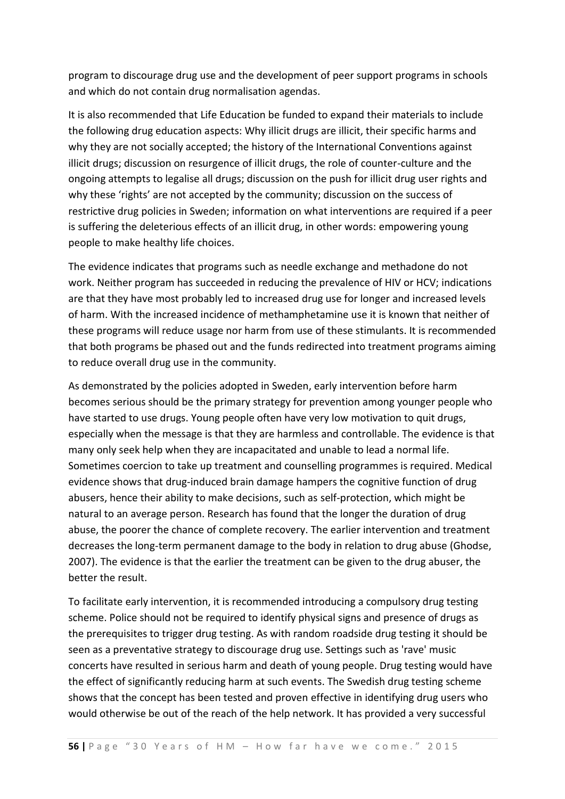program to discourage drug use and the development of peer support programs in schools and which do not contain drug normalisation agendas.

It is also recommended that Life Education be funded to expand their materials to include the following drug education aspects: Why illicit drugs are illicit, their specific harms and why they are not socially accepted; the history of the International Conventions against illicit drugs; discussion on resurgence of illicit drugs, the role of counter-culture and the ongoing attempts to legalise all drugs; discussion on the push for illicit drug user rights and why these 'rights' are not accepted by the community; discussion on the success of restrictive drug policies in Sweden; information on what interventions are required if a peer is suffering the deleterious effects of an illicit drug, in other words: empowering young people to make healthy life choices.

The evidence indicates that programs such as needle exchange and methadone do not work. Neither program has succeeded in reducing the prevalence of HIV or HCV; indications are that they have most probably led to increased drug use for longer and increased levels of harm. With the increased incidence of methamphetamine use it is known that neither of these programs will reduce usage nor harm from use of these stimulants. It is recommended that both programs be phased out and the funds redirected into treatment programs aiming to reduce overall drug use in the community.

As demonstrated by the policies adopted in Sweden, early intervention before harm becomes serious should be the primary strategy for prevention among younger people who have started to use drugs. Young people often have very low motivation to quit drugs, especially when the message is that they are harmless and controllable. The evidence is that many only seek help when they are incapacitated and unable to lead a normal life. Sometimes coercion to take up treatment and counselling programmes is required. Medical evidence shows that drug-induced brain damage hampers the cognitive function of drug abusers, hence their ability to make decisions, such as self-protection, which might be natural to an average person. Research has found that the longer the duration of drug abuse, the poorer the chance of complete recovery. The earlier intervention and treatment decreases the long-term permanent damage to the body in relation to drug abuse (Ghodse, 2007). The evidence is that the earlier the treatment can be given to the drug abuser, the better the result.

To facilitate early intervention, it is recommended introducing a compulsory drug testing scheme. Police should not be required to identify physical signs and presence of drugs as the prerequisites to trigger drug testing. As with random roadside drug testing it should be seen as a preventative strategy to discourage drug use. Settings such as 'rave' music concerts have resulted in serious harm and death of young people. Drug testing would have the effect of significantly reducing harm at such events. The Swedish drug testing scheme shows that the concept has been tested and proven effective in identifying drug users who would otherwise be out of the reach of the help network. It has provided a very successful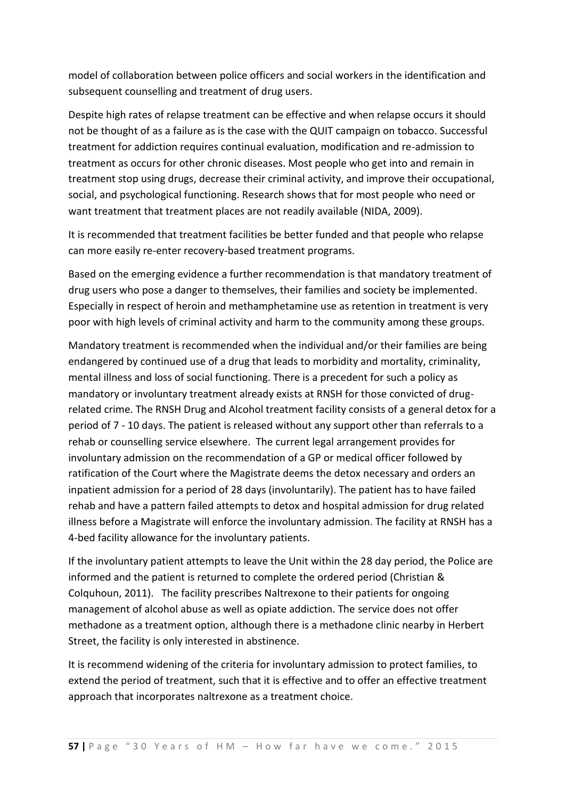model of collaboration between police officers and social workers in the identification and subsequent counselling and treatment of drug users.

Despite high rates of relapse treatment can be effective and when relapse occurs it should not be thought of as a failure as is the case with the QUIT campaign on tobacco. Successful treatment for addiction requires continual evaluation, modification and re-admission to treatment as occurs for other chronic diseases. Most people who get into and remain in treatment stop using drugs, decrease their criminal activity, and improve their occupational, social, and psychological functioning. Research shows that for most people who need or want treatment that treatment places are not readily available (NIDA, 2009).

It is recommended that treatment facilities be better funded and that people who relapse can more easily re-enter recovery-based treatment programs.

Based on the emerging evidence a further recommendation is that mandatory treatment of drug users who pose a danger to themselves, their families and society be implemented. Especially in respect of heroin and methamphetamine use as retention in treatment is very poor with high levels of criminal activity and harm to the community among these groups.

Mandatory treatment is recommended when the individual and/or their families are being endangered by continued use of a drug that leads to morbidity and mortality, criminality, mental illness and loss of social functioning. There is a precedent for such a policy as mandatory or involuntary treatment already exists at RNSH for those convicted of drugrelated crime. The RNSH Drug and Alcohol treatment facility consists of a general detox for a period of 7 - 10 days. The patient is released without any support other than referrals to a rehab or counselling service elsewhere. The current legal arrangement provides for involuntary admission on the recommendation of a GP or medical officer followed by ratification of the Court where the Magistrate deems the detox necessary and orders an inpatient admission for a period of 28 days (involuntarily). The patient has to have failed rehab and have a pattern failed attempts to detox and hospital admission for drug related illness before a Magistrate will enforce the involuntary admission. The facility at RNSH has a 4-bed facility allowance for the involuntary patients.

If the involuntary patient attempts to leave the Unit within the 28 day period, the Police are informed and the patient is returned to complete the ordered period (Christian & Colquhoun, 2011). The facility prescribes Naltrexone to their patients for ongoing management of alcohol abuse as well as opiate addiction. The service does not offer methadone as a treatment option, although there is a methadone clinic nearby in Herbert Street, the facility is only interested in abstinence.

It is recommend widening of the criteria for involuntary admission to protect families, to extend the period of treatment, such that it is effective and to offer an effective treatment approach that incorporates naltrexone as a treatment choice.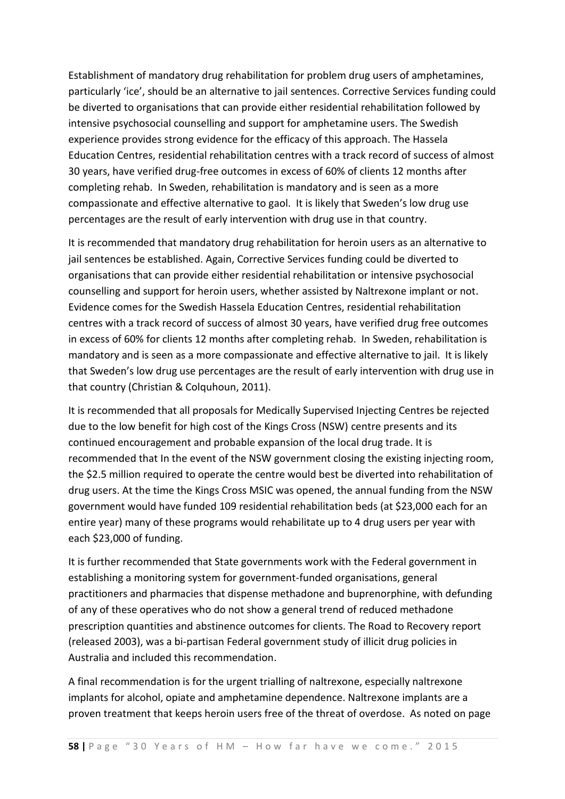Establishment of mandatory drug rehabilitation for problem drug users of amphetamines, particularly 'ice', should be an alternative to jail sentences. Corrective Services funding could be diverted to organisations that can provide either residential rehabilitation followed by intensive psychosocial counselling and support for amphetamine users. The Swedish experience provides strong evidence for the efficacy of this approach. The Hassela Education Centres, residential rehabilitation centres with a track record of success of almost 30 years, have verified drug-free outcomes in excess of 60% of clients 12 months after completing rehab. In Sweden, rehabilitation is mandatory and is seen as a more compassionate and effective alternative to gaol. It is likely that Sweden's low drug use percentages are the result of early intervention with drug use in that country.

It is recommended that mandatory drug rehabilitation for heroin users as an alternative to jail sentences be established. Again, Corrective Services funding could be diverted to organisations that can provide either residential rehabilitation or intensive psychosocial counselling and support for heroin users, whether assisted by Naltrexone implant or not. Evidence comes for the Swedish Hassela Education Centres, residential rehabilitation centres with a track record of success of almost 30 years, have verified drug free outcomes in excess of 60% for clients 12 months after completing rehab. In Sweden, rehabilitation is mandatory and is seen as a more compassionate and effective alternative to jail. It is likely that Sweden's low drug use percentages are the result of early intervention with drug use in that country (Christian & Colquhoun, 2011).

It is recommended that all proposals for Medically Supervised Injecting Centres be rejected due to the low benefit for high cost of the Kings Cross (NSW) centre presents and its continued encouragement and probable expansion of the local drug trade. It is recommended that In the event of the NSW government closing the existing injecting room, the \$2.5 million required to operate the centre would best be diverted into rehabilitation of drug users. At the time the Kings Cross MSIC was opened, the annual funding from the NSW government would have funded 109 residential rehabilitation beds (at \$23,000 each for an entire year) many of these programs would rehabilitate up to 4 drug users per year with each \$23,000 of funding.

It is further recommended that State governments work with the Federal government in establishing a monitoring system for government-funded organisations, general practitioners and pharmacies that dispense methadone and buprenorphine, with defunding of any of these operatives who do not show a general trend of reduced methadone prescription quantities and abstinence outcomes for clients. The Road to Recovery report (released 2003), was a bi-partisan Federal government study of illicit drug policies in Australia and included this recommendation.

A final recommendation is for the urgent trialling of naltrexone, especially naltrexone implants for alcohol, opiate and amphetamine dependence. Naltrexone implants are a proven treatment that keeps heroin users free of the threat of overdose. As noted on page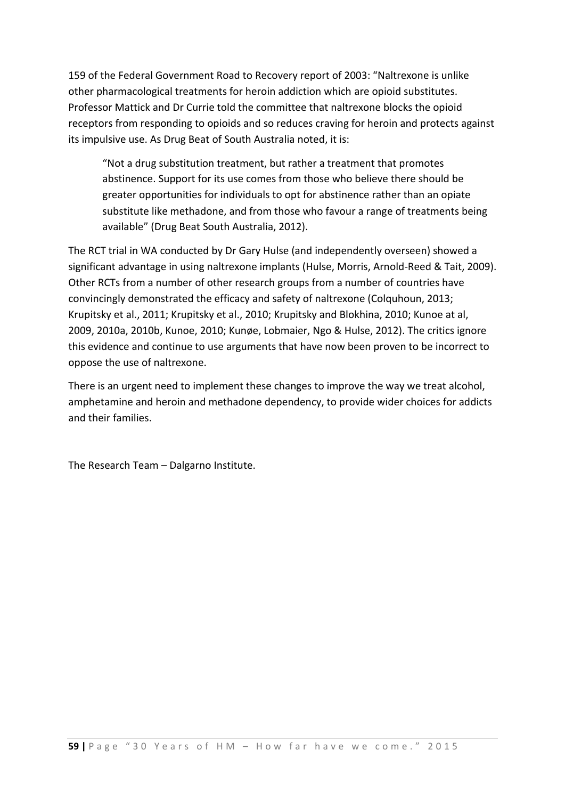159 of the Federal Government Road to Recovery report of 2003: "Naltrexone is unlike other pharmacological treatments for heroin addiction which are opioid substitutes. Professor Mattick and Dr Currie told the committee that naltrexone blocks the opioid receptors from responding to opioids and so reduces craving for heroin and protects against its impulsive use. As Drug Beat of South Australia noted, it is:

"Not a drug substitution treatment, but rather a treatment that promotes abstinence. Support for its use comes from those who believe there should be greater opportunities for individuals to opt for abstinence rather than an opiate substitute like methadone, and from those who favour a range of treatments being available" (Drug Beat South Australia, 2012).

The RCT trial in WA conducted by Dr Gary Hulse (and independently overseen) showed a significant advantage in using naltrexone implants (Hulse, Morris, Arnold-Reed & Tait, 2009). Other RCTs from a number of other research groups from a number of countries have convincingly demonstrated the efficacy and safety of naltrexone (Colquhoun, 2013; Krupitsky et al., 2011; Krupitsky et al., 2010; Krupitsky and Blokhina, 2010; Kunoe at al, 2009, 2010a, 2010b, Kunoe, 2010; Kunøe, Lobmaier, Ngo & Hulse, 2012). The critics ignore this evidence and continue to use arguments that have now been proven to be incorrect to oppose the use of naltrexone.

There is an urgent need to implement these changes to improve the way we treat alcohol, amphetamine and heroin and methadone dependency, to provide wider choices for addicts and their families.

The Research Team – Dalgarno Institute.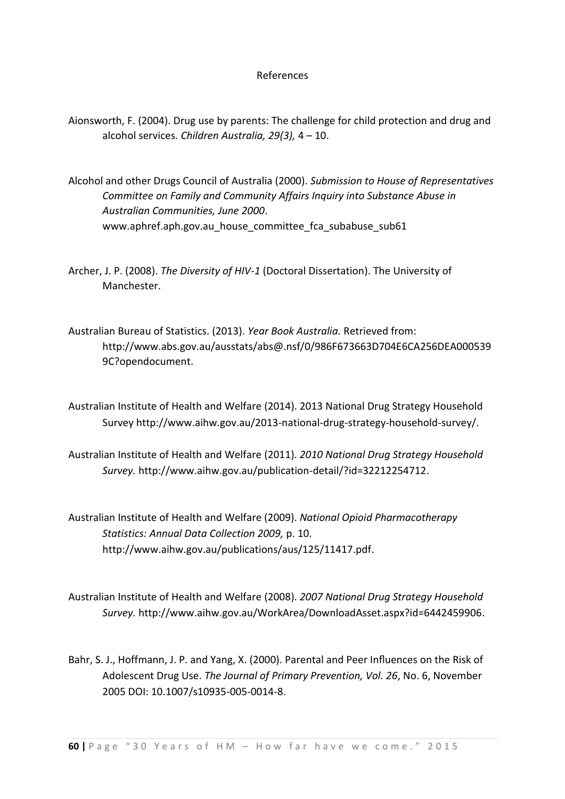#### References

- Aionsworth, F. (2004). Drug use by parents: The challenge for child protection and drug and alcohol services*. Children Australia, 29(3),* 4 – 10.
- Alcohol and other Drugs Council of Australia (2000). *Submission to House of Representatives Committee on Family and Community Affairs Inquiry into Substance Abuse in Australian Communities, June 2000*. www.aphref.aph.gov.au\_house\_committee fca subabuse sub61
- Archer, J. P. (2008). *The Diversity of HIV-1* (Doctoral Dissertation). The University of Manchester.
- Australian Bureau of Statistics. (2013). *Year Book Australia.* Retrieved from: http://www.abs.gov.au/ausstats/abs@.nsf/0/986F673663D704E6CA256DEA000539 9C?opendocument.
- Australian Institute of Health and Welfare (2014). 2013 National Drug Strategy Household Survey http://www.aihw.gov.au/2013-national-drug-strategy-household-survey/.
- Australian Institute of Health and Welfare (2011). *2010 National Drug Strategy Household Survey.* http://www.aihw.gov.au/publication-detail/?id=32212254712.
- Australian Institute of Health and Welfare (2009). *National Opioid Pharmacotherapy Statistics: Annual Data Collection 2009,* p. 10. http://www.aihw.gov.au/publications/aus/125/11417.pdf.
- Australian Institute of Health and Welfare (2008). *2007 National Drug Strategy Household Survey.* http://www.aihw.gov.au/WorkArea/DownloadAsset.aspx?id=6442459906.
- Bahr, S. J., Hoffmann, J. P. and Yang, X. (2000). Parental and Peer Influences on the Risk of Adolescent Drug Use. *The Journal of Primary Prevention, Vol. 26*, No. 6, November 2005 DOI: 10.1007/s10935-005-0014-8.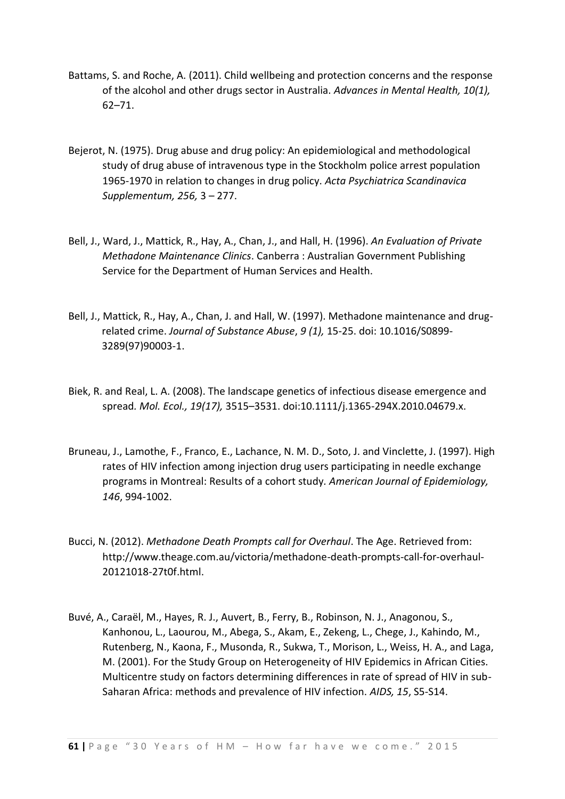- Battams, S. and Roche, A. (2011). Child wellbeing and protection concerns and the response of the alcohol and other drugs sector in Australia. *Advances in Mental Health, 10(1),*  62–71.
- Bejerot, N. (1975). Drug abuse and drug policy: An epidemiological and methodological study of drug abuse of intravenous type in the Stockholm police arrest population 1965-1970 in relation to changes in drug policy. *Acta Psychiatrica Scandinavica Supplementum, 256,* 3 – 277.
- Bell, J., Ward, J., Mattick, R., Hay, A., Chan, J., and Hall, H. (1996). *An Evaluation of Private Methadone Maintenance Clinics*. Canberra : Australian Government Publishing Service for the Department of Human Services and Health.
- [Bell, J.](https://espace.library.uq.edu.au/list/author/Bell%2C+James/), [Mattick, R.](https://espace.library.uq.edu.au/list/author/Mattick%2C+Richard/), [Hay, A.](https://espace.library.uq.edu.au/list/author/Hay%2C+Anna/), [Chan, J.](https://espace.library.uq.edu.au/list/author/Chan%2C+Jennifer/) an[d Hall, W.](https://espace.library.uq.edu.au/list/author_id/1968/) (1997). [Methadone maintenance and drug](https://espace.library.uq.edu.au/view/UQ:35006)[related crime.](https://espace.library.uq.edu.au/view/UQ:35006) *Journal of Substance Abuse*, *9 (1),* 15-25. doi: 10.1016/S0899- 3289(97)90003-1.
- Biek, R. and Real, L. A. (2008). The landscape genetics of infectious disease emergence and spread*. Mol. Ecol., 19(17),* 3515–3531. doi:10.1111/j.1365-294X.2010.04679.x.
- Bruneau, J., Lamothe, F., Franco, E., Lachance, N. M. D., Soto, J. and Vinclette, J. (1997). High rates of HIV infection among injection drug users participating in needle exchange programs in Montreal: Results of a cohort study*. American Journal of Epidemiology, 146*, 994-1002.
- Bucci, N. (2012). *Methadone Death Prompts call for Overhaul*. The Age. Retrieved from: http://www.theage.com.au/victoria/methadone-death-prompts-call-for-overhaul-20121018-27t0f.html.
- Buvé, A., Caraël, M., Hayes, R. J., Auvert, B., Ferry, B., Robinson, N. J., Anagonou, S., Kanhonou, L., Laourou, M., Abega, S., Akam, E., Zekeng, L., Chege, J., Kahindo, M., Rutenberg, N., Kaona, F., Musonda, R., Sukwa, T., Morison, L., Weiss, H. A., and Laga, M. (2001). For the Study Group on Heterogeneity of HIV Epidemics in African Cities. Multicentre study on factors determining differences in rate of spread of HIV in sub-Saharan Africa: methods and prevalence of HIV infection. *AIDS, 15*, S5-S14.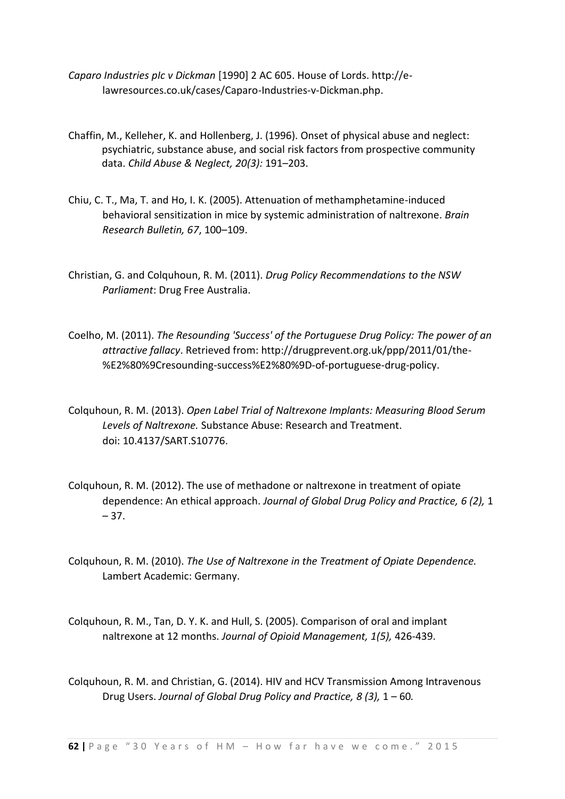- *Caparo Industries pIc v Dickman* [1990] 2 AC 605. House of Lords. http://elawresources.co.uk/cases/Caparo-Industries-v-Dickman.php.
- Chaffin, M., Kelleher, K. and Hollenberg, J. (1996). Onset of physical abuse and neglect: psychiatric, substance abuse, and social risk factors from prospective community data. *Child Abuse & Neglect, 20(3):* 191–203.
- Chiu, C. T., Ma, T. and Ho, I. K. (2005). Attenuation of methamphetamine-induced behavioral sensitization in mice by systemic administration of naltrexone. *Brain Research Bulletin, 67*, 100–109.
- Christian, G. and Colquhoun, R. M. (2011). *Drug Policy Recommendations to the NSW Parliament*: Drug Free Australia.
- Coelho, M. (2011). *The Resounding 'Success' of the Portuguese Drug Policy: The power of an attractive fallacy*. Retrieved from: http://drugprevent.org.uk/ppp/2011/01/the- %E2%80%9Cresounding-success%E2%80%9D-of-portuguese-drug-policy.
- Colquhoun, R. M. (2013). *Open Label Trial of Naltrexone Implants: Measuring Blood Serum Levels of Naltrexone.* Substance Abuse: Research and Treatment. doi: [10.4137/SART.S10776.](http://dx.doi.org/10.4137%2FSART.S10776)
- Colquhoun, R. M. (2012). The use of methadone or naltrexone in treatment of opiate dependence: An ethical approach. *Journal of Global Drug Policy and Practice, 6 (2),* 1  $-37.$
- Colquhoun, R. M. (2010). *The Use of Naltrexone in the Treatment of Opiate Dependence.* Lambert Academic: Germany.
- Colquhoun, R. M., Tan, D. Y. K. and Hull, S. (2005). Comparison of oral and implant naltrexone at 12 months. *Journal of Opioid Management, 1(5),* 426-439.
- Colquhoun, R. M. and Christian, G. (2014). [HIV and HCV Transmission Among Intravenous](http://www.globaldrugpolicy.org/Issues/Vol%208%20Issue%203/HIV%20and%20HCV%20Transmission%20Among%20Intravenous%20Drug%20Users.pdf)  [Drug Users.](http://www.globaldrugpolicy.org/Issues/Vol%208%20Issue%203/HIV%20and%20HCV%20Transmission%20Among%20Intravenous%20Drug%20Users.pdf) *Journal of Global Drug Policy and Practice, [8 \(3\),](http://www.globaldrugpolicy.org/Issues/Vol%208%20Issue%204/Vol8Issue3_Full.pdf)* 1 – 60*.*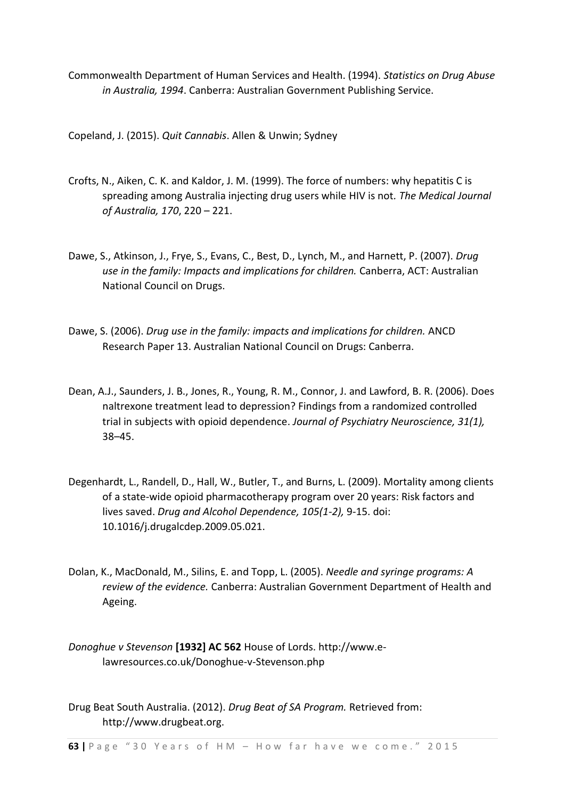Commonwealth Department of Human Services and Health. (1994). *Statistics on Drug Abuse in Australia, 1994*. Canberra: Australian Government Publishing Service.

Copeland, J. (2015). *Quit Cannabis*. Allen & Unwin; Sydney

- Crofts, N., Aiken, C. K. and Kaldor, J. M. (1999). The force of numbers: why hepatitis C is spreading among Australia injecting drug users while HIV is not*. The Medical Journal of Australia, 170*, 220 – 221.
- Dawe, S., Atkinson, J., Frye, S., Evans, C., Best, D., Lynch, M., and Harnett, P. (2007). *Drug use in the family: Impacts and implications for children.* Canberra, ACT: Australian National Council on Drugs.
- Dawe, S. (2006). *Drug use in the family: impacts and implications for children.* ANCD Research Paper 13. Australian National Council on Drugs: Canberra.
- [Dean, A.J., Saunders,](http://www.ncbi.nlm.nih.gov/sites/entrez?cmd=search&db=PubMed&term=%20Saunders%20JB%5Bauth%5D) J. [B., Jones,](http://www.ncbi.nlm.nih.gov/sites/entrez?cmd=search&db=PubMed&term=%20Jones%20RT%5Bauth%5D) R., [Young,](http://www.ncbi.nlm.nih.gov/sites/entrez?cmd=search&db=PubMed&term=%20Young%20RM%5Bauth%5D) R. M., [Connor,](http://www.ncbi.nlm.nih.gov/sites/entrez?cmd=search&db=PubMed&term=%20Connor%20JP%5Bauth%5D) J. and [Lawford,](http://www.ncbi.nlm.nih.gov/sites/entrez?cmd=search&db=PubMed&term=%20Lawford%20BR%5Bauth%5D) B. R. (2006). Does naltrexone treatment lead to depression? Findings from a randomized controlled trial in subjects with opioid dependence. *Journal of Psychiatry Neuroscience, 31(1),* 38–45.
- Degenhardt, L., Randell, D., Hall, W., Butler, T., and Burns, L. (2009). Mortality among clients of a state-wide opioid pharmacotherapy program over 20 years: Risk factors and lives saved. *Drug and Alcohol Dependence, 105(1-2),* 9-15. doi: 10.1016/j.drugalcdep.2009.05.021.
- Dolan, K., MacDonald, M., Silins, E. and Topp, L. (2005). *Needle and syringe programs: A review of the evidence.* Canberra: Australian Government Department of Health and Ageing.
- *Donoghue v Stevenson* **[1932] AC 562** House of Lords. http://www.elawresources.co.uk/Donoghue-v-Stevenson.php

Drug Beat South Australia. (2012). *Drug Beat of SA Program.* Retrieved from: http://www.drugbeat.org.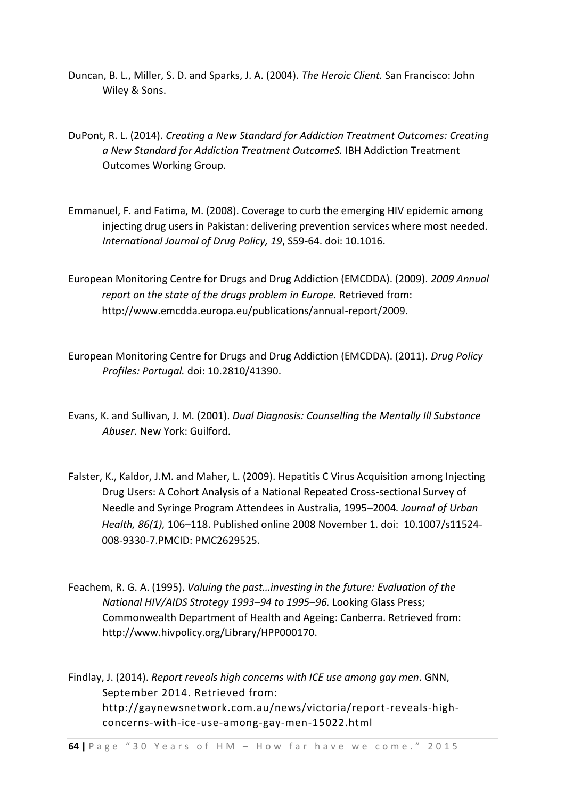- Duncan, B. L., Miller, S. D. and Sparks, J. A. (2004). *The Heroic Client.* San Francisco: John Wiley & Sons.
- DuPont, R. L. (2014). *Creating a New Standard for Addiction Treatment Outcomes: Creating a New Standard for Addiction Treatment OutcomeS.* IBH Addiction Treatment Outcomes Working Group.
- [Emmanuel, F.](http://www.ncbi.nlm.nih.gov/pubmed?term=Emmanuel%20F%5BAuthor%5D&cauthor=true&cauthor_uid=18281206) and [Fatima, M.](http://www.ncbi.nlm.nih.gov/pubmed?term=Fatima%20M%5BAuthor%5D&cauthor=true&cauthor_uid=18281206) (2008). Coverage to curb the emerging HIV epidemic among injecting drug users in Pakistan: delivering prevention services where most needed. *[International Journal of Drug Policy,](http://www.ncbi.nlm.nih.gov/pubmed/18281206) 19*, S59-64. doi: 10.1016.
- European Monitoring Centre for Drugs and Drug Addiction (EMCDDA). (2009). *2009 Annual report on the state of the drugs problem in Europe.* Retrieved from: http://www.emcdda.europa.eu/publications/annual-report/2009.
- European Monitoring Centre for Drugs and Drug Addiction (EMCDDA). (2011). *Drug Policy Profiles: Portugal.* doi: 10.2810/41390.
- Evans, K. and Sullivan, J. M. (2001). *Dual Diagnosis: Counselling the Mentally Ill Substance Abuser.* New York: Guilford.
- [Falster,](http://www.ncbi.nlm.nih.gov/pubmed/?term=Falster%20K%5Bauth%5D) K., [Kaldor,](http://www.ncbi.nlm.nih.gov/pubmed/?term=Kaldor%20JM%5Bauth%5D) J.M. and [Maher,](http://www.ncbi.nlm.nih.gov/pubmed/?term=Maher%20L%5Bauth%5D) L. (2009). Hepatitis C Virus Acquisition among Injecting Drug Users: A Cohort Analysis of a National Repeated Cross-sectional Survey of Needle and Syringe Program Attendees in Australia, 1995–2004*. Journal of Urban Health, 86(1),* 106–118. Published online 2008 November 1. doi: [10.1007/s11524-](http://dx.doi.org/10.1007%2Fs11524-008-9330-7) [008-9330-7.](http://dx.doi.org/10.1007%2Fs11524-008-9330-7)PMCID: PMC2629525.
- Feachem, R. G. A. (1995). *Valuing the past…investing in the future: Evaluation of the National HIV/AIDS Strategy 1993–94 to 1995–96.* Looking Glass Press; Commonwealth Department of Health and Ageing: Canberra. Retrieved from: http://www.hivpolicy.org/Library/HPP000170.

Findlay, J. (2014). *Report reveals high concerns with ICE use among gay men*. GNN, September 2014. Retrieved from: http://gaynewsnetwork.com.au/news/victoria/report-reveals-highconcerns-with-ice-use-among-gay-men-15022.html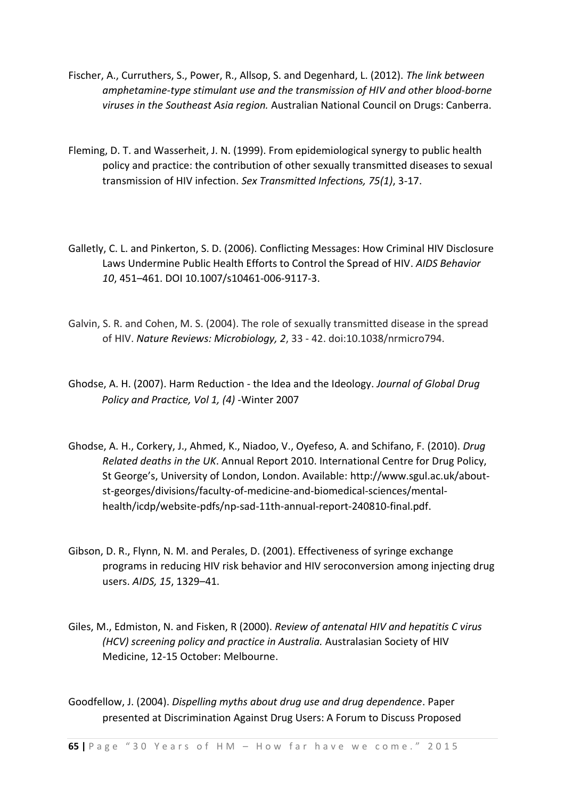- Fischer, A., Curruthers, S., Power, R., Allsop, S. and Degenhard, L. (2012). *The link between amphetamine-type stimulant use and the transmission of HIV and other blood-borne viruses in the Southeast Asia region.* Australian National Council on Drugs: Canberra.
- [Fleming, D.](http://www.ncbi.nlm.nih.gov/pubmed?term=Fleming%20DT%5BAuthor%5D&cauthor=true&cauthor_uid=10448335) T. and [Wasserheit, J.](http://www.ncbi.nlm.nih.gov/pubmed?term=Wasserheit%20JN%5BAuthor%5D&cauthor=true&cauthor_uid=10448335) N. (1999). From epidemiological synergy to public health policy and practice: the contribution of other sexually transmitted diseases to sexual transmission of HIV infection. *Sex Transmitted Infections, 75(1)*, 3-17.
- Galletly, C. L. and Pinkerton, S. D. (2006). Conflicting Messages: How Criminal HIV Disclosure Laws Undermine Public Health Efforts to Control the Spread of HIV. *AIDS Behavior 10*, 451–461. DOI 10.1007/s10461-006-9117-3.
- Galvin, S. R. and Cohen, M. S. (2004). The role of sexually transmitted disease in the spread of HIV. *Nature Reviews: Microbiology, 2*, 33 - 42. doi:10.1038/nrmicro794.
- Ghodse, A. H. (2007). Harm Reduction the Idea and the Ideology. *Journal of Global Drug Policy and Practice, Vol 1, (4)* -Winter 2007
- Ghodse, A. H., Corkery, J., Ahmed, K., Niadoo, V., Oyefeso, A. and Schifano, F. (2010). *Drug Related deaths in the UK*. Annual Report 2010. International Centre for Drug Policy, St George's, University of London, London. Available: [http://www.sgul.ac.uk/about](http://www.sgul.ac.uk/about-st-georges/divisions/faculty-of-medicine-and-biomedical-sciences/mental-health/icdp/website-pdfs/np-sad-11th-annual-report-240810-final.pdf)[st-georges/divisions/faculty-of-medicine-and-biomedical-sciences/mental](http://www.sgul.ac.uk/about-st-georges/divisions/faculty-of-medicine-and-biomedical-sciences/mental-health/icdp/website-pdfs/np-sad-11th-annual-report-240810-final.pdf)[health/icdp/website-pdfs/np-sad-11th-annual-report-240810-final.pdf.](http://www.sgul.ac.uk/about-st-georges/divisions/faculty-of-medicine-and-biomedical-sciences/mental-health/icdp/website-pdfs/np-sad-11th-annual-report-240810-final.pdf)
- Gibson, D. R., Flynn, N. M. and Perales, D. (2001). Effectiveness of syringe exchange programs in reducing HIV risk behavior and HIV seroconversion among injecting drug users. *AIDS, 15*, 1329–41.
- Giles, M., Edmiston, N. and Fisken, R (2000). *Review of antenatal HIV and hepatitis C virus (HCV) screening policy and practice in Australia.* Australasian Society of HIV Medicine, 12-15 October: Melbourne.
- Goodfellow, J. (2004). *Dispelling myths about drug use and drug dependence*. Paper presented at Discrimination Against Drug Users: A Forum to Discuss Proposed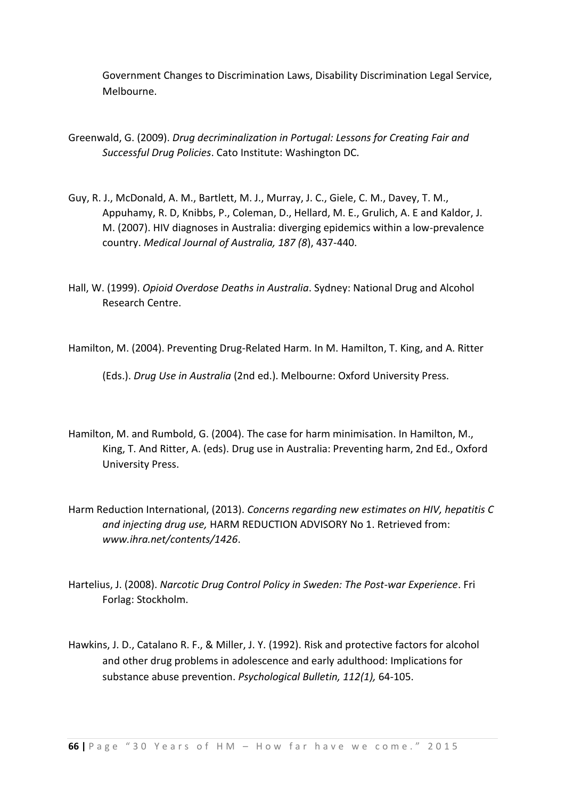Government Changes to Discrimination Laws, Disability Discrimination Legal Service, Melbourne.

- Greenwald, G. (2009). *Drug decriminalization in Portugal: Lessons for Creating Fair and Successful Drug Policies*. Cato Institute: Washington DC.
- Guy, R. J., McDonald, A. M., Bartlett, M. J., Murray, J. C., Giele, C. M., Davey, T. M., Appuhamy, R. D, Knibbs, P., Coleman, D., Hellard, M. E., Grulich, A. E and Kaldor, J. M. (2007). HIV diagnoses in Australia: diverging epidemics within a low-prevalence country. *Medical Journal of Australia, 187 (8*), 437-440.
- Hall, W. (1999). *Opioid Overdose Deaths in Australia*. Sydney: National Drug and Alcohol Research Centre.

Hamilton, M. (2004). Preventing Drug-Related Harm. In M. Hamilton, T. King, and A. Ritter

(Eds.). *Drug Use in Australia* (2nd ed.). Melbourne: Oxford University Press.

- Hamilton, M. and Rumbold, G. (2004). The case for harm minimisation. In Hamilton, M., King, T. And Ritter, A. (eds). Drug use in Australia: Preventing harm, 2nd Ed., Oxford University Press.
- Harm Reduction International, (2013). *Concerns regarding new estimates on HIV, hepatitis C and injecting drug use,* HARM REDUCTION ADVISORY No 1. Retrieved from: *[www.ihra.net/contents/1426](http://click.icptrack.com/icp/relay.php?r=9554626&msgid=274500&act=C9RW&c=737645&destination=http%3A%2F%2Fwww.ihra.net%2Fcontents%2F1426)*.
- Hartelius, J. (2008). *Narcotic Drug Control Policy in Sweden: The Post-war Experience*. Fri Forlag: Stockholm.
- Hawkins, J. D., Catalano R. F., & Miller, J. Y. (1992). Risk and protective factors for alcohol and other drug problems in adolescence and early adulthood: Implications for substance abuse prevention. *Psychological Bulletin, 112(1),* 64-105.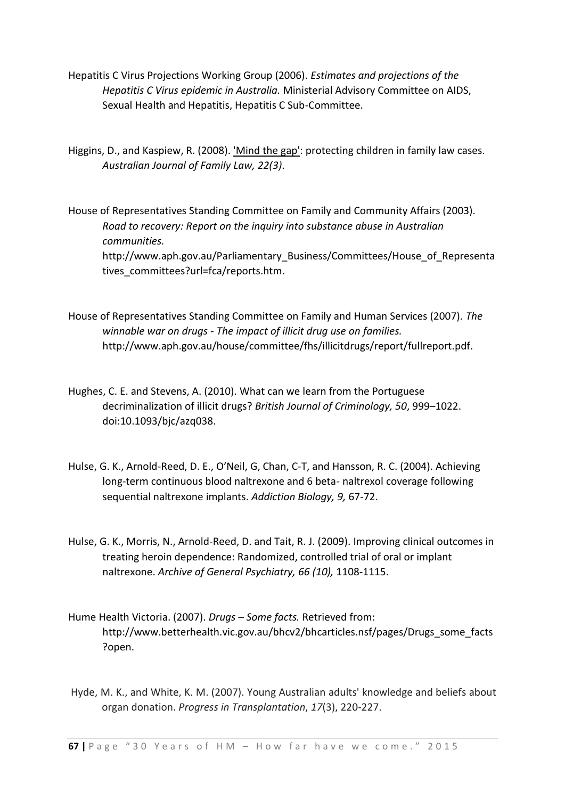- Hepatitis C Virus Projections Working Group (2006). *Estimates and projections of the Hepatitis C Virus epidemic in Australia.* Ministerial Advisory Committee on AIDS, Sexual Health and Hepatitis, Hepatitis C Sub-Committee.
- Higgins, D., and Kaspiew, R. (2008). ['Mind the gap': protecting children in family law cases](http://library.aifs.gov.au/uhtbin/cgisirsi/x/0/0/5?searchdata1=132392+%7bCKEY%7d&library=ALL). *Australian Journal of Family Law, 22(3)*.

House of Representatives Standing Committee on Family and Community Affairs (2003). *Road to recovery: Report on the inquiry into substance abuse in Australian communities.*  http://www.aph.gov.au/Parliamentary\_Business/Committees/House\_of\_Representa tives committees?url=fca/reports.htm.

- House of Representatives Standing Committee on Family and Human Services (2007). *The winnable war on drugs - The impact of illicit drug use on families.*  http://www.aph.gov.au/house/committee/fhs/illicitdrugs/report/fullreport.pdf.
- Hughes, C. E. and Stevens, A. (2010). What can we learn from the Portuguese decriminalization of illicit drugs? *British Journal of Criminology, 50*, 999–1022. doi:10.1093/bjc/azq038.
- Hulse, G. K., Arnold-Reed, D. E., O'Neil, G, Chan, C-T, and Hansson, R. C. (2004). Achieving long-term continuous blood naltrexone and 6 beta- naltrexol coverage following sequential naltrexone implants. *Addiction Biology, 9,* 67-72.
- Hulse, G. K., Morris, N., Arnold-Reed, D. and Tait, R. J. (2009). Improving clinical outcomes in treating heroin dependence: Randomized, controlled trial of oral or implant naltrexone. *Archive of General Psychiatry, 66 (10),* 1108-1115.
- Hume Health Victoria. (2007). *Drugs – Some facts.* Retrieved from: http://www.betterhealth.vic.gov.au/bhcv2/bhcarticles.nsf/pages/Drugs\_some\_facts ?open.
- Hyde, M. K., and White, K. M. (2007). Young Australian adults' knowledge and beliefs about organ donation. *Progress in Transplantation*, *17*(3), 220-227.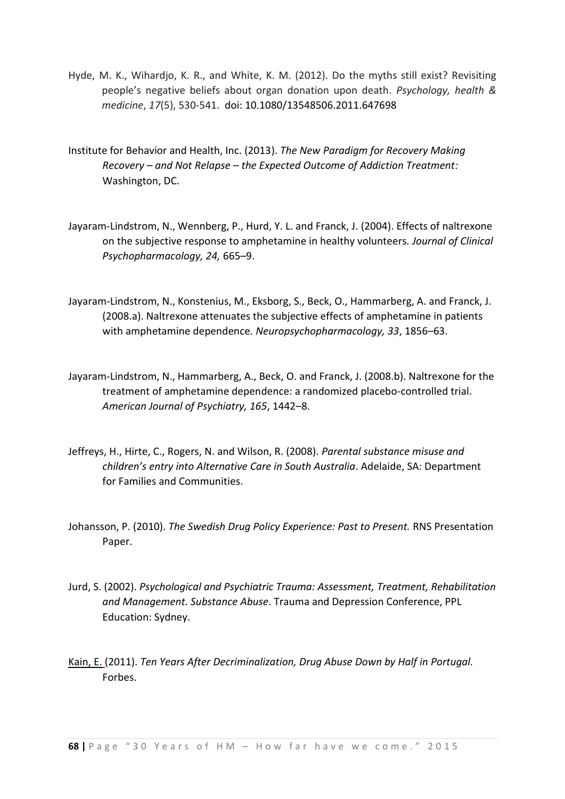- Hyde, M. K., Wihardjo, K. R., and White, K. M. (2012). Do the myths still exist? Revisiting people's negative beliefs about organ donation upon death. *Psychology, health & medicine*, *17*(5), 530-541. doi: 10.1080/13548506.2011.647698
- Institute for Behavior and Health, Inc. (2013). *The New Paradigm for Recovery Making Recovery – and Not Relapse – the Expected Outcome of Addiction Treatment:*  Washington, DC.
- Jayaram-Lindstrom, N., Wennberg, P., Hurd, Y. L. and Franck, J. (2004). Effects of naltrexone on the subjective response to amphetamine in healthy volunteers*. Journal of Clinical Psychopharmacology, 24,* 665–9.
- Jayaram-Lindstrom, N., Konstenius, M., Eksborg, S., Beck, O., Hammarberg, A. and Franck, J. (2008.a). Naltrexone attenuates the subjective effects of amphetamine in patients with amphetamine dependence*. Neuropsychopharmacology, 33*, 1856–63.
- Jayaram-Lindstrom, N., Hammarberg, A., Beck, O. and Franck, J. (2008.b). Naltrexone for the treatment of amphetamine dependence: a randomized placebo-controlled trial. *American Journal of Psychiatry, 165*, 1442–8.
- Jeffreys, H., Hirte, C., Rogers, N. and Wilson, R. (2008). *Parental substance misuse and children's entry into Alternative Care in South Australia*. Adelaide, SA: Department for Families and Communities.
- Johansson, P. (2010). *The Swedish Drug Policy Experience: Past to Present.* RNS Presentation Paper.
- Jurd, S. (2002). *Psychological and Psychiatric Trauma: Assessment, Treatment, Rehabilitation and Management. Substance Abuse*. Trauma and Depression Conference, PPL Education: Sydney.
- [Kain, E.](http://www.forbes.com/sites/erikkain/) (2011). *Ten Years After Decriminalization, Drug Abuse Down by Half in Portugal.* Forbes.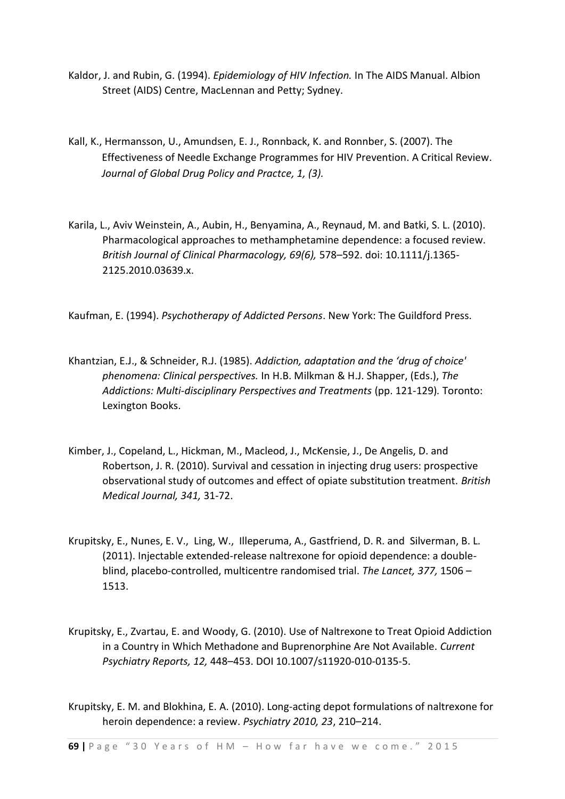- Kaldor, J. and Rubin, G. (1994). *Epidemiology of HIV Infection.* In The AIDS Manual. Albion Street (AIDS) Centre, MacLennan and Petty; Sydney.
- Kall, K., Hermansson, U., Amundsen, E. J., Ronnback, K. and Ronnber, S. (2007). The Effectiveness of Needle Exchange Programmes for HIV Prevention. A Critical Review. *Journal of Global Drug Policy and Practce, 1, (3).*
- [Karila,](http://www.ncbi.nlm.nih.gov/pubmed/?term=Karila%20L%5Bauth%5D) L., [Aviv Weinstein,](http://www.ncbi.nlm.nih.gov/pubmed/?term=Weinstein%20A%5Bauth%5D) A., [Aubin,](http://www.ncbi.nlm.nih.gov/pubmed/?term=Aubin%20HJ%5Bauth%5D) H., [Benyamina,](http://www.ncbi.nlm.nih.gov/pubmed/?term=Benyamina%20A%5Bauth%5D) A., [Reynaud,](http://www.ncbi.nlm.nih.gov/pubmed/?term=Reynaud%20M%5Bauth%5D) M. an[d Batki,](http://www.ncbi.nlm.nih.gov/pubmed/?term=Batki%20SL%5Bauth%5D) S. L. (2010). Pharmacological approaches to methamphetamine dependence: a focused review. *British Journal of Clinical Pharmacology, 69(6),* 578–592. doi: [10.1111/j.1365-](http://dx.doi.org/10.1111%2Fj.1365-2125.2010.03639.x) [2125.2010.03639.x.](http://dx.doi.org/10.1111%2Fj.1365-2125.2010.03639.x)

Kaufman, E. (1994). *Psychotherapy of Addicted Persons*. New York: The Guildford Press.

- Khantzian, E.J., & Schneider, R.J. (1985). *Addiction, adaptation and the 'drug of choice' phenomena: Clinical perspectives.* In H.B. Milkman & H.J. Shapper, (Eds.), *The Addictions: Multi-disciplinary Perspectives and Treatments* (pp. 121-129)*.* Toronto: Lexington Books.
- Kimber, J., Copeland, L., Hickman, M., Macleod, J., McKensie, J., De Angelis, D. and Robertson, J. R. (2010). Survival and cessation in injecting drug users: prospective observational study of outcomes and effect of opiate substitution treatment. *British Medical Journal, 341,* 31-72.
- [Krupitsky,](http://www.sciencedirect.com.simsrad.net.ocs.mq.edu.au/science/article/pii/S0140673611603589) E.[, Nunes,](http://www.sciencedirect.com.simsrad.net.ocs.mq.edu.au/science/article/pii/S0140673611603589) E. V., [Ling,](http://www.sciencedirect.com.simsrad.net.ocs.mq.edu.au/science/article/pii/S0140673611603589) W., [Illeperuma,](http://www.sciencedirect.com.simsrad.net.ocs.mq.edu.au/science/article/pii/S0140673611603589) A., [Gastfriend,](http://www.sciencedirect.com.simsrad.net.ocs.mq.edu.au/science/article/pii/S0140673611603589) D. R. and [Silverman,](http://www.sciencedirect.com.simsrad.net.ocs.mq.edu.au/science/article/pii/S0140673611603589) B. L. (2011). Injectable extended-release naltrexone for opioid dependence: a doubleblind, placebo-controlled, multicentre randomised trial. *The Lancet, [377,](http://www.sciencedirect.com.simsrad.net.ocs.mq.edu.au/science/journal/01406736/377/9776)* 1506 – 1513.
- Krupitsky, E., Zvartau, E. and Woody, G. (2010). Use of Naltrexone to Treat Opioid Addiction in a Country in Which Methadone and Buprenorphine Are Not Available. *Current Psychiatry Reports, 12,* 448–453. DOI 10.1007/s11920-010-0135-5.
- Krupitsky, E. M. and Blokhina, E. A. (2010). Long-acting depot formulations of naltrexone for heroin dependence: a review. *Psychiatry 2010, 23*, 210–214.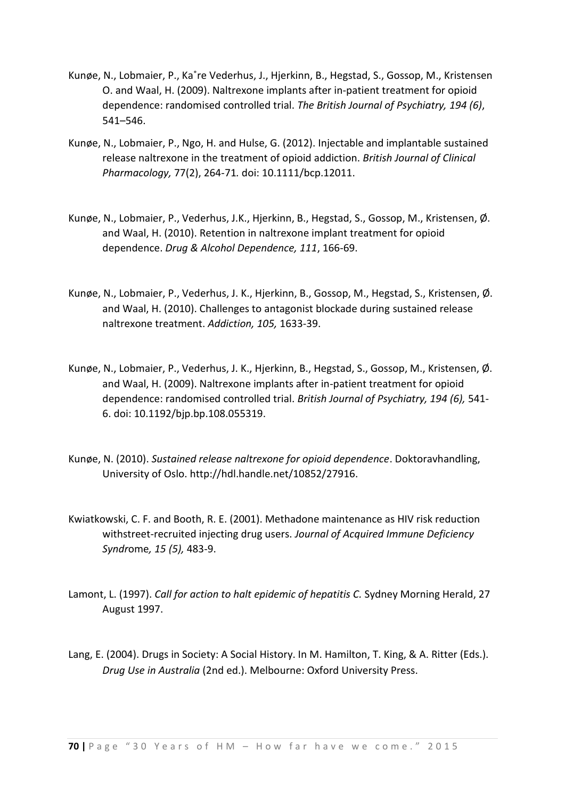- Kunøe, N., Lobmaier, P., Ka˚re Vederhus, J., Hjerkinn, B., Hegstad, S., Gossop, M., Kristensen O. and Waal, H. (2009). Naltrexone implants after in-patient treatment for opioid dependence: randomised controlled trial. *The British Journal of Psychiatry, 194 (6)*, 541–546.
- Kunøe, N., Lobmaier, P., Ngo, H. and Hulse, G. (2012). Injectable and implantable sustained release naltrexone in the treatment of opioid addiction. *British Journal of Clinical Pharmacology,* 77(2), 264-71*.* doi: 10.1111/bcp.12011.
- Kunøe, N., Lobmaier, P., Vederhus, J.K., Hjerkinn, B., Hegstad, S., Gossop, M., Kristensen, Ø. and Waal, H. (2010). Retention in naltrexone implant treatment for opioid dependence. *Drug & Alcohol Dependence, 111*, 166-69.
- Kunøe, N., Lobmaier, P., Vederhus, J. K., Hjerkinn, B., Gossop, M., Hegstad, S., Kristensen, Ø. and Waal, H. (2010). Challenges to antagonist blockade during sustained release naltrexone treatment. *Addiction, 105,* 1633-39.
- Kunøe, N., Lobmaier, P., Vederhus, J. K., Hjerkinn, B., Hegstad, S., Gossop, M., Kristensen, Ø. and Waal, H. (2009). Naltrexone implants after in-patient treatment for opioid dependence: randomised controlled trial. *British Journal of Psychiatry, 194 (6),* 541- 6. doi: 10.1192/bjp.bp.108.055319.
- Kunøe, N. (2010). *Sustained release naltrexone for opioid dependence*. Doktoravhandling, University of Oslo. http://hdl.handle.net/10852/27916.
- [Kwiatkowski, C. F.](http://www.ncbi.nlm.nih.gov/pubmed?term=Kwiatkowski%20CF%5BAuthor%5D&cauthor=true&cauthor_uid=11391170) and [Booth, R. E.](http://www.ncbi.nlm.nih.gov/pubmed?term=Booth%20RE%5BAuthor%5D&cauthor=true&cauthor_uid=11391170) (2001). Methadone maintenance as HIV risk reduction withstreet-recruited injecting drug users. *Journal of Acquired [Immune Deficiency](http://www.ncbi.nlm.nih.gov/pubmed/11391170) [Syndr](http://www.ncbi.nlm.nih.gov/pubmed/11391170)*ome*, 15 (5),* 483-9.
- Lamont, L. (1997). *Call for action to halt epidemic of hepatitis C.* Sydney Morning Herald, 27 August 1997.
- Lang, E. (2004). Drugs in Society: A Social History. In M. Hamilton, T. King, & A. Ritter (Eds.). *Drug Use in Australia* (2nd ed.). Melbourne: Oxford University Press.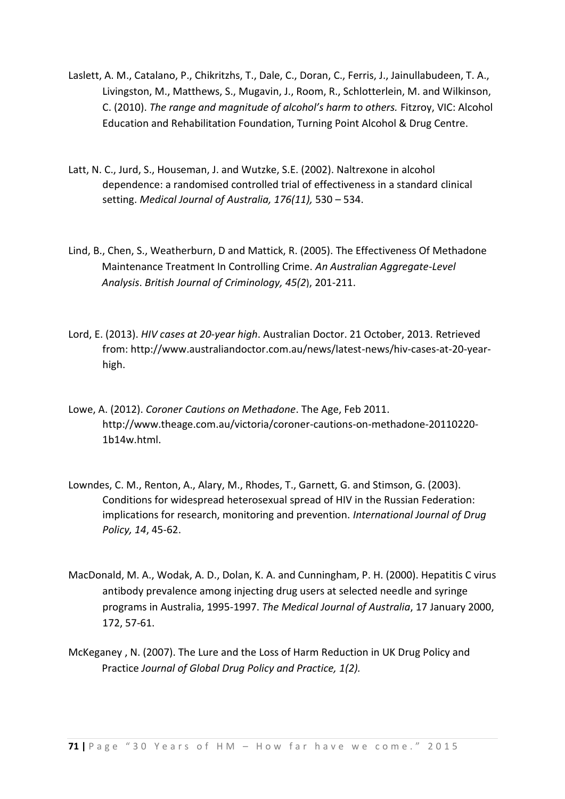- Laslett, A. M., Catalano, P., Chikritzhs, T., Dale, C., Doran, C., Ferris, J., Jainullabudeen, T. A., Livingston, M., Matthews, S., Mugavin, J., Room, R., Schlotterlein, M. and Wilkinson, C. (2010). *The range and magnitude of alcohol's harm to others.* Fitzroy, VIC: Alcohol Education and Rehabilitation Foundation, Turning Point Alcohol & Drug Centre.
- Latt, N. C., Jurd, S., Houseman, J. and Wutzke, S.E. (2002). Naltrexone in alcohol dependence: a randomised controlled trial of effectiveness in a standard clinical setting. *Medical Journal of Australia, 176(11),* 530 – 534.
- Lind, B., Chen, S., Weatherburn, D and Mattick, R. (2005). The Effectiveness Of Methadone Maintenance Treatment In Controlling Crime. *An Australian Aggregate-Level Analysis*. *[British Journal of Criminology,](http://bjc.oxfordjournals.org/) [45\(2](http://bjc.oxfordjournals.org/content/45/2.toc)*), 201-211.
- Lord, E. (2013). *HIV cases at 20-year high*. Australian Doctor. 21 October, 2013. Retrieved from: http://www.australiandoctor.com.au/news/latest-news/hiv-cases-at-20-yearhigh.
- Lowe, A. (2012). *Coroner Cautions on Methadone*. The Age, Feb 2011. http://www.theage.com.au/victoria/coroner-cautions-on-methadone-20110220- 1b14w.html.
- Lowndes, C. M., Renton, A., Alary, M., Rhodes, T., Garnett, G. and Stimson, G. (2003). Conditions for widespread heterosexual spread of HIV in the Russian Federation: implications for research, monitoring and prevention. *International Journal of Drug Policy, 14*, 45-62.
- MacDonald, M. A., Wodak, A. D., Dolan, K. A. and Cunningham, P. H. (2000). Hepatitis C virus antibody prevalence among injecting drug users at selected needle and syringe programs in Australia, 1995-1997. *The Medical Journal of Australia*, 17 January 2000, 172, 57-61.
- McKeganey , N. (2007). The Lure and the Loss of Harm Reduction in UK Drug Policy and Practice *Journal of Global Drug Policy and Practice, 1(2).*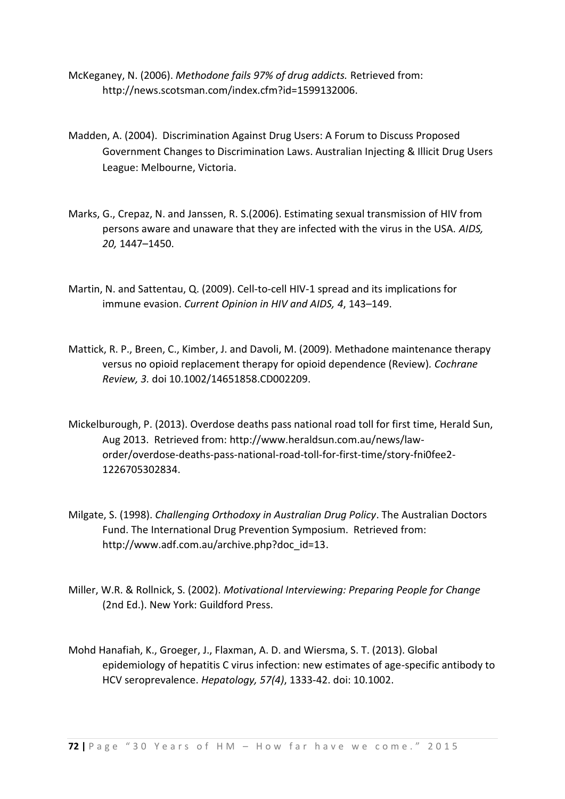- McKeganey, N. (2006). *Methodone fails 97% of drug addicts.* Retrieved from: http://news.scotsman.com/index.cfm?id=1599132006.
- Madden, A. (2004). Discrimination Against Drug Users: A Forum to Discuss Proposed Government Changes to Discrimination Laws. Australian Injecting & Illicit Drug Users League: Melbourne, Victoria.
- Marks, G., Crepaz, N. and Janssen, R. S.(2006). Estimating sexual transmission of HIV from persons aware and unaware that they are infected with the virus in the USA. *AIDS, 20,* 1447–1450.
- Martin, N. and Sattentau, Q. (2009). Cell-to-cell HIV-1 spread and its implications for immune evasion. *Current Opinion in HIV and AIDS, 4*, 143–149.
- Mattick, R. P., Breen, C., Kimber, J. and Davoli, M. (2009). Methadone maintenance therapy versus no opioid replacement therapy for opioid dependence (Review)*. Cochrane Review, 3.* doi 10.1002/14651858.CD002209.
- Mickelburough, P. (2013). Overdose deaths pass national road toll for first time, Herald Sun, Aug 2013. Retrieved from: http://www.heraldsun.com.au/news/laworder/overdose-deaths-pass-national-road-toll-for-first-time/story-fni0fee2- 1226705302834.
- Milgate, S. (1998). *Challenging Orthodoxy in Australian Drug Policy*. The Australian Doctors Fund. The International Drug Prevention Symposium. Retrieved from: http://www.adf.com.au/archive.php?doc\_id=13.
- Miller, W.R. & Rollnick, S. (2002). *Motivational Interviewing: Preparing People for Change*  (2nd Ed.). New York: Guildford Press.
- [Mohd Hanafiah,](http://www.ncbi.nlm.nih.gov/pubmed?term=Mohd%20Hanafiah%20K%5BAuthor%5D&cauthor=true&cauthor_uid=23172780) K., [Groeger,](http://www.ncbi.nlm.nih.gov/pubmed?term=Groeger%20J%5BAuthor%5D&cauthor=true&cauthor_uid=23172780) J., [Flaxman,](http://www.ncbi.nlm.nih.gov/pubmed?term=Flaxman%20AD%5BAuthor%5D&cauthor=true&cauthor_uid=23172780) A. D. and [Wiersma,](http://www.ncbi.nlm.nih.gov/pubmed?term=Wiersma%20ST%5BAuthor%5D&cauthor=true&cauthor_uid=23172780) S. T. (2013). Global epidemiology of hepatitis C virus infection: new estimates of age-specific antibody to HCV seroprevalence. *[Hepatology,](http://www.ncbi.nlm.nih.gov/pubmed/23172780) 57(4)*, 1333-42. doi: 10.1002.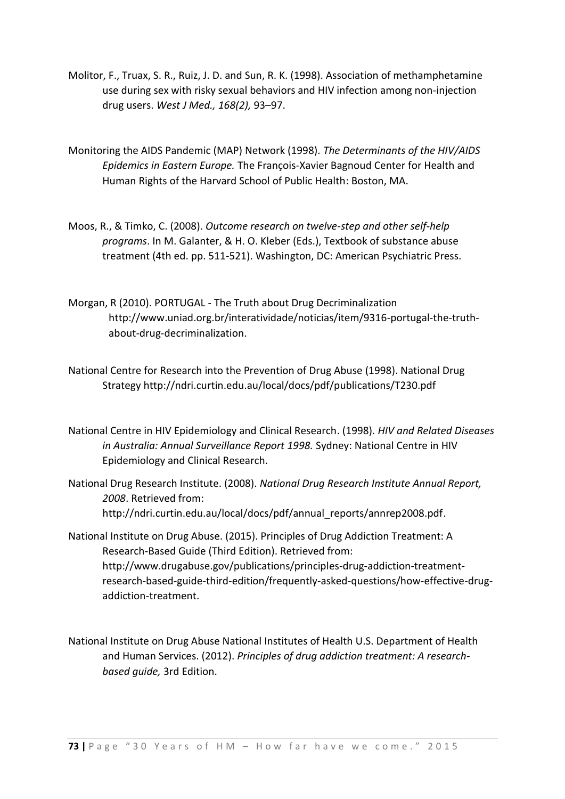- [Molitor,](http://www.ncbi.nlm.nih.gov/pubmed/?term=Molitor%20F%5Bauth%5D) F., [Truax,](http://www.ncbi.nlm.nih.gov/pubmed/?term=Truax%20SR%5Bauth%5D) S. R., [Ruiz,](http://www.ncbi.nlm.nih.gov/pubmed/?term=Ruiz%20JD%5Bauth%5D) J. D. and [Sun,](http://www.ncbi.nlm.nih.gov/pubmed/?term=Sun%20RK%5Bauth%5D) R. K. (1998). Association of methamphetamine use during sex with risky sexual behaviors and HIV infection among non-injection drug users. *West J Med., 168(2),* 93–97.
- Monitoring the AIDS Pandemic (MAP) Network (1998). *The Determinants of the HIV/AIDS Epidemics in Eastern Europe.* The François-Xavier Bagnoud Center for Health and Human Rights of the Harvard School of Public Health: Boston, MA.
- Moos, R., & Timko, C. (2008). *Outcome research on twelve-step and other self-help programs*. In M. Galanter, & H. O. Kleber (Eds.), Textbook of substance abuse treatment (4th ed. pp. 511-521). Washington, DC: American Psychiatric Press.
- Morgan, R (2010). PORTUGAL The Truth about Drug Decriminalization http://www.uniad.org.br/interatividade/noticias/item/9316-portugal-the-truthabout-drug-decriminalization.
- National Centre for Research into the Prevention of Drug Abuse (1998). National Drug Strategy http://ndri.curtin.edu.au/local/docs/pdf/publications/T230.pdf
- National Centre in HIV Epidemiology and Clinical Research. (1998). *HIV and Related Diseases in Australia: Annual Surveillance Report 1998.* Sydney: National Centre in HIV Epidemiology and Clinical Research.
- National Drug Research Institute. (2008). *National Drug Research Institute Annual Report, 2008*. Retrieved from: http://ndri.curtin.edu.au/local/docs/pdf/annual\_reports/annrep2008.pdf.
- National Institute on Drug Abuse. (2015). Principles of Drug Addiction Treatment: A Research-Based Guide (Third Edition). Retrieved from: http://www.drugabuse.gov/publications/principles-drug-addiction-treatmentresearch-based-guide-third-edition/frequently-asked-questions/how-effective-drugaddiction-treatment.
- National Institute on Drug Abuse National Institutes of Health U.S. Department of Health and Human Services. (2012). *Principles of drug addiction treatment: A researchbased guide,* 3rd Edition.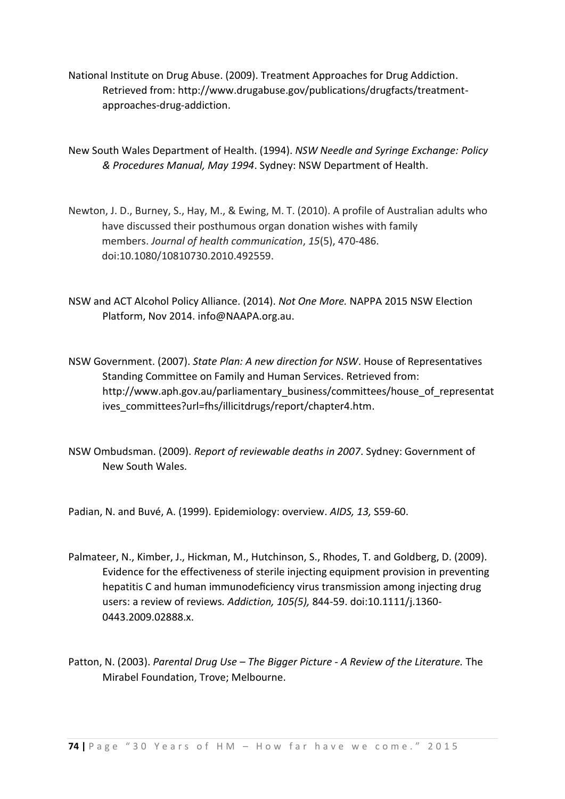National Institute on Drug Abuse. (2009). Treatment Approaches for Drug Addiction. Retrieved from: http://www.drugabuse.gov/publications/drugfacts/treatmentapproaches-drug-addiction.

New South Wales Department of Health. (1994). *NSW Needle and Syringe Exchange: Policy & Procedures Manual, May 1994*. Sydney: NSW Department of Health.

- Newton, J. D., Burney, S., Hay, M., & Ewing, M. T. (2010). A profile of Australian adults who have discussed their posthumous organ donation wishes with family members. *Journal of health communication*, *15*(5), 470-486. doi:10.1080/10810730.2010.492559.
- NSW and ACT Alcohol Policy Alliance. (2014). *Not One More.* NAPPA 2015 NSW Election Platform, Nov 2014. info@NAAPA.org.au.
- NSW Government. (2007). *State Plan: A new direction for NSW*. House of Representatives Standing Committee on Family and Human Services. Retrieved from: http://www.aph.gov.au/parliamentary\_business/committees/house\_of\_representat ives\_committees?url=fhs/illicitdrugs/report/chapter4.htm.
- NSW Ombudsman. (2009). *Report of reviewable deaths in 2007*. Sydney: Government of New South Wales.

[Padian, N.](http://www.ncbi.nlm.nih.gov/pubmed?term=Padian%20N%5BAuthor%5D&cauthor=true&cauthor_uid=10885763) and [Buvé, A.](http://www.ncbi.nlm.nih.gov/pubmed?term=Buv%C3%A9%20A%5BAuthor%5D&cauthor=true&cauthor_uid=10885763) (1999). Epidemiology: overview. *[AIDS,](http://www.ncbi.nlm.nih.gov/pubmed/10885763) 13,* S59-60.

- Palmateer, N., Kimber, J., Hickman, M., Hutchinson, S., Rhodes, T. and Goldberg, D. (2009). Evidence for the effectiveness of sterile injecting equipment provision in preventing hepatitis C and human immunodeficiency virus transmission among injecting drug users: a review of reviews*. Addiction, 105(5),* 844-59. doi:10.1111/j.1360- 0443.2009.02888.x.
- Patton, N. (2003). *Parental Drug Use – The Bigger Picture - A Review of the Literature.* The Mirabel Foundation, Trove; Melbourne.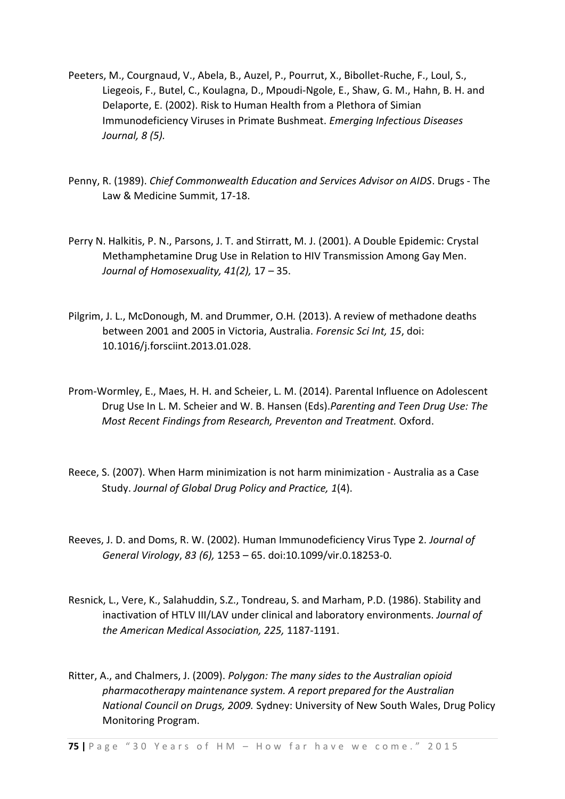- Peeters, M., Courgnaud, V., Abela, B., Auzel, P., Pourrut, X., Bibollet-Ruche, F., Loul, S., Liegeois, F., Butel, C., Koulagna, D., Mpoudi-Ngole, E., Shaw, G. M., Hahn, B. H. and Delaporte, E. (2002). Risk to Human Health from a Plethora of Simian Immunodeficiency Viruses in Primate Bushmeat. *Emerging Infectious Diseases Journal, 8 (5).*
- Penny, R. (1989). *Chief Commonwealth Education and Services Advisor on AIDS*. Drugs The Law & Medicine Summit, 17-18.
- Perry N. Halkitis, P. N., Parsons, J. T. and Stirratt, M. J. (2001). A Double Epidemic: Crystal Methamphetamine Drug Use in Relation to HIV Transmission Among Gay Men. *Journal of Homosexuality, 41(2),* 17 – 35.
- [Pilgrim, J.](http://www.ncbi.nlm.nih.gov/pubmed?term=Pilgrim%20JL%5BAuthor%5D&cauthor=true&cauthor_uid=23419969) L., [McDonough, M.](http://www.ncbi.nlm.nih.gov/pubmed?term=McDonough%20M%5BAuthor%5D&cauthor=true&cauthor_uid=23419969) and [Drummer, O.H](http://www.ncbi.nlm.nih.gov/pubmed?term=Drummer%20OH%5BAuthor%5D&cauthor=true&cauthor_uid=23419969)*.* (2013). A review of methadone deaths between 2001 and 2005 in Victoria, Australia. *[Forensic Sci Int,](http://www.ncbi.nlm.nih.gov/pubmed/23419969) 15*, doi: 10.1016/j.forsciint.2013.01.028.
- Prom-Wormley, E., Maes, H. H. and Scheier, L. M. (2014). Parental Influence on Adolescent Drug Use In L. M. Scheier and W. B. Hansen (Eds).*Parenting and Teen Drug Use: The Most Recent Findings from Research, Preventon and Treatment.* Oxford.
- Reece, S. (2007). When Harm minimization is not harm minimization Australia as a Case Study. *Journal of Global Drug Policy and Practice, 1*(4).
- Reeves, J. D. and Doms, R. W. (2002). Human Immunodeficiency Virus Type 2*[. Journal of](http://en.wikipedia.org/wiki/Journal_of_General_Virology)  [General Virology](http://en.wikipedia.org/wiki/Journal_of_General_Virology)*, *83 (6),* 1253 – 65. [doi](http://en.wikipedia.org/wiki/Digital_object_identifier)[:10.1099/vir.0.18253-0.](http://dx.doi.org/10.1099%2Fvir.0.18253-0)
- Resnick, L., Vere, K., Salahuddin, S.Z., Tondreau, S. and Marham, P.D. (1986). Stability and inactivation of HTLV III/LAV under clinical and laboratory environments. *Journal of the American Medical Association, 225,* 1187-1191.
- Ritter, A., and Chalmers, J. (2009). *Polygon: The many sides to the Australian opioid pharmacotherapy maintenance system. A report prepared for the Australian National Council on Drugs, 2009.* Sydney: University of New South Wales, Drug Policy Monitoring Program.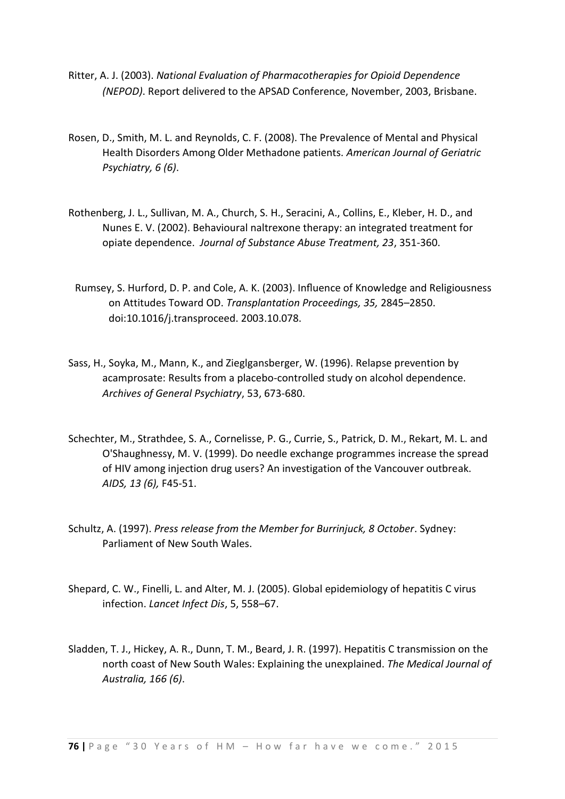- Ritter, A. J. (2003). *National Evaluation of Pharmacotherapies for Opioid Dependence (NEPOD)*. Report delivered to the APSAD Conference, November, 2003, Brisbane.
- Rosen, D., Smith, M. L. and Reynolds, C. F. (2008). The Prevalence of Mental and Physical Health Disorders Among Older Methadone patients. *American Journal of Geriatric Psychiatry, 6 (6)*.
- Rothenberg, J. L., Sullivan, M. A., Church, S. H., Seracini, A., Collins, E., Kleber, H. D., and Nunes E. V. (2002). Behavioural naltrexone therapy: an integrated treatment for opiate dependence. *Journal of Substance Abuse Treatment, 23*, 351-360.
	- Rumsey, S. Hurford, D. P. and Cole, A. K. (2003). Influence of Knowledge and Religiousness on Attitudes Toward OD. *Transplantation Proceedings, 35,* 2845–2850. doi:10.1016/j.transproceed. 2003.10.078.
- Sass, H., Soyka, M., Mann, K., and Zieglgansberger, W. (1996). Relapse prevention by acamprosate: Results from a placebo-controlled study on alcohol dependence. *Archives of General Psychiatry*, 53, 673-680.
- Schechter, M., Strathdee, S. A., Cornelisse, P. G., Currie, S., Patrick, D. M., Rekart, M. L. and O'Shaughnessy, M. V. (1999). Do needle exchange programmes increase the spread of HIV among injection drug users? An investigation of the Vancouver outbreak. *AIDS, 13 (6),* F45-51.
- Schultz, A. (1997). *Press release from the Member for Burrinjuck, 8 October*. Sydney: Parliament of New South Wales.
- Shepard, C. W., Finelli, L. and Alter, M. J. (2005). Global epidemiology of hepatitis C virus infection. *Lancet Infect Dis*, 5, 558–67.
- Sladden, T. J., Hickey, A. R., Dunn, T. M., Beard, J. R. (1997). Hepatitis C transmission on the north coast of New South Wales: Explaining the unexplained. *The Medical Journal of Australia, 166 (6)*.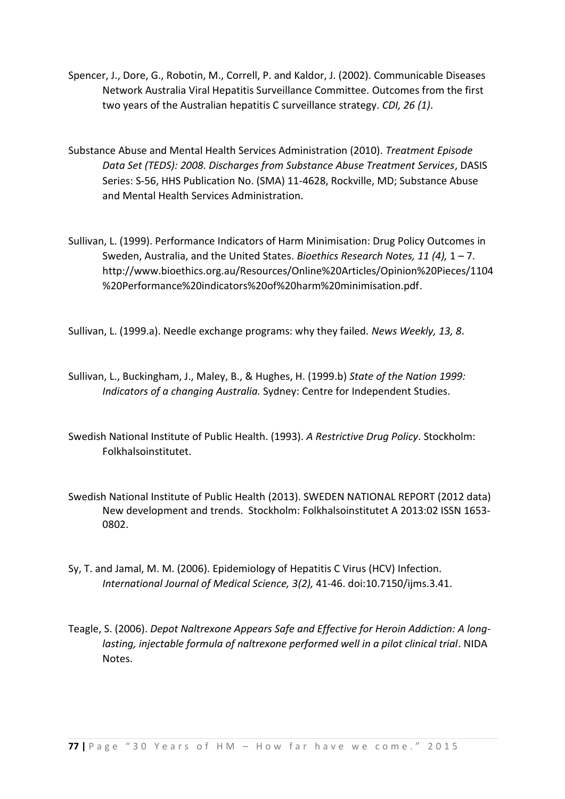- Spencer, J., Dore, G., Robotin, M., Correll, P. and Kaldor, J. (2002). Communicable Diseases Network Australia Viral Hepatitis Surveillance Committee. Outcomes from the first two years of the Australian hepatitis C surveillance strategy. *CDI, 26 (1)*.
- Substance Abuse and Mental Health Services Administration (2010). *Treatment Episode Data Set (TEDS): 2008. Discharges from Substance Abuse Treatment Services*, DASIS Series: S-56, HHS Publication No. (SMA) 11-4628, Rockville, MD; Substance Abuse and Mental Health Services Administration.
- Sullivan, L. (1999). Performance Indicators of Harm Minimisation: Drug Policy Outcomes in Sweden, Australia, and the United States. *Bioethics Research Notes, 11 (4),* 1 – 7. http://www.bioethics.org.au/Resources/Online%20Articles/Opinion%20Pieces/1104 %20Performance%20indicators%20of%20harm%20minimisation.pdf.

Sullivan, L. (1999.a). Needle exchange programs: why they failed. *News Weekly, 13, 8*.

- Sullivan, L., Buckingham, J., Maley, B., & Hughes, H. (1999.b) *State of the Nation 1999: Indicators of a changing Australia.* Sydney: Centre for Independent Studies.
- Swedish National Institute of Public Health. (1993). *A Restrictive Drug Policy*. Stockholm: Folkhalsoinstitutet.
- Swedish National Institute of Public Health (2013). SWEDEN NATIONAL REPORT (2012 data) New development and trends. Stockholm: Folkhalsoinstitutet A 2013:02 ISSN 1653- 0802.
- Sy, T. and Jamal, M. M. (2006). Epidemiology of Hepatitis C Virus (HCV) Infection. *International Journal of Medical Science, 3(2),* 41-46. doi:10.7150/ijms.3.41.
- Teagle, S. (2006). *Depot Naltrexone Appears Safe and Effective for Heroin Addiction: A longlasting, injectable formula of naltrexone performed well in a pilot clinical trial*. NIDA Notes.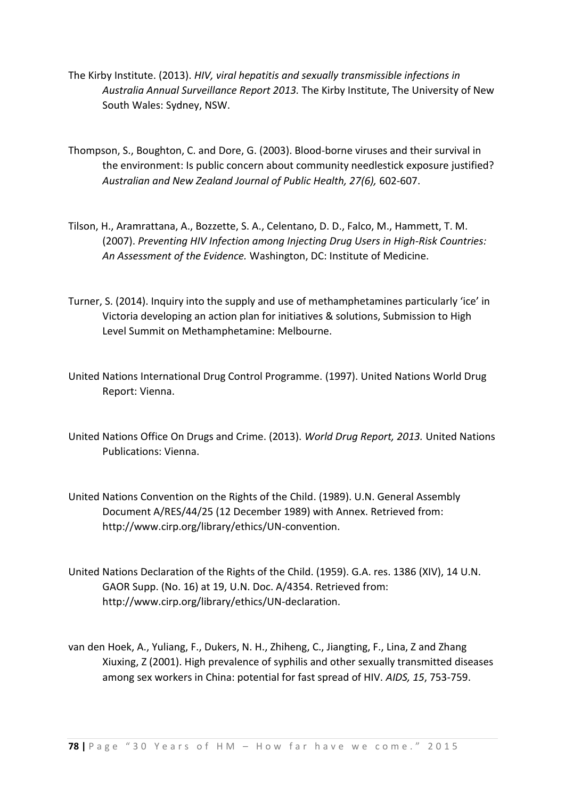- The Kirby Institute. (2013). *HIV, viral hepatitis and sexually transmissible infections in Australia Annual Surveillance Report 2013.* The Kirby Institute, The University of New South Wales: Sydney, NSW.
- Thompson, S., Boughton, C. and Dore, G. (2003). Blood-borne viruses and their survival in the environment: Is public concern about community needlestick exposure justified? *Australian and New Zealand Journal of Public Health, 27(6),* 602-607.
- Tilson, H., Aramrattana, A., Bozzette, S. A., Celentano, D. D., Falco, M., Hammett, T. M. (2007). *Preventing HIV Infection among Injecting Drug Users in High-Risk Countries: An Assessment of the Evidence.* Washington, DC: Institute of Medicine.
- Turner, S. (2014). Inquiry into the supply and use of methamphetamines particularly 'ice' in Victoria developing an action plan for initiatives & solutions, Submission to High Level Summit on Methamphetamine: Melbourne.
- United Nations International Drug Control Programme. (1997). United Nations World Drug Report: Vienna.
- United Nations Office On Drugs and Crime. (2013). *World Drug Report, 2013.* United Nations Publications: Vienna.
- United Nations Convention on the Rights of the Child. (1989). U.N. General Assembly Document A/RES/44/25 (12 December 1989) with Annex. Retrieved from: http://www.cirp.org/library/ethics/UN-convention.
- United Nations Declaration of the Rights of the Child. (1959). G.A. res. 1386 (XIV), 14 U.N. GAOR Supp. (No. 16) at 19, U.N. Doc. A/4354. Retrieved from: http://www.cirp.org/library/ethics/UN-declaration.
- van den Hoek, A., Yuliang, F., Dukers, N. H., Zhiheng, C., Jiangting, F., Lina, Z and Zhang Xiuxing, Z (2001). High prevalence of syphilis and other sexually transmitted diseases among sex workers in China: potential for fast spread of HIV. *AIDS, 15*, 753-759.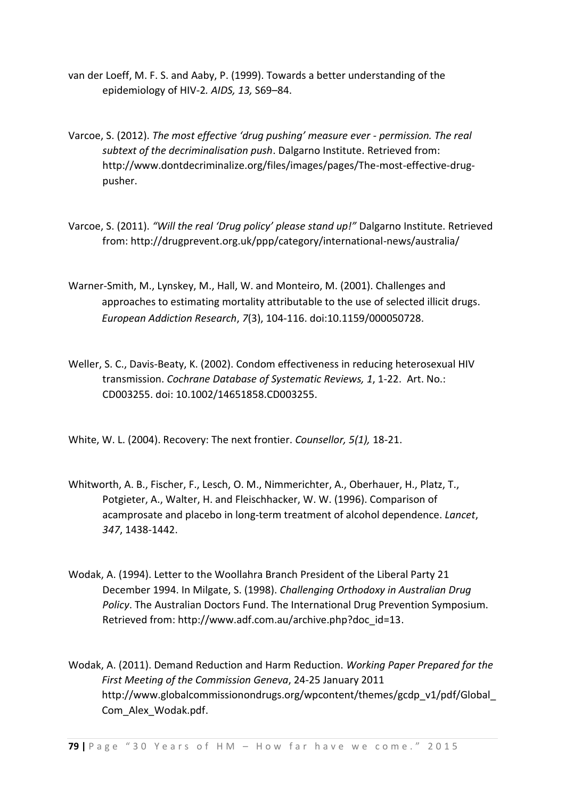- van der Loeff, M. F. S. and Aaby, P. (1999). Towards a better understanding of the epidemiology of HIV-2*. AIDS, 13,* S69–84.
- Varcoe, S. (2012). *The most effective 'drug pushing' measure ever - permission. The real subtext of the decriminalisation push*. Dalgarno Institute. Retrieved from: http://www.dontdecriminalize.org/files/images/pages/The-most-effective-drugpusher.
- Varcoe, S. (2011). *"Will the real 'Drug policy' please stand up!"* Dalgarno Institute. Retrieved from: http://drugprevent.org.uk/ppp/category/international-news/australia/
- [Warner-Smith, M.,](https://espace.library.uq.edu.au/list/author/Warner-Smith%2C+M./) [Lynskey, M.,](https://espace.library.uq.edu.au/list/author/Lynskey%2C+M./) [Hall, W.](https://espace.library.uq.edu.au/list/author_id/1968/) and [Monteiro, M.](https://espace.library.uq.edu.au/list/author/Monteiro%2C+M./) (2001). [Challenges and](https://espace.library.uq.edu.au/view/UQ:37512)  [approaches to estimating mortality attributable to the use of selected illicit drugs.](https://espace.library.uq.edu.au/view/UQ:37512) *European Addiction Research*, *7*(3), 104-116. doi:10.1159/000050728.
- Weller, S. C., Davis-Beaty, K. (2002). Condom effectiveness in reducing heterosexual HIV transmission. *Cochrane Database of Systematic Reviews, 1*, 1-22. Art. No.: CD003255. doi: 10.1002/14651858.CD003255.

White, W. L. (2004). Recovery: The next frontier. *Counsellor, 5(1),* 18-21.

- Whitworth, A. B., Fischer, F., Lesch, O. M., Nimmerichter, A., Oberhauer, H., Platz, T., Potgieter, A., Walter, H. and Fleischhacker, W. W. (1996). Comparison of acamprosate and placebo in long-term treatment of alcohol dependence. *Lancet*, *347*, 1438-1442.
- Wodak, A. (1994). Letter to the Woollahra Branch President of the Liberal Party 21 December 1994. In Milgate, S. (1998). *Challenging Orthodoxy in Australian Drug Policy*. The Australian Doctors Fund. The International Drug Prevention Symposium. Retrieved from: http://www.adf.com.au/archive.php?doc\_id=13.
- Wodak, A. (2011). Demand Reduction and Harm Reduction. *Working Paper Prepared for the First Meeting of the Commission Geneva*, 24-25 January 2011 http://www.globalcommissionondrugs.org/wpcontent/themes/gcdp\_v1/pdf/Global\_ Com\_Alex\_Wodak.pdf.